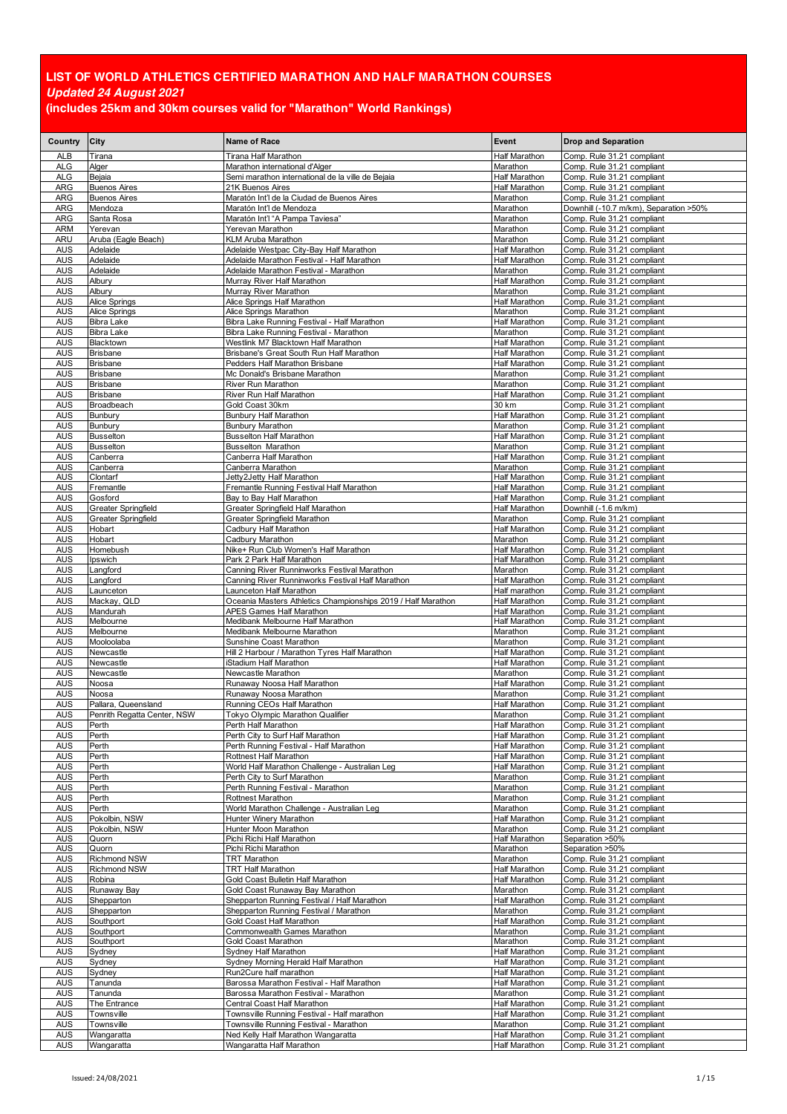| Country                  | City                                | <b>Name of Race</b>                                                                     | Event                                 | <b>Drop and Separation</b>                               |
|--------------------------|-------------------------------------|-----------------------------------------------------------------------------------------|---------------------------------------|----------------------------------------------------------|
| <b>ALB</b>               | Tirana                              | Tirana Half Marathon                                                                    | Half Marathon                         | Comp. Rule 31.21 compliant                               |
| <b>ALG</b><br>ALG        | Alger<br>Bejaia                     | Marathon international d'Alger<br>Semi marathon international de la ville de Bejaia     | Marathon<br>Half Marathon             | Comp. Rule 31.21 compliant<br>Comp. Rule 31.21 compliant |
| ARG                      | <b>Buenos Aires</b>                 | 21K Buenos Aires                                                                        | Half Marathon                         | Comp. Rule 31.21 compliant                               |
| ARG                      | <b>Buenos Aires</b>                 | Maratón Int'l de la Ciudad de Buenos Aires                                              | Marathon                              | Comp. Rule 31.21 compliant                               |
| ARG                      | Mendoza                             | Maratón Int'l de Mendoza                                                                | Marathon                              | Downhill (-10.7 m/km), Separation >50%                   |
| ARG<br><b>ARM</b>        | Santa Rosa<br>Yerevan               | Maratón Int'l "A Pampa Taviesa"<br>Yerevan Marathon                                     | Marathon<br>Marathon                  | Comp. Rule 31.21 compliant<br>Comp. Rule 31.21 compliant |
| ARU                      | Aruba (Eagle Beach)                 | KLM Aruba Marathon                                                                      | Marathon                              | Comp. Rule 31.21 compliant                               |
| <b>AUS</b>               | Adelaide                            | Adelaide Westpac City-Bay Half Marathon                                                 | Half Marathon                         | Comp. Rule 31.21 compliant                               |
| <b>AUS</b>               | Adelaide                            | Adelaide Marathon Festival - Half Marathon                                              | <b>Half Marathon</b>                  | Comp. Rule 31.21 compliant                               |
| <b>AUS</b><br><b>AUS</b> | Adelaide<br>Albury                  | Adelaide Marathon Festival - Marathon<br>Murray River Half Marathon                     | Marathon<br>Half Marathon             | Comp. Rule 31.21 compliant<br>Comp. Rule 31.21 compliant |
| <b>AUS</b>               | Albury                              | Murray River Marathon                                                                   | Marathon                              | Comp. Rule 31.21 compliant                               |
| <b>AUS</b>               | Alice Springs                       | Alice Springs Half Marathon                                                             | Half Marathon                         | Comp. Rule 31.21 compliant                               |
| <b>AUS</b><br><b>AUS</b> | Alice Springs<br>Bibra Lake         | Alice Springs Marathon<br>Bibra Lake Running Festival - Half Marathon                   | Marathon<br>Half Marathon             | Comp. Rule 31.21 compliant<br>Comp. Rule 31.21 compliant |
| <b>AUS</b>               | <b>Bibra Lake</b>                   | Bibra Lake Running Festival - Marathon                                                  | Marathon                              | Comp. Rule 31.21 compliant                               |
| <b>AUS</b>               | Blacktown                           | Westlink M7 Blacktown Half Marathon                                                     | Half Marathon                         | Comp. Rule 31.21 compliant                               |
| <b>AUS</b>               | <b>Brisbane</b>                     | Brisbane's Great South Run Half Marathon                                                | <b>Half Marathon</b>                  | Comp. Rule 31.21 compliant                               |
| <b>AUS</b><br><b>AUS</b> | <b>Brisbane</b><br><b>Brisbane</b>  | Pedders Half Marathon Brisbane<br>Mc Donald's Brisbane Marathon                         | Half Marathon<br>Marathon             | Comp. Rule 31.21 compliant<br>Comp. Rule 31.21 compliant |
| <b>AUS</b>               | <b>Brisbane</b>                     | River Run Marathon                                                                      | Marathon                              | Comp. Rule 31.21 compliant                               |
| <b>AUS</b>               | <b>Brisbane</b>                     | River Run Half Marathon                                                                 | Half Marathon                         | Comp. Rule 31.21 compliant                               |
| <b>AUS</b>               | Broadbeach                          | Gold Coast 30km                                                                         | 30 km<br><b>Half Marathon</b>         | Comp. Rule 31.21 compliant                               |
| <b>AUS</b><br><b>AUS</b> | Bunbury<br>Bunbury                  | Bunbury Half Marathon<br><b>Bunbury Marathon</b>                                        | Marathon                              | Comp. Rule 31.21 compliant<br>Comp. Rule 31.21 compliant |
| <b>AUS</b>               | <b>Busselton</b>                    | <b>Busselton Half Marathon</b>                                                          | <b>Half Marathon</b>                  | Comp. Rule 31.21 compliant                               |
| <b>AUS</b>               | <b>Busselton</b>                    | <b>Busselton Marathon</b>                                                               | Marathon                              | Comp. Rule 31.21 compliant                               |
| <b>AUS</b><br><b>AUS</b> | Canberra<br>Canberra                | Canberra Half Marathon<br>Canberra Marathon                                             | Half Marathon<br>Marathon             | Comp. Rule 31.21 compliant<br>Comp. Rule 31.21 compliant |
| <b>AUS</b>               | Clontarf                            | Jetty2Jetty Half Marathon                                                               | Half Marathon                         | Comp. Rule 31.21 compliant                               |
| <b>AUS</b>               | Fremantle                           | Fremantle Running Festival Half Marathon                                                | <b>Half Marathon</b>                  | Comp. Rule 31.21 compliant                               |
| <b>AUS</b><br><b>AUS</b> | Gosford<br>Greater Springfield      | Bay to Bay Half Marathon<br>Greater Springfield Half Marathon                           | Half Marathon<br>Half Marathon        | Comp. Rule 31.21 compliant<br>Downhill (-1.6 m/km)       |
| <b>AUS</b>               | Greater Springfield                 | Greater Springfield Marathon                                                            | Marathon                              | Comp. Rule 31.21 compliant                               |
| <b>AUS</b>               | Hobart                              | Cadbury Half Marathon                                                                   | Half Marathon                         | Comp. Rule 31.21 compliant                               |
| <b>AUS</b>               | Hobart                              | Cadbury Marathon                                                                        | Marathon                              | Comp. Rule 31.21 compliant                               |
| <b>AUS</b><br>AUS        | Homebush<br>Ipswich                 | Nike+ Run Club Women's Half Marathon<br>Park 2 Park Half Marathon                       | Half Marathon<br>Half Marathon        | Comp. Rule 31.21 compliant<br>Comp. Rule 31.21 compliant |
| <b>AUS</b>               | _angford                            | Canning River Runninworks Festival Marathon                                             | Marathon                              | Comp. Rule 31.21 compliant                               |
| <b>AUS</b>               | Langford                            | Canning River Runninworks Festival Half Marathon                                        | Half Marathon                         | Comp. Rule 31.21 compliant                               |
| <b>AUS</b><br><b>AUS</b> | _aunceton<br>Mackay, QLD            | Launceton Half Marathon<br>Oceania Masters Athletics Championships 2019 / Half Marathon | Half marathon<br>Half Marathon        | Comp. Rule 31.21 compliant<br>Comp. Rule 31.21 compliant |
| <b>AUS</b>               | Mandurah                            | APES Games Half Marathon                                                                | Half Marathon                         | Comp. Rule 31.21 compliant                               |
| <b>AUS</b>               | Melbourne                           | Medibank Melbourne Half Marathon                                                        | Half Marathon                         | Comp. Rule 31.21 compliant                               |
| <b>AUS</b><br><b>AUS</b> | Melbourne<br>Mooloolaba             | Medibank Melbourne Marathon<br>Sunshine Coast Marathon                                  | Marathon<br>Marathon                  | Comp. Rule 31.21 compliant<br>Comp. Rule 31.21 compliant |
| <b>AUS</b>               | Newcastle                           | Hill 2 Harbour / Marathon Tyres Half Marathon                                           | Half Marathon                         | Comp. Rule 31.21 compliant                               |
| <b>AUS</b>               | Newcastle                           | Stadium Half Marathon                                                                   | Half Marathon                         | Comp. Rule 31.21 compliant                               |
| <b>AUS</b>               | Newcastle                           | Newcastle Marathon                                                                      | Marathon                              | Comp. Rule 31.21 compliant                               |
| <b>AUS</b><br><b>AUS</b> | Noosa<br>Noosa                      | Runaway Noosa Half Marathon<br>Runaway Noosa Marathon                                   | Half Marathon<br>Marathon             | Comp. Rule 31.21 compliant<br>Comp. Rule 31.21 compliant |
| <b>AUS</b>               | Pallara, Queensland                 | Running CEOs Half Marathon                                                              | Half Marathon                         | Comp. Rule 31.21 compliant                               |
| <b>AUS</b>               | Penrith Regatta Center, NSW         | Tokyo Olympic Marathon Qualifier                                                        | Marathon                              | Comp. Rule 31.21 compliant                               |
| AUS<br><b>AUS</b>        | Perth<br>Perth                      | Perth Half Marathon<br>Perth City to Surf Half Marathon                                 | <b>Half Marathon</b><br>Half Marathon | Comp. Rule 31.21 compliant<br>Comp. Rule 31.21 compliant |
| <b>AUS</b>               | Perth                               | Perth Running Festival - Half Marathon                                                  | <b>Half Marathon</b>                  | Comp. Rule 31.21 compliant                               |
| <b>AUS</b>               | Perth                               | Rottnest Half Marathon                                                                  | <b>Half Marathon</b>                  | Comp. Rule 31.21 compliant                               |
| <b>AUS</b><br><b>AUS</b> | Perth<br>Perth                      | World Half Marathon Challenge - Australian Leg<br>Perth City to Surf Marathon           | Half Marathon                         | Comp. Rule 31.21 compliant                               |
| <b>AUS</b>               | Perth                               | Perth Running Festival - Marathon                                                       | Marathon<br>Marathon                  | Comp. Rule 31.21 compliant<br>Comp. Rule 31.21 compliant |
| <b>AUS</b>               | Perth                               | Rottnest Marathon                                                                       | Marathon                              | Comp. Rule 31.21 compliant                               |
| <b>AUS</b>               | Perth                               | World Marathon Challenge - Australian Leg                                               | Marathon                              | Comp. Rule 31.21 compliant                               |
| <b>AUS</b><br><b>AUS</b> | Pokolbin, NSW<br>Pokolbin, NSW      | Hunter Winery Marathon<br>Hunter Moon Marathon                                          | <b>Half Marathon</b><br>Marathon      | Comp. Rule 31.21 compliant<br>Comp. Rule 31.21 compliant |
| <b>AUS</b>               | Quorn                               | Pichi Richi Half Marathon                                                               | Half Marathon                         | Separation >50%                                          |
| <b>AUS</b>               | Quorn                               | Pichi Richi Marathon                                                                    | Marathon                              | Separation >50%                                          |
| <b>AUS</b><br><b>AUS</b> | Richmond NSW<br><b>Richmond NSW</b> | TRT Marathon<br><b>TRT Half Marathon</b>                                                | Marathon<br>Half Marathon             | Comp. Rule 31.21 compliant<br>Comp. Rule 31.21 compliant |
| <b>AUS</b>               | Robina                              | Gold Coast Bulletin Half Marathon                                                       | Half Marathon                         | Comp. Rule 31.21 compliant                               |
| <b>AUS</b>               | Runaway Bay                         | Gold Coast Runaway Bay Marathon                                                         | Marathon                              | Comp. Rule 31.21 compliant                               |
| <b>AUS</b><br><b>AUS</b> | Shepparton<br>Shepparton            | Shepparton Running Festival / Half Marathon<br>Shepparton Running Festival / Marathon   | Half Marathon<br>Marathon             | Comp. Rule 31.21 compliant<br>Comp. Rule 31.21 compliant |
| <b>AUS</b>               | Southport                           | Gold Coast Half Marathon                                                                | Half Marathon                         | Comp. Rule 31.21 compliant                               |
| <b>AUS</b>               | Southport                           | Commonwealth Games Marathon                                                             | Marathon                              | Comp. Rule 31.21 compliant                               |
| <b>AUS</b>               | Southport                           | Gold Coast Marathon                                                                     | Marathon                              | Comp. Rule 31.21 compliant                               |
| <b>AUS</b><br><b>AUS</b> | Sydney<br>Sydney                    | Sydney Half Marathon<br>Sydney Morning Herald Half Marathon                             | Half Marathon<br>Half Marathon        | Comp. Rule 31.21 compliant<br>Comp. Rule 31.21 compliant |
| AUS                      | Sydney                              | Run2Cure half marathon                                                                  | Half Marathon                         | Comp. Rule 31.21 compliant                               |
| <b>AUS</b>               | Tanunda                             | Barossa Marathon Festival - Half Marathon                                               | Half Marathon                         | Comp. Rule 31.21 compliant                               |
| <b>AUS</b><br><b>AUS</b> | Tanunda<br>The Entrance             | Barossa Marathon Festival - Marathon<br>Central Coast Half Marathon                     | Marathon<br><b>Half Marathon</b>      | Comp. Rule 31.21 compliant<br>Comp. Rule 31.21 compliant |
| <b>AUS</b>               | Townsville                          | Townsville Running Festival - Half marathon                                             | Half Marathon                         | Comp. Rule 31.21 compliant                               |
| <b>AUS</b>               | Townsville                          | Townsville Running Festival - Marathon                                                  | Marathon                              | Comp. Rule 31.21 compliant                               |
| <b>AUS</b>               | Wangaratta                          | Ned Kelly Half Marathon Wangaratta                                                      | Half Marathon                         | Comp. Rule 31.21 compliant                               |
| <b>AUS</b>               | Wangaratta                          | Wangaratta Half Marathon                                                                | <b>Half Marathon</b>                  | Comp. Rule 31.21 compliant                               |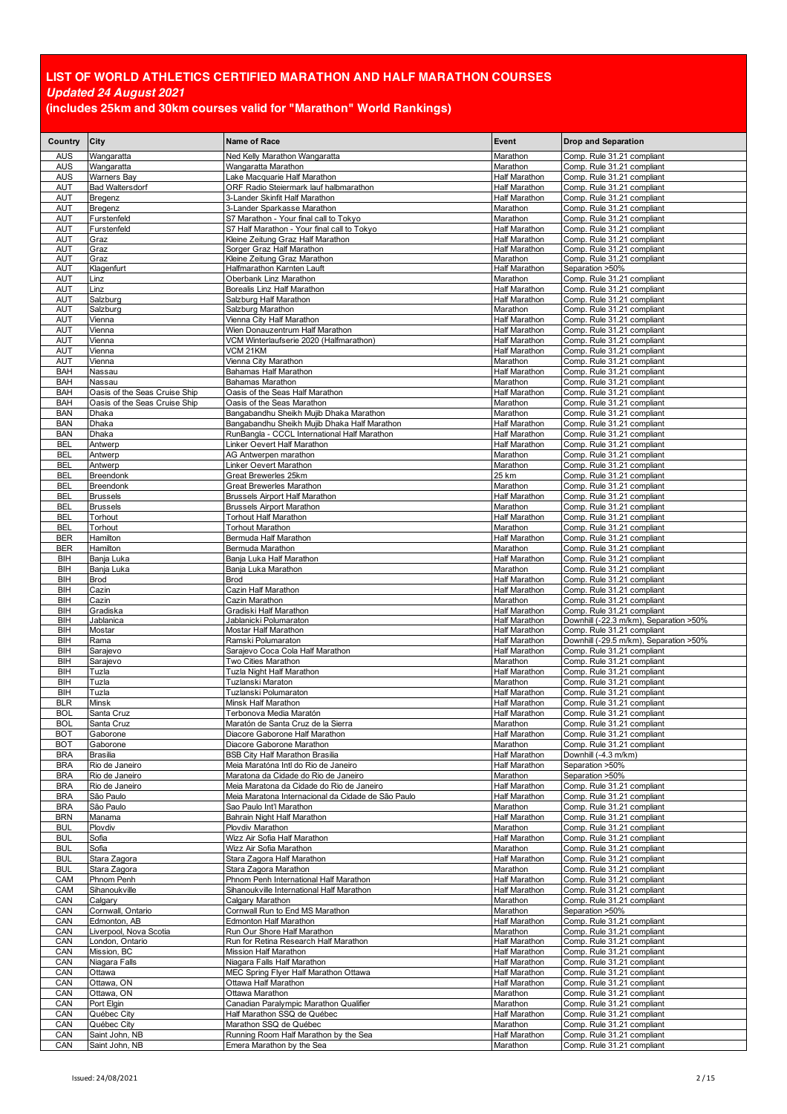| Country                  | City                              | Name of Race                                                        | Event                                        | <b>Drop and Separation</b>                               |
|--------------------------|-----------------------------------|---------------------------------------------------------------------|----------------------------------------------|----------------------------------------------------------|
| <b>AUS</b>               |                                   |                                                                     |                                              |                                                          |
| <b>AUS</b>               | Wangaratta<br>Wangaratta          | Ned Kelly Marathon Wangaratta<br>Wangaratta Marathon                | Marathon<br>Marathon                         | Comp. Rule 31.21 compliant<br>Comp. Rule 31.21 compliant |
| <b>AUS</b>               | <b>Warners Bay</b>                | Lake Macquarie Half Marathon                                        | <b>Half Marathon</b>                         | Comp. Rule 31.21 compliant                               |
| <b>AUT</b>               | <b>Bad Waltersdorf</b>            | ORF Radio Steiermark lauf halbmarathon                              | <b>Half Marathon</b>                         | Comp. Rule 31.21 compliant                               |
| <b>AUT</b>               | Bregenz                           | 3-Lander Skinfit Half Marathon                                      | <b>Half Marathon</b>                         | Comp. Rule 31.21 compliant                               |
| AUT                      | Bregenz                           | 3-Lander Sparkasse Marathon                                         | Marathon                                     | Comp. Rule 31.21 compliant                               |
| <b>AUT</b>               | Furstenfeld                       | S7 Marathon - Your final call to Tokyo                              | Marathon                                     | Comp. Rule 31.21 compliant                               |
| AUT                      | Furstenfeld                       | S7 Half Marathon - Your final call to Tokyo                         | <b>Half Marathon</b>                         | Comp. Rule 31.21 compliant                               |
| AUT<br><b>AUT</b>        | Graz<br>Graz                      | Kleine Zeitung Graz Half Marathon<br>Sorger Graz Half Marathon      | <b>Half Marathon</b><br><b>Half Marathon</b> | Comp. Rule 31.21 compliant<br>Comp. Rule 31.21 compliant |
| <b>AUT</b>               | Graz                              | Kleine Zeitung Graz Marathon                                        | Marathon                                     | Comp. Rule 31.21 compliant                               |
| <b>AUT</b>               | Klagenfurt                        | Halfmarathon Karnten Lauft                                          | <b>Half Marathon</b>                         | Separation >50%                                          |
| <b>AUT</b>               | Linz                              | Oberbank Linz Marathon                                              | Marathon                                     | Comp. Rule 31.21 compliant                               |
| <b>AUT</b>               | Linz                              | Borealis Linz Half Marathon                                         | Half Marathon                                | Comp. Rule 31.21 compliant                               |
| <b>AUT</b>               | Salzburg                          | Salzburg Half Marathon                                              | Half Marathon                                | Comp. Rule 31.21 compliant                               |
| AUT                      | Salzburg                          | Salzburg Marathon                                                   | Marathon                                     | Comp. Rule 31.21 compliant                               |
| AUT<br><b>AUT</b>        | Vienna<br>Vienna                  | Vienna City Half Marathon<br>Wien Donauzentrum Half Marathon        | <b>Half Marathon</b><br><b>Half Marathon</b> | Comp. Rule 31.21 compliant                               |
| <b>AUT</b>               | Vienna                            | VCM Winterlaufserie 2020 (Halfmarathon)                             | <b>Half Marathon</b>                         | Comp. Rule 31.21 compliant<br>Comp. Rule 31.21 compliant |
| AUT                      | Vienna                            | VCM 21KM                                                            | Half Marathon                                | Comp. Rule 31.21 compliant                               |
| <b>AUT</b>               | Vienna                            | Vienna City Marathon                                                | Marathon                                     | Comp. Rule 31.21 compliant                               |
| <b>BAH</b>               | Nassau                            | Bahamas Half Marathon                                               | Half Marathon                                | Comp. Rule 31.21 compliant                               |
| BAH                      | Nassau                            | Bahamas Marathon                                                    | Marathon                                     | Comp. Rule 31.21 compliant                               |
| <b>BAH</b>               | Oasis of the Seas Cruise Ship     | Oasis of the Seas Half Marathon                                     | Half Marathon                                | Comp. Rule 31.21 compliant                               |
| BAH                      | Oasis of the Seas Cruise Ship     | Oasis of the Seas Marathon                                          | Marathon                                     | Comp. Rule 31.21 compliant                               |
| <b>BAN</b>               | Dhaka                             | Bangabandhu Sheikh Mujib Dhaka Marathon                             | Marathon                                     | Comp. Rule 31.21 compliant                               |
| <b>BAN</b>               | Dhaka                             | Bangabandhu Sheikh Mujib Dhaka Half Marathon                        | Half Marathon                                | Comp. Rule 31.21 compliant                               |
| <b>BAN</b>               | Dhaka                             | RunBangla - CCCL International Half Marathon                        | Half Marathon                                | Comp. Rule 31.21 compliant                               |
| <b>BEL</b><br><b>BEL</b> | Antwerp<br>Antwerp                | Linker Oevert Half Marathon<br>AG Antwerpen marathon                | <b>Half Marathon</b><br>Marathon             | Comp. Rule 31.21 compliant<br>Comp. Rule 31.21 compliant |
| <b>BEL</b>               | Antwerp                           | Linker Oevert Marathon                                              | Marathon                                     | Comp. Rule 31.21 compliant                               |
| <b>BEL</b>               | Breendonk                         | Great Brewerles 25km                                                | 25 km                                        | Comp. Rule 31.21 compliant                               |
| <b>BEL</b>               | Breendonk                         | Great Brewerles Marathon                                            | Marathon                                     | Comp. Rule 31.21 compliant                               |
| <b>BEL</b>               | <b>Brussels</b>                   | <b>Brussels Airport Half Marathon</b>                               | <b>Half Marathon</b>                         | Comp. Rule 31.21 compliant                               |
| <b>BEL</b>               | <b>Brussels</b>                   | <b>Brussels Airport Marathon</b>                                    | Marathon                                     | Comp. Rule 31.21 compliant                               |
| <b>BEL</b>               | Torhout                           | Torhout Half Marathon                                               | Half Marathon                                | Comp. Rule 31.21 compliant                               |
| <b>BEL</b>               | Torhout                           | <b>Torhout Marathon</b>                                             | Marathon                                     | Comp. Rule 31.21 compliant                               |
| BER                      | Hamilton                          | Bermuda Half Marathon                                               | Half Marathon                                | Comp. Rule 31.21 compliant                               |
| <b>BER</b><br>BIH        | Hamilton                          | Bermuda Marathon                                                    | Marathon<br>Half Marathon                    | Comp. Rule 31.21 compliant                               |
| BIH                      | Banja Luka<br>Banja Luka          | Banja Luka Half Marathon<br>Banja Luka Marathon                     | Marathon                                     | Comp. Rule 31.21 compliant<br>Comp. Rule 31.21 compliant |
| BIH                      | <b>Brod</b>                       | <b>Brod</b>                                                         | <b>Half Marathon</b>                         | Comp. Rule 31.21 compliant                               |
| BIH                      | Cazin                             | Cazin Half Marathon                                                 | Half Marathon                                | Comp. Rule 31.21 compliant                               |
| BIH                      | Cazin                             | Cazin Marathon                                                      | Marathon                                     | Comp. Rule 31.21 compliant                               |
| BIH                      | Gradiska                          | Gradiski Half Marathon                                              | <b>Half Marathon</b>                         | Comp. Rule 31.21 compliant                               |
| BIH                      | Jablanica                         | Jablanicki Polumaraton                                              | Half Marathon                                | Downhill (-22.3 m/km), Separation >50%                   |
| BIH                      | Mostar                            | Mostar Half Marathon                                                | Half Marathon                                | Comp. Rule 31.21 compliant                               |
| BIH                      | Rama                              | Ramski Polumaraton                                                  | <b>Half Marathon</b><br><b>Half Marathon</b> | Downhill (-29.5 m/km), Separation >50%                   |
| BIH<br>BIH               | Sarajevo<br>Sarajevo              | Sarajevo Coca Cola Half Marathon<br>Two Cities Marathon             | Marathon                                     | Comp. Rule 31.21 compliant<br>Comp. Rule 31.21 compliant |
| BIH                      | Tuzla                             | Tuzla Night Half Marathon                                           | <b>Half Marathon</b>                         | Comp. Rule 31.21 compliant                               |
| BIH                      | Tuzla                             | Tuzlanski Maraton                                                   | Marathon                                     | Comp. Rule 31.21 compliant                               |
| BIH                      | Tuzla                             | Tuzlanski Polumaraton                                               | Half Marathon                                | Comp. Rule 31.21 compliant                               |
| <b>BLR</b>               | <b>Minsk</b>                      | Minsk Half Marathon                                                 | <b>Half Marathon</b>                         | Comp. Rule 31.21 compliant                               |
| <b>BOL</b>               | Santa Cruz                        | Terbonova Media Maratón                                             | <b>Half Marathon</b>                         | Comp. Rule 31.21 compliant                               |
| BOL                      | Santa Cruz                        | Maraton de Santa Cruz de la Sierra                                  | Marathon                                     | Comp. Rule 31.21 compliant                               |
| <b>BOT</b>               | Gaborone                          | Diacore Gaborone Half Marathon                                      | <b>Half Marathon</b>                         | Comp. Rule 31.21 compliant                               |
| BOT                      | Gaborone                          | Diacore Gaborone Marathon<br><b>BSB City Half Marathon Brasilia</b> | Marathon<br>Half Marathon                    | Comp. Rule 31.21 compliant                               |
| <b>BRA</b><br><b>BRA</b> | <b>Brasilia</b><br>Rio de Janeiro | Meia Maratóna Intl do Rio de Janeiro                                | <b>Half Marathon</b>                         | Downhill (-4.3 m/km)<br>Separation >50%                  |
| <b>BRA</b>               | Rio de Janeiro                    | Maratona da Cidade do Rio de Janeiro                                | Marathon                                     | Separation >50%                                          |
| <b>BRA</b>               | Rio de Janeiro                    | Meia Maratona da Cidade do Rio de Janeiro                           | <b>Half Marathon</b>                         | Comp. Rule 31.21 compliant                               |
| <b>BRA</b>               | São Paulo                         | Meia Maratona Internacional da Cidade de São Paulo                  | Half Marathon                                | Comp. Rule 31.21 compliant                               |
| <b>BRA</b>               | São Paulo                         | Sao Paulo Int'l Marathon                                            | Marathon                                     | Comp. Rule 31.21 compliant                               |
| <b>BRN</b>               | Manama                            | Bahrain Night Half Marathon                                         | <b>Half Marathon</b>                         | Comp. Rule 31.21 compliant                               |
| <b>BUL</b>               | Plovdiv                           | Plovdiv Marathon                                                    | Marathon                                     | Comp. Rule 31.21 compliant                               |
| <b>BUL</b><br><b>BUL</b> | Sofia<br>Sofia                    | Wizz Air Sofia Half Marathon<br>Wizz Air Sofia Marathon             | <b>Half Marathon</b><br>Marathon             | Comp. Rule 31.21 compliant<br>Comp. Rule 31.21 compliant |
| <b>BUL</b>               | Stara Zagora                      | Stara Zagora Half Marathon                                          | Half Marathon                                | Comp. Rule 31.21 compliant                               |
| <b>BUL</b>               | Stara Zagora                      | Stara Zagora Marathon                                               | Marathon                                     | Comp. Rule 31.21 compliant                               |
| CAM                      | Phnom Penh                        | Phnom Penh International Half Marathon                              | <b>Half Marathon</b>                         | Comp. Rule 31.21 compliant                               |
| CAM                      | Sihanoukville                     | Sihanoukville International Half Marathon                           | Half Marathon                                | Comp. Rule 31.21 compliant                               |
| CAN                      | Calgary                           | Calgary Marathon                                                    | Marathon                                     | Comp. Rule 31.21 compliant                               |
| CAN                      | Cornwall, Ontario                 | Cornwall Run to End MS Marathon                                     | Marathon                                     | Separation >50%                                          |
| CAN                      | Edmonton, AB                      | Edmonton Half Marathon                                              | <b>Half Marathon</b>                         | Comp. Rule 31.21 compliant                               |
| CAN                      | Liverpool, Nova Scotia            | Run Our Shore Half Marathon                                         | Marathon                                     | Comp. Rule 31.21 compliant                               |
| CAN<br>CAN               | London, Ontario<br>Mission, BC    | Run for Retina Research Half Marathon<br>Mission Half Marathon      | <b>Half Marathon</b><br><b>Half Marathon</b> | Comp. Rule 31.21 compliant                               |
| CAN                      | Niagara Falls                     | Niagara Falls Half Marathon                                         | Half Marathon                                | Comp. Rule 31.21 compliant<br>Comp. Rule 31.21 compliant |
| CAN                      | Ottawa                            | MEC Spring Flyer Half Marathon Ottawa                               | <b>Half Marathon</b>                         | Comp. Rule 31.21 compliant                               |
| CAN                      | Ottawa, ON                        | Ottawa Half Marathon                                                | <b>Half Marathon</b>                         | Comp. Rule 31.21 compliant                               |
| CAN                      | Ottawa, ON                        | Ottawa Marathon                                                     | Marathon                                     | Comp. Rule 31.21 compliant                               |
| CAN                      | Port Elgin                        | Canadian Paralympic Marathon Qualifier                              | Marathon                                     | Comp. Rule 31.21 compliant                               |
| CAN                      | Québec City                       | Half Marathon SSQ de Québec                                         | <b>Half Marathon</b>                         | Comp. Rule 31.21 compliant                               |
| CAN                      | Québec City                       | Marathon SSQ de Québec                                              | Marathon                                     | Comp. Rule 31.21 compliant                               |
| CAN                      | Saint John, NB                    | Running Room Half Marathon by the Sea                               | <b>Half Marathon</b>                         | Comp. Rule 31.21 compliant                               |
| CAN                      | Saint John, NB                    | Emera Marathon by the Sea                                           | Marathon                                     | Comp. Rule 31.21 compliant                               |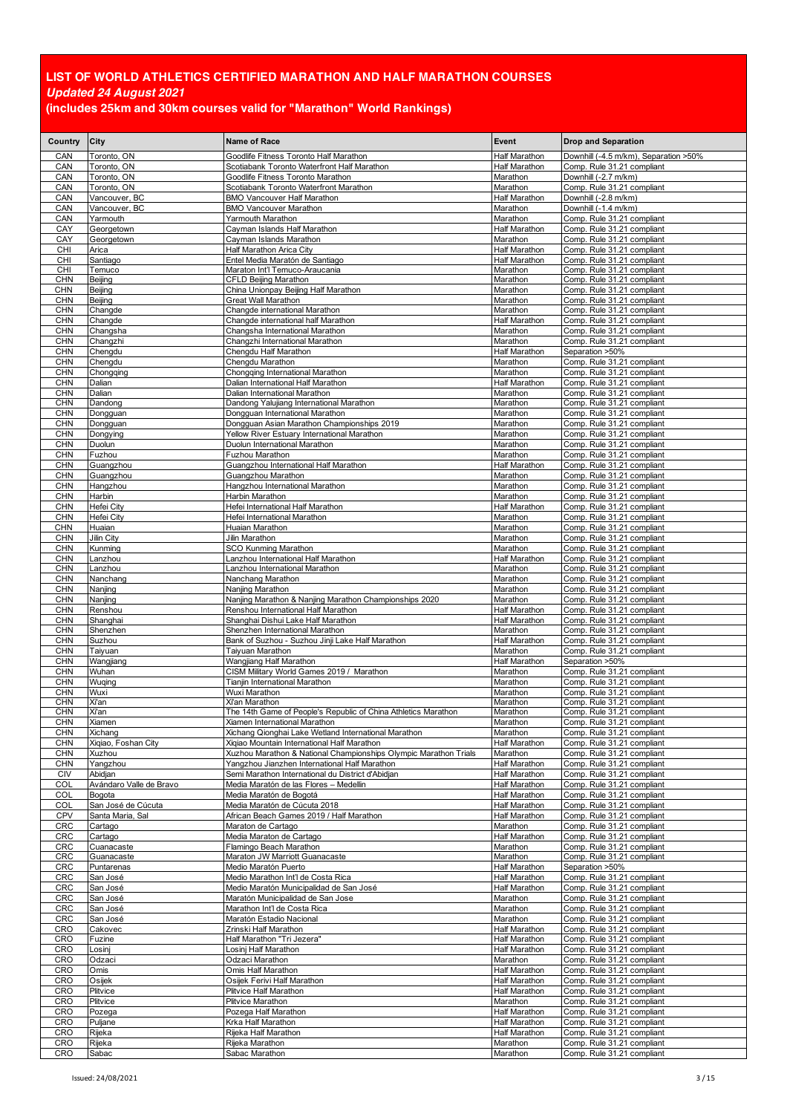| Country                  | City                               | Name of Race                                                                                    | Event                                        | <b>Drop and Separation</b>                               |
|--------------------------|------------------------------------|-------------------------------------------------------------------------------------------------|----------------------------------------------|----------------------------------------------------------|
| CAN                      | Toronto, ON                        | Goodlife Fitness Toronto Half Marathon                                                          | Half Marathon                                | Downhill (-4.5 m/km), Separation >50%                    |
| CAN                      | Toronto, ON                        | Scotiabank Toronto Waterfront Half Marathon                                                     | <b>Half Marathon</b>                         | Comp. Rule 31.21 compliant                               |
| CAN                      | Toronto, ON                        | Goodlife Fitness Toronto Marathon                                                               | Marathon                                     | Downhill (-2.7 m/km)                                     |
| CAN                      | Toronto, ON                        | Scotiabank Toronto Waterfront Marathon                                                          | Marathon                                     | Comp. Rule 31.21 compliant                               |
| CAN<br>CAN               | Vancouver, BC<br>Vancouver, BC     | <b>BMO Vancouver Half Marathon</b><br><b>BMO Vancouver Marathon</b>                             | Half Marathon<br>Marathon                    | Downhill (-2.8 m/km)<br>Downhill (-1.4 m/km)             |
| CAN                      | Yarmouth                           | Yarmouth Marathon                                                                               | Marathon                                     | Comp. Rule 31.21 compliant                               |
| CAY                      | Georgetown                         | Cayman Islands Half Marathon                                                                    | <b>Half Marathon</b>                         | Comp. Rule 31.21 compliant                               |
| CAY                      | Georgetown                         | Cayman Islands Marathon                                                                         | Marathon                                     | Comp. Rule 31.21 compliant                               |
| <b>CHI</b>               | Arica                              | Half Marathon Arica City                                                                        | Half Marathon                                | Comp. Rule 31.21 compliant                               |
| CHI                      | Santiago                           | Entel Media Maratón de Santiago                                                                 | <b>Half Marathon</b>                         | Comp. Rule 31.21 compliant                               |
| <b>CHI</b><br><b>CHN</b> | Temuco<br>Beijing                  | Maraton Int'l Temuco-Araucania<br>CFLD Beijing Marathon                                         | Marathon<br>Marathon                         | Comp. Rule 31.21 compliant<br>Comp. Rule 31.21 compliant |
| <b>CHN</b>               | Beijing                            | China Unionpay Beijing Half Marathon                                                            | Marathon                                     | Comp. Rule 31.21 compliant                               |
| <b>CHN</b>               | Beijing                            | <b>Great Wall Marathon</b>                                                                      | Marathon                                     | Comp. Rule 31.21 compliant                               |
| <b>CHN</b>               | Changde                            | Changde international Marathon                                                                  | Marathon                                     | Comp. Rule 31.21 compliant                               |
| <b>CHN</b>               | Changde                            | Changde international half Marathon                                                             | Half Marathon                                | Comp. Rule 31.21 compliant                               |
| <b>CHN</b><br><b>CHN</b> | Changsha<br>Changzhi               | Changsha International Marathon<br>Changzhi International Marathon                              | Marathon<br>Marathon                         | Comp. Rule 31.21 compliant<br>Comp. Rule 31.21 compliant |
| <b>CHN</b>               | Chengdu                            | Chengdu Half Marathon                                                                           | Half Marathon                                | Separation >50%                                          |
| <b>CHN</b>               | Chengdu                            | Chengdu Marathon                                                                                | Marathon                                     | Comp. Rule 31.21 compliant                               |
| <b>CHN</b>               | Chongqing                          | Chongqing International Marathon                                                                | Marathon                                     | Comp. Rule 31.21 compliant                               |
| <b>CHN</b>               | Dalian                             | Dalian International Half Marathon                                                              | Half Marathon                                | Comp. Rule 31.21 compliant                               |
| <b>CHN</b><br><b>CHN</b> | Dalian<br>Dandong                  | Dalian International Marathon<br>Dandong Yalujiang International Marathon                       | Marathon<br>Marathon                         | Comp. Rule 31.21 compliant<br>Comp. Rule 31.21 compliant |
| <b>CHN</b>               | Dongguan                           | Dongguan International Marathon                                                                 | Marathon                                     | Comp. Rule 31.21 compliant                               |
| <b>CHN</b>               | Dongguan                           | Dongguan Asian Marathon Championships 2019                                                      | Marathon                                     | Comp. Rule 31.21 compliant                               |
| <b>CHN</b>               | Dongying                           | Yellow River Estuary International Marathon                                                     | Marathon                                     | Comp. Rule 31.21 compliant                               |
| <b>CHN</b>               | Duolun                             | Duolun International Marathon                                                                   | Marathon                                     | Comp. Rule 31.21 compliant                               |
| <b>CHN</b><br><b>CHN</b> | Fuzhou<br>Guangzhou                | Fuzhou Marathon<br>Guangzhou International Half Marathon                                        | Marathon<br>Half Marathon                    | Comp. Rule 31.21 compliant<br>Comp. Rule 31.21 compliant |
| <b>CHN</b>               | Guangzhou                          | Guangzhou Marathon                                                                              | Marathon                                     | Comp. Rule 31.21 compliant                               |
| <b>CHN</b>               | Hangzhou                           | Hangzhou International Marathon                                                                 | Marathon                                     | Comp. Rule 31.21 compliant                               |
| <b>CHN</b>               | Harbin                             | Harbin Marathon                                                                                 | Marathon                                     | Comp. Rule 31.21 compliant                               |
| <b>CHN</b>               | Hefei City                         | Hefei International Half Marathon                                                               | <b>Half Marathon</b>                         | Comp. Rule 31.21 compliant                               |
| <b>CHN</b>               | Hefei City                         | Hefei International Marathon                                                                    | Marathon                                     | Comp. Rule 31.21 compliant                               |
| <b>CHN</b><br><b>CHN</b> | Huaian<br>Jilin City               | Huaian Marathon<br>Jilin Marathon                                                               | Marathon<br>Marathon                         | Comp. Rule 31.21 compliant<br>Comp. Rule 31.21 compliant |
| <b>CHN</b>               | Kunming                            | <b>SCO Kunming Marathon</b>                                                                     | Marathon                                     | Comp. Rule 31.21 compliant                               |
| <b>CHN</b>               | _anzhou                            | Lanzhou International Half Marathon                                                             | Half Marathon                                | Comp. Rule 31.21 compliant                               |
| <b>CHN</b>               | Lanzhou                            | Lanzhou International Marathon                                                                  | Marathon                                     | Comp. Rule 31.21 compliant                               |
| <b>CHN</b>               | Nanchang                           | Nanchang Marathon                                                                               | Marathon                                     | Comp. Rule 31.21 compliant                               |
| <b>CHN</b><br><b>CHN</b> | Nanjing<br>Nanjing                 | Nanjing Marathon<br>Nanjing Marathon & Nanjing Marathon Championships 2020                      | Marathon<br>Marathon                         | Comp. Rule 31.21 compliant<br>Comp. Rule 31.21 compliant |
| <b>CHN</b>               | Renshou                            | Renshou International Half Marathon                                                             | <b>Half Marathon</b>                         | Comp. Rule 31.21 compliant                               |
| <b>CHN</b>               | Shanghai                           | Shanghai Dishui Lake Half Marathon                                                              | Half Marathon                                | Comp. Rule 31.21 compliant                               |
| <b>CHN</b>               | Shenzhen                           | Shenzhen International Marathon                                                                 | Marathon                                     | Comp. Rule 31.21 compliant                               |
| <b>CHN</b>               | Suzhou                             | Bank of Suzhou - Suzhou Jinji Lake Half Marathon                                                | Half Marathon                                | Comp. Rule 31.21 compliant                               |
| <b>CHN</b><br><b>CHN</b> | Taiyuan<br>Wangjiang               | Taiyuan Marathon                                                                                | Marathon<br>Half Marathon                    | Comp. Rule 31.21 compliant<br>Separation >50%            |
| <b>CHN</b>               | Wuhan                              | Wangjiang Half Marathon<br>CISM Military World Games 2019 / Marathon                            | Marathon                                     | Comp. Rule 31.21 compliant                               |
| <b>CHN</b>               | Wuqing                             | Tianjin International Marathon                                                                  | Marathon                                     | Comp. Rule 31.21 compliant                               |
| <b>CHN</b>               | Wuxi                               | Wuxi Marathon                                                                                   | Marathon                                     | Comp. Rule 31.21 compliant                               |
| <b>CHN</b>               | Xi'an                              | Xi'an Marathon                                                                                  | Marathon                                     | Comp. Rule 31.21 compliant                               |
| CHN<br>CHN               | Xi'an<br>Xiamen                    | The 14th Game of People's Republic of China Athletics Marathon<br>Xiamen International Marathon | Marathon<br>Marathon                         | Comp. Rule 31.21 compliant<br>Comp. Rule 31.21 compliant |
| <b>CHN</b>               | Xichang                            | Xichang Qionghai Lake Wetland International Marathon                                            | Marathon                                     | Comp. Rule 31.21 compliant                               |
| <b>CHN</b>               | Xiqiao, Foshan City                | Xigiao Mountain International Half Marathon                                                     | Half Marathon                                | Comp. Rule 31.21 compliant                               |
| <b>CHN</b>               | Xuzhou                             | Xuzhou Marathon & National Championships Olympic Marathon Trials                                | Marathon                                     | Comp. Rule 31.21 compliant                               |
| <b>CHN</b>               | Yangzhou                           | Yangzhou Jianzhen International Half Marathon                                                   | <b>Half Marathon</b>                         | Comp. Rule 31.21 compliant                               |
| <b>CIV</b><br>COL        | Abidjan<br>Avándaro Valle de Bravo | Semi Marathon International du District d'Abidjan<br>Media Maratón de las Flores - Medellin     | <b>Half Marathon</b><br><b>Half Marathon</b> | Comp. Rule 31.21 compliant<br>Comp. Rule 31.21 compliant |
| COL                      | Bogota                             | Media Maratón de Bogotá                                                                         | Half Marathon                                | Comp. Rule 31.21 compliant                               |
| COL                      | San José de Cúcuta                 | Media Maratón de Cúcuta 2018                                                                    | <b>Half Marathon</b>                         | Comp. Rule 31.21 compliant                               |
| <b>CPV</b>               | Santa Maria, Sal                   | African Beach Games 2019 / Half Marathon                                                        | <b>Half Marathon</b>                         | Comp. Rule 31.21 compliant                               |
| CRC                      | Cartago                            | Maraton de Cartago                                                                              | Marathon                                     | Comp. Rule 31.21 compliant                               |
| <b>CRC</b><br>CRC        | Cartago<br>Cuanacaste              | Media Maraton de Cartago<br>Flamingo Beach Marathon                                             | <b>Half Marathon</b><br>Marathon             | Comp. Rule 31.21 compliant<br>Comp. Rule 31.21 compliant |
| <b>CRC</b>               | Guanacaste                         | Maraton JW Marriott Guanacaste                                                                  | Marathon                                     | Comp. Rule 31.21 compliant                               |
| <b>CRC</b>               | Puntarenas                         | Medio Maratón Puerto                                                                            | Half Marathon                                | Separation >50%                                          |
| CRC                      | San José                           | Medio Marathon Int'l de Costa Rica                                                              | <b>Half Marathon</b>                         | Comp. Rule 31.21 compliant                               |
| <b>CRC</b>               | San José                           | Medio Maratón Municipalidad de San José                                                         | <b>Half Marathon</b>                         | Comp. Rule 31.21 compliant                               |
| <b>CRC</b><br><b>CRC</b> | San José<br>San José               | Maratón Municipalidad de San Jose<br>Marathon Int'l de Costa Rica                               | Marathon<br>Marathon                         | Comp. Rule 31.21 compliant<br>Comp. Rule 31.21 compliant |
| <b>CRC</b>               | San José                           | Maratón Estadio Nacional                                                                        | Marathon                                     | Comp. Rule 31.21 compliant                               |
| CRO                      | Cakovec                            | Zrinski Half Marathon                                                                           | <b>Half Marathon</b>                         | Comp. Rule 31.21 compliant                               |
| CRO                      | Fuzine                             | Half Marathon "Tri Jezera"                                                                      | Half Marathon                                | Comp. Rule 31.21 compliant                               |
| CRO                      | Losinj                             | Losinj Half Marathon                                                                            | Half Marathon                                | Comp. Rule 31.21 compliant                               |
| CRO                      | Odzaci                             | Odzaci Marathon<br>Omis Half Marathon                                                           | Marathon                                     | Comp. Rule 31.21 compliant                               |
| CRO<br><b>CRO</b>        | Omis<br>Osijek                     | Osijek Ferivi Half Marathon                                                                     | Half Marathon<br>Half Marathon               | Comp. Rule 31.21 compliant<br>Comp. Rule 31.21 compliant |
| CRO                      | Plitvice                           | Plitvice Half Marathon                                                                          | <b>Half Marathon</b>                         | Comp. Rule 31.21 compliant                               |
| CRO                      | Plitvice                           | Plitvice Marathon                                                                               | Marathon                                     | Comp. Rule 31.21 compliant                               |
| CRO                      | Pozega                             | Pozega Half Marathon                                                                            | <b>Half Marathon</b>                         | Comp. Rule 31.21 compliant                               |
| CRO                      | Puljane                            | Krka Half Marathon                                                                              | <b>Half Marathon</b>                         | Comp. Rule 31.21 compliant                               |
| CRO<br>CRO               | Rijeka<br>Rijeka                   | Rijeka Half Marathon<br>Rijeka Marathon                                                         | Half Marathon<br>Marathon                    | Comp. Rule 31.21 compliant<br>Comp. Rule 31.21 compliant |
| CRO                      | Sabac                              | Sabac Marathon                                                                                  | Marathon                                     | Comp. Rule 31.21 compliant                               |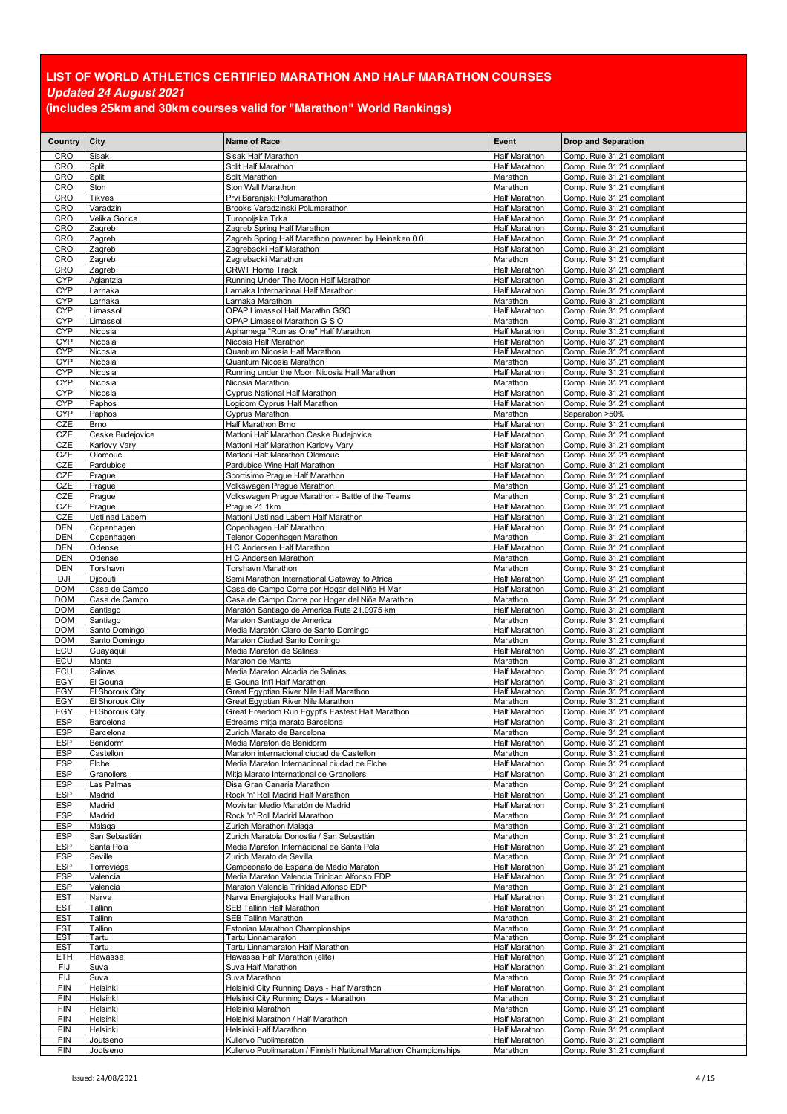| Country                  | City                               | <b>Name of Race</b>                                                                      | Event                                        | <b>Drop and Separation</b>                               |
|--------------------------|------------------------------------|------------------------------------------------------------------------------------------|----------------------------------------------|----------------------------------------------------------|
| CRO                      | Sisak                              | Sisak Half Marathon                                                                      | <b>Half Marathon</b>                         | Comp. Rule 31.21 compliant                               |
| CRO                      | Split                              | Split Half Marathon                                                                      | <b>Half Marathon</b>                         | Comp. Rule 31.21 compliant                               |
| CRO<br>CRO               | Split<br>Ston                      | Split Marathon<br>Ston Wall Marathon                                                     | Marathon<br>Marathon                         | Comp. Rule 31.21 compliant<br>Comp. Rule 31.21 compliant |
| CRO                      | Tikves                             | Prvi Baranjski Polumarathon                                                              | <b>Half Marathon</b>                         | Comp. Rule 31.21 compliant                               |
| CRO                      | Varadzin                           | Brooks Varadzinski Polumarathon                                                          | <b>Half Marathon</b>                         | Comp. Rule 31.21 compliant                               |
| CRO                      | Velika Gorica                      | Turopoljska Trka                                                                         | <b>Half Marathon</b>                         | Comp. Rule 31.21 compliant                               |
| CRO<br>CRO               | Zagreb<br>Zagreb                   | Zagreb Spring Half Marathon<br>Zagreb Spring Half Marathon powered by Heineken 0.0       | Half Marathon<br>Half Marathon               | Comp. Rule 31.21 compliant                               |
| CRO                      | Zagreb                             | Zagrebacki Half Marathon                                                                 | Half Marathon                                | Comp. Rule 31.21 compliant<br>Comp. Rule 31.21 compliant |
| CRO                      | Zagreb                             | Zagrebacki Marathon                                                                      | Marathon                                     | Comp. Rule 31.21 compliant                               |
| CRO                      | Zagreb                             | <b>CRWT Home Track</b>                                                                   | Half Marathon                                | Comp. Rule 31.21 compliant                               |
| <b>CYP</b>               | Aglantzia                          | Running Under The Moon Half Marathon                                                     | <b>Half Marathon</b>                         | Comp. Rule 31.21 compliant                               |
| <b>CYP</b><br><b>CYP</b> | Larnaka<br>Larnaka                 | Larnaka International Half Marathon<br>Larnaka Marathon                                  | Half Marathon<br>Marathon                    | Comp. Rule 31.21 compliant<br>Comp. Rule 31.21 compliant |
| <b>CYP</b>               | Limassol                           | OPAP Limassol Half Marathn GSO                                                           | Half Marathon                                | Comp. Rule 31.21 compliant                               |
| <b>CYP</b>               | Limassol                           | OPAP Limassol Marathon G S O                                                             | Marathon                                     | Comp. Rule 31.21 compliant                               |
| <b>CYP</b>               | Nicosia                            | Alphamega "Run as One" Half Marathon                                                     | <b>Half Marathon</b>                         | Comp. Rule 31.21 compliant                               |
| <b>CYP</b>               | Nicosia                            | Nicosia Half Marathon                                                                    | Half Marathon                                | Comp. Rule 31.21 compliant                               |
| <b>CYP</b><br><b>CYP</b> | Nicosia<br>Nicosia                 | Quantum Nicosia Half Marathon<br>Quantum Nicosia Marathon                                | <b>Half Marathon</b><br>Marathon             | Comp. Rule 31.21 compliant<br>Comp. Rule 31.21 compliant |
| <b>CYP</b>               | Nicosia                            | Running under the Moon Nicosia Half Marathon                                             | <b>Half Marathon</b>                         | Comp. Rule 31.21 compliant                               |
| <b>CYP</b>               | Nicosia                            | Nicosia Marathon                                                                         | Marathon                                     | Comp. Rule 31.21 compliant                               |
| <b>CYP</b>               | Nicosia                            | Cyprus National Half Marathon                                                            | Half Marathon                                | Comp. Rule 31.21 compliant                               |
| <b>CYP</b><br><b>CYP</b> | Paphos<br>Paphos                   | Logicom Cyprus Half Marathon<br><b>Cyprus Marathon</b>                                   | <b>Half Marathon</b><br>Marathon             | Comp. Rule 31.21 compliant<br>Separation >50%            |
| CZE                      | <b>Brno</b>                        | Half Marathon Brno                                                                       | <b>Half Marathon</b>                         | Comp. Rule 31.21 compliant                               |
| CZE                      | Ceske Budejovice                   | Mattoni Half Marathon Ceske Budejovice                                                   | <b>Half Marathon</b>                         | Comp. Rule 31.21 compliant                               |
| CZE                      | Karlovy Vary                       | Mattoni Half Marathon Karlovy Vary                                                       | Half Marathon                                | Comp. Rule 31.21 compliant                               |
| CZE<br>CZE               | Olomouc<br>Pardubice               | Mattoni Half Marathon Olomouc<br>Pardubice Wine Half Marathon                            | Half Marathon<br>Half Marathon               | Comp. Rule 31.21 compliant<br>Comp. Rule 31.21 compliant |
| CZE                      | Prague                             | Sportisimo Prague Half Marathon                                                          | <b>Half Marathon</b>                         | Comp. Rule 31.21 compliant                               |
| CZE                      | Prague                             | Volkswagen Prague Marathon                                                               | Marathon                                     | Comp. Rule 31.21 compliant                               |
| CZE                      | Prague                             | Volkswagen Prague Marathon - Battle of the Teams                                         | Marathon                                     | Comp. Rule 31.21 compliant                               |
| CZE<br>CZE               | Prague<br>Usti nad Labem           | Prague 21.1km<br>Mattoni Usti nad Labem Half Marathon                                    | Half Marathon<br>Half Marathon               | Comp. Rule 31.21 compliant<br>Comp. Rule 31.21 compliant |
| <b>DEN</b>               | Copenhagen                         | Copenhagen Half Marathon                                                                 | <b>Half Marathon</b>                         | Comp. Rule 31.21 compliant                               |
| DEN                      | Copenhagen                         | Telenor Copenhagen Marathon                                                              | Marathon                                     | Comp. Rule 31.21 compliant                               |
| <b>DEN</b>               | Odense                             | H C Andersen Half Marathon                                                               | <b>Half Marathon</b>                         | Comp. Rule 31.21 compliant                               |
| <b>DEN</b><br><b>DEN</b> | Odense<br>Torshavn                 | H C Andersen Marathon<br>Torshavn Marathon                                               | Marathon<br>Marathon                         | Comp. Rule 31.21 compliant<br>Comp. Rule 31.21 compliant |
| DJI                      | Djibouti                           | Semi Marathon International Gateway to Africa                                            | <b>Half Marathon</b>                         | Comp. Rule 31.21 compliant                               |
| <b>DOM</b>               | Casa de Campo                      | Casa de Campo Corre por Hogar del Niña H Mar                                             | Half Marathon                                | Comp. Rule 31.21 compliant                               |
| <b>DOM</b>               | Casa de Campo                      | Casa de Campo Corre por Hogar del Niña Marathon                                          | Marathon                                     | Comp. Rule 31.21 compliant                               |
| <b>DOM</b><br><b>DOM</b> | Santiago<br>Santiago               | Maratón Santiago de America Ruta 21.0975 km<br>Maratón Santiago de America               | Half Marathon<br>Marathon                    | Comp. Rule 31.21 compliant<br>Comp. Rule 31.21 compliant |
| <b>DOM</b>               | Santo Domingo                      | Media Maratón Claro de Santo Domingo                                                     | <b>Half Marathon</b>                         | Comp. Rule 31.21 compliant                               |
| <b>DOM</b>               | Santo Domingo                      | Maratón Ciudad Santo Domingo                                                             | Marathon                                     | Comp. Rule 31.21 compliant                               |
| ECU                      | Guayaquil                          | Media Maratón de Salinas                                                                 | <b>Half Marathon</b>                         | Comp. Rule 31.21 compliant                               |
| ECU<br>ECU               | Manta<br>Salinas                   | Maraton de Manta<br>Media Maraton Alcadia de Salinas                                     | Marathon<br>Half Marathon                    | Comp. Rule 31.21 compliant<br>Comp. Rule 31.21 compliant |
| EGY                      | El Gouna                           | El Gouna Int'l Half Marathon                                                             | <b>Half Marathon</b>                         | Comp. Rule 31.21 compliant                               |
| <b>EGY</b>               | El Shorouk City                    | Great Egyptian River Nile Half Marathon                                                  | <b>Half Marathon</b>                         | Comp. Rule 31.21 compliant                               |
| EGY<br>EGY               | El Shorouk City<br>El Shorouk City | Great Eqyptian River Nile Marathon<br>Great Freedom Run Egypt's Fastest Half Marathon    | Marathon<br><b>Half Marathon</b>             | Comp. Rule 31.21 compliant<br>Comp. Rule 31.21 compliant |
| <b>ESP</b>               | Barcelona                          | Edreams mitja marato Barcelona                                                           | <b>Half Marathon</b>                         | Comp. Rule 31.21 compliant                               |
| <b>ESP</b>               | Barcelona                          | Zurich Marato de Barcelona                                                               | Marathon                                     | Comp. Rule 31.21 compliant                               |
| <b>ESP</b>               | Benidorm                           | Media Maraton de Benidorm                                                                | Half Marathon                                | Comp. Rule 31.21 compliant                               |
| <b>ESP</b><br><b>ESP</b> | Castellon<br>Elche                 | Maraton internacional ciudad de Castellon<br>Media Maraton Internacional ciudad de Elche | Marathon<br><b>Half Marathon</b>             | Comp. Rule 31.21 compliant<br>Comp. Rule 31.21 compliant |
| ESP                      | Granollers                         | Mitja Marato International de Granollers                                                 | Half Marathon                                | Comp. Rule 31.21 compliant                               |
| <b>ESP</b>               | Las Palmas                         | Disa Gran Canaria Marathon                                                               | Marathon                                     | Comp. Rule 31.21 compliant                               |
| <b>ESP</b>               | Madrid                             | Rock 'n' Roll Madrid Half Marathon                                                       | Half Marathon                                | Comp. Rule 31.21 compliant                               |
| <b>ESP</b><br><b>ESP</b> | Madrid<br>Madrid                   | Movistar Medio Maratón de Madrid<br>Rock 'n' Roll Madrid Marathon                        | <b>Half Marathon</b><br>Marathon             | Comp. Rule 31.21 compliant<br>Comp. Rule 31.21 compliant |
| <b>ESP</b>               | Malaga                             | Zurich Marathon Malaga                                                                   | Marathon                                     | Comp. Rule 31.21 compliant                               |
| <b>ESP</b>               | San Sebastián                      | Zurich Maratoia Donostia / San Sebastián                                                 | Marathon                                     | Comp. Rule 31.21 compliant                               |
| ESP<br><b>ESP</b>        | Santa Pola<br>Seville              | Media Maraton Internacional de Santa Pola<br>Zurich Marato de Sevilla                    | Half Marathon<br>Marathon                    | Comp. Rule 31.21 compliant                               |
| <b>ESP</b>               | Torreviega                         | Campeonato de Espana de Medio Maraton                                                    | <b>Half Marathon</b>                         | Comp. Rule 31.21 compliant<br>Comp. Rule 31.21 compliant |
| ESP                      | Valencia                           | Media Maraton Valencia Trinidad Alfonso EDP                                              | <b>Half Marathon</b>                         | Comp. Rule 31.21 compliant                               |
| <b>ESP</b>               | Valencia                           | Maraton Valencia Trinidad Alfonso EDP                                                    | Marathon                                     | Comp. Rule 31.21 compliant                               |
| EST<br><b>EST</b>        | Narva<br>Tallinn                   | Narva Energiajooks Half Marathon<br>SEB Tallinn Half Marathon                            | <b>Half Marathon</b><br><b>Half Marathon</b> | Comp. Rule 31.21 compliant<br>Comp. Rule 31.21 compliant |
| <b>EST</b>               | Tallinn                            | SEB Tallinn Marathon                                                                     | Marathon                                     | Comp. Rule 31.21 compliant                               |
| <b>EST</b>               | Tallinn                            | Estonian Marathon Championships                                                          | Marathon                                     | Comp. Rule 31.21 compliant                               |
| EST                      | Tartu                              | Tartu Linnamaraton                                                                       | Marathon                                     | Comp. Rule 31.21 compliant                               |
| <b>EST</b><br>ETH        | Tartu<br>Hawassa                   | Tartu Linnamaraton Half Marathon<br>Hawassa Half Marathon (elite)                        | <b>Half Marathon</b><br>Half Marathon        | Comp. Rule 31.21 compliant<br>Comp. Rule 31.21 compliant |
| FIJ                      | Suva                               | Suva Half Marathon                                                                       | <b>Half Marathon</b>                         | Comp. Rule 31.21 compliant                               |
| FIJ                      | Suva                               | Suva Marathon                                                                            | Marathon                                     | Comp. Rule 31.21 compliant                               |
| <b>FIN</b><br>FIN        | Helsinki<br>Helsinki               | Helsinki City Running Days - Half Marathon<br>Helsinki City Running Days - Marathon      | <b>Half Marathon</b><br>Marathon             | Comp. Rule 31.21 compliant<br>Comp. Rule 31.21 compliant |
| FIN                      | Helsinki                           | Helsinki Marathon                                                                        | Marathon                                     | Comp. Rule 31.21 compliant                               |
| <b>FIN</b>               | Helsinki                           | Helsinki Marathon / Half Marathon                                                        | <b>Half Marathon</b>                         | Comp. Rule 31.21 compliant                               |
| FIN                      | Helsinki                           | Helsinki Half Marathon                                                                   | <b>Half Marathon</b>                         | Comp. Rule 31.21 compliant                               |
| FIN<br><b>FIN</b>        | Joutseno<br>Joutseno               | Kullervo Puolimaraton<br>Kullervo Puolimaraton / Finnish National Marathon Championships | Half Marathon<br>Marathon                    | Comp. Rule 31.21 compliant<br>Comp. Rule 31.21 compliant |
|                          |                                    |                                                                                          |                                              |                                                          |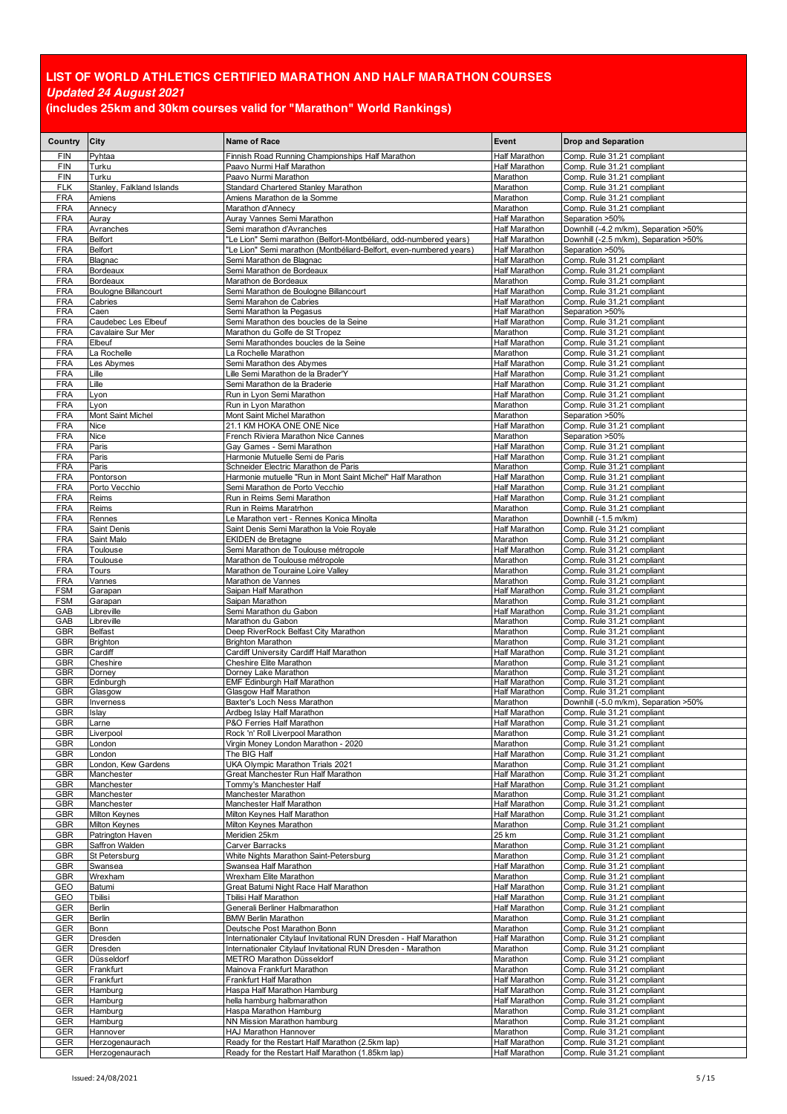| Country                  | City                                     | Name of Race                                                            | Event                                 | <b>Drop and Separation</b>                                                     |
|--------------------------|------------------------------------------|-------------------------------------------------------------------------|---------------------------------------|--------------------------------------------------------------------------------|
| <b>FIN</b>               | Pyhtaa                                   | Finnish Road Running Championships Half Marathon                        | <b>Half Marathon</b>                  | Comp. Rule 31.21 compliant                                                     |
| <b>FIN</b><br><b>FIN</b> | Turku<br>Turku                           | Paavo Nurmi Half Marathon<br>Paavo Nurmi Marathon                       | <b>Half Marathon</b>                  | Comp. Rule 31.21 compliant<br>Comp. Rule 31.21 compliant                       |
| <b>FLK</b>               | Stanley, Falkland Islands                | Standard Chartered Stanley Marathon                                     | Marathon<br>Marathon                  | Comp. Rule 31.21 compliant                                                     |
| <b>FRA</b>               | Amiens                                   | Amiens Marathon de la Somme                                             | Marathon                              | Comp. Rule 31.21 compliant                                                     |
| <b>FRA</b>               | Annecy                                   | Marathon d'Annecy                                                       | Marathon                              | Comp. Rule 31.21 compliant                                                     |
| <b>FRA</b><br><b>FRA</b> | Auray                                    | Auray Vannes Semi Marathon<br>Semi marathon d'Avranches                 | Half Marathon<br>Half Marathon        | Separation >50%                                                                |
| <b>FRA</b>               | Avranches<br>Belfort                     | 'Le Lion" Semi marathon (Belfort-Montbéliard, odd-numbered years)       | <b>Half Marathon</b>                  | Downhill (-4.2 m/km), Separation >50%<br>Downhill (-2.5 m/km), Separation >50% |
| <b>FRA</b>               | <b>Belfort</b>                           | 'Le Lion" Semi marathon (Montbéliard-Belfort, even-numbered years)      | <b>Half Marathon</b>                  | Separation >50%                                                                |
| <b>FRA</b>               | Blagnac                                  | Semi Marathon de Blagnac                                                | Half Marathon                         | Comp. Rule 31.21 compliant                                                     |
| <b>FRA</b>               | Bordeaux                                 | Semi Marathon de Bordeaux                                               | <b>Half Marathon</b>                  | Comp. Rule 31.21 compliant                                                     |
| <b>FRA</b><br><b>FRA</b> | Bordeaux<br><b>Boulogne Billancourt</b>  | Marathon de Bordeaux<br>Semi Marathon de Boulogne Billancourt           | Marathon<br>Half Marathon             | Comp. Rule 31.21 compliant<br>Comp. Rule 31.21 compliant                       |
| <b>FRA</b>               | Cabries                                  | Semi Marahon de Cabries                                                 | <b>Half Marathon</b>                  | Comp. Rule 31.21 compliant                                                     |
| <b>FRA</b>               | Caen                                     | Semi Marathon la Pegasus                                                | Half Marathon                         | Separation >50%                                                                |
| <b>FRA</b><br><b>FRA</b> | Caudebec Les Elbeuf<br>Cavalaire Sur Mer | Semi Marathon des boucles de la Seine<br>Marathon du Golfe de St Tropez | <b>Half Marathon</b><br>Marathon      | Comp. Rule 31.21 compliant<br>Comp. Rule 31.21 compliant                       |
| <b>FRA</b>               | Elbeuf                                   | Semi Marathondes boucles de la Seine                                    | Half Marathon                         | Comp. Rule 31.21 compliant                                                     |
| <b>FRA</b>               | a Rochelle                               | La Rochelle Marathon                                                    | Marathon                              | Comp. Rule 31.21 compliant                                                     |
| <b>FRA</b>               | es Abymes                                | Semi Marathon des Abymes                                                | Half Marathon                         | Comp. Rule 31.21 compliant                                                     |
| <b>FRA</b><br><b>FRA</b> | Lille<br>_ille                           | Lille Semi Marathon de la Brader'Y<br>Semi Marathon de la Braderie      | <b>Half Marathon</b><br>Half Marathon | Comp. Rule 31.21 compliant<br>Comp. Rule 31.21 compliant                       |
| <b>FRA</b>               | Lyon                                     | Run in Lyon Semi Marathon                                               | Half Marathon                         | Comp. Rule 31.21 compliant                                                     |
| <b>FRA</b>               | Lyon                                     | Run in Lyon Marathon                                                    | Marathon                              | Comp. Rule 31.21 compliant                                                     |
| <b>FRA</b>               | Mont Saint Michel                        | Mont Saint Michel Marathon                                              | Marathon                              | Separation >50%                                                                |
| <b>FRA</b>               | Nice                                     | 21.1 KM HOKA ONE ONE Nice                                               | Half Marathon                         | Comp. Rule 31.21 compliant                                                     |
| <b>FRA</b><br><b>FRA</b> | Nice<br>Paris                            | French Riviera Marathon Nice Cannes<br>Gay Games - Semi Marathon        | Marathon<br>Half Marathon             | Separation >50%<br>Comp. Rule 31.21 compliant                                  |
| <b>FRA</b>               | Paris                                    | Harmonie Mutuelle Semi de Paris                                         | <b>Half Marathon</b>                  | Comp. Rule 31.21 compliant                                                     |
| <b>FRA</b>               | Paris                                    | Schneider Electric Marathon de Paris                                    | Marathon                              | Comp. Rule 31.21 compliant                                                     |
| <b>FRA</b>               | Pontorson                                | Harmonie mutuelle "Run in Mont Saint Michel" Half Marathon              | <b>Half Marathon</b>                  | Comp. Rule 31.21 compliant                                                     |
| <b>FRA</b><br><b>FRA</b> | Porto Vecchio<br>Reims                   | Semi Marathon de Porto Vecchio<br>Run in Reims Semi Marathon            | Half Marathon<br>Half Marathon        | Comp. Rule 31.21 compliant<br>Comp. Rule 31.21 compliant                       |
| <b>FRA</b>               | Reims                                    | Run in Reims Maratrhon                                                  | Marathon                              | Comp. Rule 31.21 compliant                                                     |
| <b>FRA</b>               | Rennes                                   | Le Marathon vert - Rennes Konica Minolta                                | Marathon                              | Downhill (-1.5 m/km)                                                           |
| <b>FRA</b>               | <b>Saint Denis</b>                       | Saint Denis Semi Marathon la Voie Royale                                | <b>Half Marathon</b>                  | Comp. Rule 31.21 compliant                                                     |
| <b>FRA</b><br><b>FRA</b> | Saint Malo<br>Toulouse                   | <b>EKIDEN</b> de Bretagne<br>Semi Marathon de Toulouse métropole        | Marathon<br>Half Marathon             | Comp. Rule 31.21 compliant<br>Comp. Rule 31.21 compliant                       |
| <b>FRA</b>               | Toulouse                                 | Marathon de Toulouse métropole                                          | Marathon                              | Comp. Rule 31.21 compliant                                                     |
| <b>FRA</b>               | Tours                                    | Marathon de Touraine Loire Valley                                       | Marathon                              | Comp. Rule 31.21 compliant                                                     |
| <b>FRA</b><br><b>FSM</b> | Vannes                                   | Marathon de Vannes<br>Saipan Half Marathon                              | Marathon                              | Comp. Rule 31.21 compliant                                                     |
| FSM                      | Garapan<br>Garapan                       | Saipan Marathon                                                         | Half Marathon<br>Marathon             | Comp. Rule 31.21 compliant<br>Comp. Rule 31.21 compliant                       |
| GAB                      | Libreville                               | Semi Marathon du Gabon                                                  | <b>Half Marathon</b>                  | Comp. Rule 31.21 compliant                                                     |
| GAB                      | Libreville                               | Marathon du Gabon                                                       | Marathon                              | Comp. Rule 31.21 compliant                                                     |
| GBR<br>GBR               | <b>Belfast</b><br><b>Brighton</b>        | Deep RiverRock Belfast City Marathon<br><b>Brighton Marathon</b>        | Marathon<br>Marathon                  | Comp. Rule 31.21 compliant<br>Comp. Rule 31.21 compliant                       |
| GBR                      | Cardiff                                  | Cardiff University Cardiff Half Marathon                                | Half Marathon                         | Comp. Rule 31.21 compliant                                                     |
| <b>GBR</b>               | Cheshire                                 | Cheshire Elite Marathon                                                 | Marathon                              | Comp. Rule 31.21 compliant                                                     |
| GBR<br><b>GBR</b>        | Dorney                                   | Dorney Lake Marathon<br><b>EMF Edinburgh Half Marathon</b>              | Marathon<br><b>Half Marathon</b>      | Comp. Rule 31.21 compliant<br>Comp. Rule 31.21 compliant                       |
| GBR                      | Edinburgh<br>Glasgow                     | Glasgow Half Marathon                                                   | Half Marathon                         | Comp. Rule 31.21 compliant                                                     |
| <b>GBR</b>               | Inverness                                | Baxter's Loch Ness Marathon                                             | Marathon                              | Downhill (-5.0 m/km), Separation >50%                                          |
| <b>GBR</b>               | Islay                                    | Ardbeg Islay Half Marathon                                              | <b>Half Marathon</b>                  | Comp. Rule 31.21 compliant                                                     |
| GBR<br>GBR               | Larne<br>Liverpool                       | P&O Ferries Half Marathon<br>Rock 'n' Roll Liverpool Marathon           | Half Marathon<br>Marathon             | Comp. Rule 31.21 compliant<br>Comp. Rule 31.21 compliant                       |
| GBR                      | London                                   | Virgin Money London Marathon - 2020                                     | Marathon                              | Comp. Rule 31.21 compliant                                                     |
| GBR                      | _ondon                                   | The BIG Half                                                            | Half Marathon                         | Comp. Rule 31.21 compliant                                                     |
| GBR<br>GBR               | London, Kew Gardens<br>Manchester        | UKA Olympic Marathon Trials 2021<br>Great Manchester Run Half Marathon  | Marathon<br><b>Half Marathon</b>      | Comp. Rule 31.21 compliant<br>Comp. Rule 31.21 compliant                       |
| GBR                      | Manchester                               | Tommy's Manchester Half                                                 | <b>Half Marathon</b>                  | Comp. Rule 31.21 compliant                                                     |
| GBR                      | Manchester                               | Manchester Marathon                                                     | Marathon                              | Comp. Rule 31.21 compliant                                                     |
| GBR<br><b>GBR</b>        | Manchester                               | Manchester Half Marathon<br>Milton Keynes Half Marathon                 | Half Marathon<br><b>Half Marathon</b> | Comp. Rule 31.21 compliant                                                     |
| GBR                      | Milton Keynes<br><b>Milton Keynes</b>    | Milton Keynes Marathon                                                  | Marathon                              | Comp. Rule 31.21 compliant<br>Comp. Rule 31.21 compliant                       |
| GBR                      | Patrington Haven                         | Meridien 25km                                                           | 25 km                                 | Comp. Rule 31.21 compliant                                                     |
| GBR                      | Saffron Walden                           | Carver Barracks                                                         | Marathon                              | Comp. Rule 31.21 compliant                                                     |
| GBR<br><b>GBR</b>        | St Petersburg<br>Swansea                 | White Nights Marathon Saint-Petersburg                                  | Marathon<br><b>Half Marathon</b>      | Comp. Rule 31.21 compliant<br>Comp. Rule 31.21 compliant                       |
| GBR                      | Wrexham                                  | Swansea Half Marathon<br>Wrexham Elite Marathon                         | Marathon                              | Comp. Rule 31.21 compliant                                                     |
| GEO                      | Batumi                                   | Great Batumi Night Race Half Marathon                                   | Half Marathon                         | Comp. Rule 31.21 compliant                                                     |
| GEO                      | Tbilisi                                  | Tbilisi Half Marathon                                                   | <b>Half Marathon</b>                  | Comp. Rule 31.21 compliant                                                     |
| GER                      | Berlin<br>Berlin                         | Generali Berliner Halbmarathon<br><b>BMW Berlin Marathon</b>            | <b>Half Marathon</b><br>Marathon      | Comp. Rule 31.21 compliant                                                     |
| GER<br>GER               | Bonn                                     | Deutsche Post Marathon Bonn                                             | Marathon                              | Comp. Rule 31.21 compliant<br>Comp. Rule 31.21 compliant                       |
| GER                      | Dresden                                  | Internationaler Citylauf Invitational RUN Dresden - Half Marathon       | Half Marathon                         | Comp. Rule 31.21 compliant                                                     |
| <b>GER</b>               | Dresden                                  | Internationaler Citylauf Invitational RUN Dresden - Marathon            | Marathon                              | Comp. Rule 31.21 compliant                                                     |
| GER<br>GER               | Düsseldorf<br>Frankfurt                  | METRO Marathon Düsseldorf<br>Mainova Frankfurt Marathon                 | Marathon<br>Marathon                  | Comp. Rule 31.21 compliant                                                     |
| GER                      | Frankfurt                                | Frankfurt Half Marathon                                                 | Half Marathon                         | Comp. Rule 31.21 compliant<br>Comp. Rule 31.21 compliant                       |
| GER                      | Hamburg                                  | Haspa Half Marathon Hamburg                                             | Half Marathon                         | Comp. Rule 31.21 compliant                                                     |
| GER                      | Hamburg                                  | hella hamburg halbmarathon                                              | <b>Half Marathon</b>                  | Comp. Rule 31.21 compliant                                                     |
| GER                      | Hamburg                                  | Haspa Marathon Hamburg                                                  | Marathon                              | Comp. Rule 31.21 compliant                                                     |
| GER<br>GER               | Hamburg<br>Hannover                      | NN Mission Marathon hamburg<br>HAJ Marathon Hannover                    | Marathon<br>Marathon                  | Comp. Rule 31.21 compliant<br>Comp. Rule 31.21 compliant                       |
| GER                      | Herzogenaurach                           | Ready for the Restart Half Marathon (2.5km lap)                         | <b>Half Marathon</b>                  | Comp. Rule 31.21 compliant                                                     |
| GER                      | Herzogenaurach                           | Ready for the Restart Half Marathon (1.85km lap)                        | <b>Half Marathon</b>                  | Comp. Rule 31.21 compliant                                                     |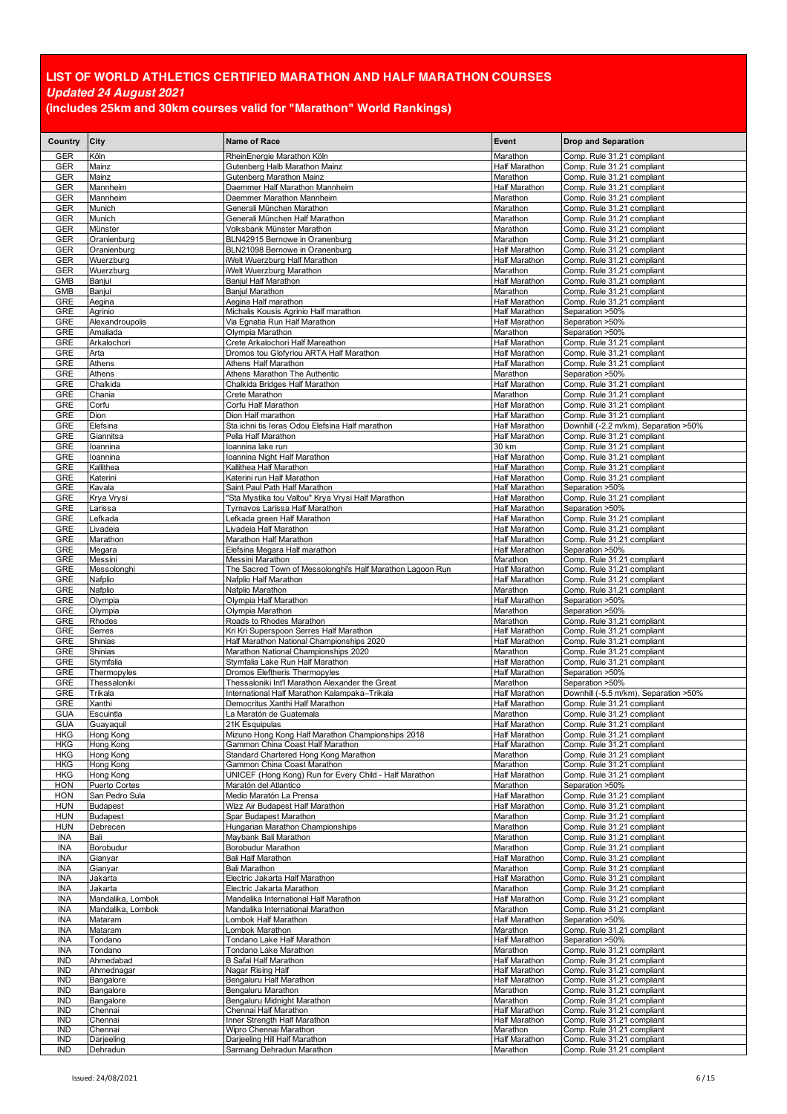| Country                  | City                              | <b>Name of Race</b>                                                                     | Event                                        | <b>Drop and Separation</b>                               |
|--------------------------|-----------------------------------|-----------------------------------------------------------------------------------------|----------------------------------------------|----------------------------------------------------------|
| GER                      | Köln                              | RheinEnergie Marathon Köln                                                              | Marathon                                     | Comp. Rule 31.21 compliant                               |
| <b>GER</b>               | Mainz                             | Gutenberg Halb Marathon Mainz                                                           | <b>Half Marathon</b>                         | Comp. Rule 31.21 compliant                               |
| GER                      | Mainz                             | Gutenberg Marathon Mainz                                                                | Marathon                                     | Comp. Rule 31.21 compliant                               |
| GER<br>GER               | Mannheim<br>Mannheim              | Daemmer Half Marathon Mannheim<br>Daemmer Marathon Mannheim                             | Half Marathon<br>Marathon                    | Comp. Rule 31.21 compliant<br>Comp. Rule 31.21 compliant |
| <b>GER</b>               | Munich                            | Generali München Marathon                                                               | Marathon                                     | Comp. Rule 31.21 compliant                               |
| GER                      | Munich                            | Generali München Half Marathon                                                          | Marathon                                     | Comp. Rule 31.21 compliant                               |
| GER                      | Münster                           | Volksbank Münster Marathon                                                              | Marathon                                     | Comp. Rule 31.21 compliant                               |
| GER                      | Oranienburg                       | BLN42915 Bernowe in Oranenburg                                                          | Marathon                                     | Comp. Rule 31.21 compliant                               |
| GER<br>GER               | Oranienburg<br>Wuerzburg          | BLN21098 Bernowe in Oranenburg<br>iWelt Wuerzburg Half Marathon                         | Half Marathon<br><b>Half Marathon</b>        | Comp. Rule 31.21 compliant<br>Comp. Rule 31.21 compliant |
| GER                      | Wuerzburg                         | iWelt Wuerzburg Marathon                                                                | Marathon                                     | Comp. Rule 31.21 compliant                               |
| <b>GMB</b>               | Banjul                            | Banjul Half Marathon                                                                    | Half Marathon                                | Comp. Rule 31.21 compliant                               |
| <b>GMB</b>               | Banjul                            | <b>Banjul Marathon</b>                                                                  | Marathon                                     | Comp. Rule 31.21 compliant                               |
| GRE                      | Aegina                            | Aegina Half marathon                                                                    | <b>Half Marathon</b>                         | Comp. Rule 31.21 compliant                               |
| GRE                      | Agrinio                           | Michalis Kousis Agrinio Half marathon                                                   | <b>Half Marathon</b><br>Half Marathon        | Separation >50%                                          |
| GRE<br>GRE               | Alexandroupolis<br>Amaliada       | Via Egnatia Run Half Marathon<br>Olympia Marathon                                       | Marathon                                     | Separation >50%<br>Separation >50%                       |
| GRE                      | Arkalochori                       | Crete Arkalochori Half Mareathon                                                        | <b>Half Marathon</b>                         | Comp. Rule 31.21 compliant                               |
| GRE                      | Arta                              | Dromos tou Glofyriou ARTA Half Marathon                                                 | <b>Half Marathon</b>                         | Comp. Rule 31.21 compliant                               |
| GRE                      | Athens                            | Athens Half Marathon                                                                    | <b>Half Marathon</b>                         | Comp. Rule 31.21 compliant                               |
| GRE                      | Athens                            | Athens Marathon The Authentic                                                           | Marathon                                     | Separation >50%                                          |
| GRE<br>GRE               | Chalkida<br>Chania                | Chalkida Bridges Half Marathon<br>Crete Marathon                                        | <b>Half Marathon</b><br>Marathon             | Comp. Rule 31.21 compliant<br>Comp. Rule 31.21 compliant |
| GRE                      | Corfu                             | Corfu Half Marathon                                                                     | <b>Half Marathon</b>                         | Comp. Rule 31.21 compliant                               |
| GRE                      | Dion                              | Dion Half marathon                                                                      | <b>Half Marathon</b>                         | Comp. Rule 31.21 compliant                               |
| GRE                      | Elefsina                          | Sta ichni tis Ieras Odou Elefsina Half marathon                                         | Half Marathon                                | Downhill (-2.2 m/km), Separation >50%                    |
| GRE                      | Giannitsa                         | Pella Half Marathon                                                                     | <b>Half Marathon</b>                         | Comp. Rule 31.21 compliant                               |
| GRE<br>GRE               | loannina<br>loannina              | Ioannina lake run<br>Ioannina Night Half Marathon                                       | 30 km<br>Half Marathon                       | Comp. Rule 31.21 compliant<br>Comp. Rule 31.21 compliant |
| GRE                      | Kallithea                         | Kallithea Half Marathon                                                                 | <b>Half Marathon</b>                         | Comp. Rule 31.21 compliant                               |
| GRE                      | Katerini                          | Katerini run Half Marathon                                                              | Half Marathon                                | Comp. Rule 31.21 compliant                               |
| GRE                      | Kavala                            | Saint Paul Path Half Marathon                                                           | Half Marathon                                | Separation >50%                                          |
| GRE                      | Krya Vrysi                        | "Sta Mystika tou Valtou" Krya Vrysi Half Marathon                                       | <b>Half Marathon</b>                         | Comp. Rule 31.21 compliant                               |
| GRE<br>GRE               | Larissa<br>Lefkada                | Tyrnavos Larissa Half Marathon<br>Lefkada green Half Marathon                           | <b>Half Marathon</b><br><b>Half Marathon</b> | Separation >50%<br>Comp. Rule 31.21 compliant            |
| GRE                      | Livadeia                          | Livadeia Half Marathon                                                                  | Half Marathon                                | Comp. Rule 31.21 compliant                               |
| GRE                      | Marathon                          | Marathon Half Marathon                                                                  | Half Marathon                                | Comp. Rule 31.21 compliant                               |
| GRE                      | Megara                            | Elefsina Megara Half marathon                                                           | <b>Half Marathon</b>                         | Separation >50%                                          |
| GRE<br>GRE               | Messini<br>Messolonghi            | Messini Marathon<br>The Sacred Town of Messolonghi's Half Marathon Lagoon Run           | Marathon<br>Half Marathon                    | Comp. Rule 31.21 compliant<br>Comp. Rule 31.21 compliant |
| GRE                      | Nafplio                           | Nafplio Half Marathon                                                                   | <b>Half Marathon</b>                         | Comp. Rule 31.21 compliant                               |
| GRE                      | Nafplio                           | Nafplio Marathon                                                                        | Marathon                                     | Comp. Rule 31.21 compliant                               |
| GRE                      | Olympia                           | Olympia Half Marathon                                                                   | Half Marathon                                | Separation >50%                                          |
| GRE                      | Olympia                           | Olympia Marathon                                                                        | Marathon                                     | Separation >50%                                          |
| GRE<br>GRE               | Rhodes<br>Serres                  | Roads to Rhodes Marathon<br>Kri Kri Superspoon Serres Half Marathon                     | Marathon<br><b>Half Marathon</b>             | Comp. Rule 31.21 compliant<br>Comp. Rule 31.21 compliant |
| GRE                      | Shinias                           | Half Marathon National Championships 2020                                               | <b>Half Marathon</b>                         | Comp. Rule 31.21 compliant                               |
| GRE                      | Shinias                           | Marathon National Championships 2020                                                    | Marathon                                     | Comp. Rule 31.21 compliant                               |
| GRE                      | Stymfalia                         | Stymfalia Lake Run Half Marathon                                                        | <b>Half Marathon</b>                         | Comp. Rule 31.21 compliant                               |
| GRE                      | Thermopyles                       | <b>Dromos Eleftheris Thermopyles</b><br>Thessaloniki Int'l Marathon Alexander the Great | <b>Half Marathon</b>                         | Separation >50%                                          |
| GRE<br>GRE               | Thessaloniki<br>Trikala           | International Half Marathon Kalampaka-Trikala                                           | Marathon<br>Half Marathon                    | Separation >50%<br>Downhill (-5.5 m/km), Separation >50% |
| GRE                      | Xanthi                            | Democritus Xanthi Half Marathon                                                         | Half Marathon                                | Comp. Rule 31.21 compliant                               |
| <b>GUA</b>               | Escuintla                         | La Maratón de Guatemala                                                                 | Marathon                                     | Comp. Rule 31.21 compliant                               |
| GUA                      | Guayaquil                         | 21K Esquipulas                                                                          | <b>Half Marathon</b>                         | Comp. Rule 31.21 compliant                               |
| <b>HKG</b><br>HKG        | Hong Kong<br>Hong Kong            | Mizuno Hong Kong Half Marathon Championships 2018<br>Gammon China Coast Half Marathon   | Half Marathon<br><b>Half Marathon</b>        | Comp. Rule 31.21 compliant<br>Comp. Rule 31.21 compliant |
| <b>HKG</b>               | Hong Kong                         | Standard Chartered Hong Kong Marathon                                                   | Marathon                                     | Comp. Rule 31.21 compliant                               |
| <b>HKG</b>               | Hong Kong                         | Gammon China Coast Marathon                                                             | Marathon                                     | Comp. Rule 31.21 compliant                               |
| <b>HKG</b>               | Hong Kong                         | UNICEF (Hong Kong) Run for Every Child - Half Marathon                                  | <b>Half Marathon</b>                         | Comp. Rule 31.21 compliant                               |
| <b>HON</b>               | Puerto Cortes                     | Maratón del Atlantico                                                                   | Marathon                                     | Separation >50%                                          |
| <b>HON</b><br><b>HUN</b> | San Pedro Sula<br><b>Budapest</b> | Medio Maratón La Prensa<br>Wizz Air Budapest Half Marathon                              | Half Marathon<br><b>Half Marathon</b>        | Comp. Rule 31.21 compliant<br>Comp. Rule 31.21 compliant |
| <b>HUN</b>               | <b>Budapest</b>                   | Spar Budapest Marathon                                                                  | Marathon                                     | Comp. Rule 31.21 compliant                               |
| <b>HUN</b>               | Debrecen                          | Hungarian Marathon Championships                                                        | Marathon                                     | Comp. Rule 31.21 compliant                               |
| INA                      | Bali                              | Maybank Bali Marathon                                                                   | Marathon                                     | Comp. Rule 31.21 compliant                               |
| <b>INA</b>               | Borobudur                         | Borobudur Marathon                                                                      | Marathon<br>Half Marathon                    | Comp. Rule 31.21 compliant                               |
| INA<br>INA               | Gianyar<br>Gianyar                | Bali Half Marathon<br><b>Bali Marathon</b>                                              | Marathon                                     | Comp. Rule 31.21 compliant<br>Comp. Rule 31.21 compliant |
| INA                      | Jakarta                           | Electric Jakarta Half Marathon                                                          | Half Marathon                                | Comp. Rule 31.21 compliant                               |
| INA                      | Jakarta                           | Electric Jakarta Marathon                                                               | Marathon                                     | Comp. Rule 31.21 compliant                               |
| INA                      | Mandalika, Lombok                 | Mandalika International Half Marathon                                                   | Half Marathon                                | Comp. Rule 31.21 compliant                               |
| <b>INA</b><br><b>INA</b> | Mandalika, Lombok<br>Mataram      | Mandalika International Marathon<br>Lombok Half Marathon                                | Marathon<br><b>Half Marathon</b>             | Comp. Rule 31.21 compliant<br>Separation >50%            |
| INA                      | Mataram                           | Lombok Marathon                                                                         | Marathon                                     | Comp. Rule 31.21 compliant                               |
| <b>INA</b>               | Tondano                           | Tondano Lake Half Marathon                                                              | <b>Half Marathon</b>                         | Separation >50%                                          |
| INA                      | Tondano                           | Tondano Lake Marathon                                                                   | Marathon                                     | Comp. Rule 31.21 compliant                               |
| <b>IND</b>               | Ahmedabad                         | <b>B Safal Half Marathon</b>                                                            | <b>Half Marathon</b>                         | Comp. Rule 31.21 compliant                               |
| <b>IND</b><br><b>IND</b> | Ahmednagar<br>Bangalore           | Nagar Rising Half<br>Bengaluru Half Marathon                                            | <b>Half Marathon</b><br><b>Half Marathon</b> | Comp. Rule 31.21 compliant<br>Comp. Rule 31.21 compliant |
| IND                      | Bangalore                         | Bengaluru Marathon                                                                      | Marathon                                     | Comp. Rule 31.21 compliant                               |
| <b>IND</b>               | Bangalore                         | Bengaluru Midnight Marathon                                                             | Marathon                                     | Comp. Rule 31.21 compliant                               |
| <b>IND</b>               | Chennai                           | Chennai Half Marathon                                                                   | <b>Half Marathon</b>                         | Comp. Rule 31.21 compliant                               |
| <b>IND</b><br><b>IND</b> | Chennai<br>Chennai                | Inner Strength Half Marathon<br>Wipro Chennai Marathon                                  | <b>Half Marathon</b><br>Marathon             | Comp. Rule 31.21 compliant<br>Comp. Rule 31.21 compliant |
| <b>IND</b>               | Darjeeling                        | Darjeeling Hill Half Marathon                                                           | <b>Half Marathon</b>                         | Comp. Rule 31.21 compliant                               |
| IND                      | Dehradun                          | Sarmang Dehradun Marathon                                                               | Marathon                                     | Comp. Rule 31.21 compliant                               |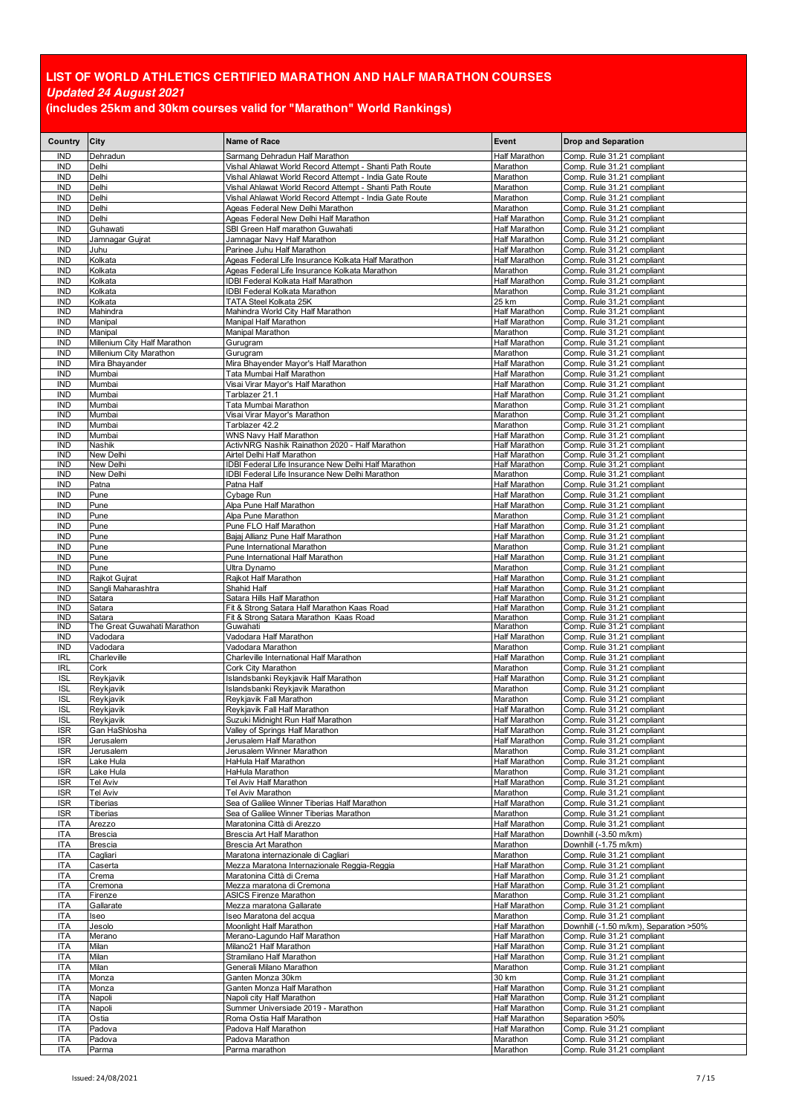| Country                  | City                                    | <b>Name of Race</b>                                                                                               | Event                                 | <b>Drop and Separation</b>                                           |
|--------------------------|-----------------------------------------|-------------------------------------------------------------------------------------------------------------------|---------------------------------------|----------------------------------------------------------------------|
| <b>IND</b>               | Dehradun                                | Sarmang Dehradun Half Marathon                                                                                    | Half Marathon                         | Comp. Rule 31.21 compliant                                           |
| <b>IND</b>               | Delhi                                   | Vishal Ahlawat World Record Attempt - Shanti Path Route                                                           | Marathon                              | Comp. Rule 31.21 compliant                                           |
| <b>IND</b><br><b>IND</b> | Delhi<br>Delhi                          | Vishal Ahlawat World Record Attempt - India Gate Route<br>Vishal Ahlawat World Record Attempt - Shanti Path Route | Marathon<br>Marathon                  | Comp. Rule 31.21 compliant<br>Comp. Rule 31.21 compliant             |
| <b>IND</b>               | Delhi                                   | Vishal Ahlawat World Record Attempt - India Gate Route                                                            | Marathon                              | Comp. Rule 31.21 compliant                                           |
| <b>IND</b>               | Delhi                                   | Ageas Federal New Delhi Marathon                                                                                  | Marathon                              | Comp. Rule 31.21 compliant                                           |
| <b>IND</b>               | Delhi                                   | Ageas Federal New Delhi Half Marathon                                                                             | Half Marathon                         | Comp. Rule 31.21 compliant                                           |
| <b>IND</b><br><b>IND</b> | Guhawati<br>Jamnagar Gujrat             | SBI Green Half marathon Guwahati<br>Jamnagar Navy Half Marathon                                                   | Half Marathon<br>Half Marathon        | Comp. Rule 31.21 compliant<br>Comp. Rule 31.21 compliant             |
| <b>IND</b>               | Juhu                                    | Parinee Juhu Half Marathon                                                                                        | Half Marathon                         | Comp. Rule 31.21 compliant                                           |
| IND                      | Kolkata                                 | Ageas Federal Life Insurance Kolkata Half Marathon                                                                | Half Marathon                         | Comp. Rule 31.21 compliant                                           |
| <b>IND</b>               | Kolkata                                 | Ageas Federal Life Insurance Kolkata Marathon                                                                     | Marathon                              | Comp. Rule 31.21 compliant                                           |
| <b>IND</b><br><b>IND</b> | Kolkata<br>Kolkata                      | IDBI Federal Kolkata Half Marathon<br>IDBI Federal Kolkata Marathon                                               | Half Marathon<br>Marathon             | Comp. Rule 31.21 compliant<br>Comp. Rule 31.21 compliant             |
| <b>IND</b>               | Kolkata                                 | TATA Steel Kolkata 25K                                                                                            | 25 km                                 | Comp. Rule 31.21 compliant                                           |
| <b>IND</b>               | Mahindra                                | Mahindra World City Half Marathon                                                                                 | Half Marathon                         | Comp. Rule 31.21 compliant                                           |
| IND                      | Manipal                                 | Manipal Half Marathon                                                                                             | Half Marathon                         | Comp. Rule 31.21 compliant                                           |
| <b>IND</b><br><b>IND</b> | Manipal<br>Millenium City Half Marathon | Manipal Marathon<br>Gurugram                                                                                      | Marathon<br>Half Marathon             | Comp. Rule 31.21 compliant<br>Comp. Rule 31.21 compliant             |
| <b>IND</b>               | Millenium City Marathon                 | Gurugram                                                                                                          | Marathon                              | Comp. Rule 31.21 compliant                                           |
| IND                      | Mira Bhayander                          | Mira Bhayender Mayor's Half Marathon                                                                              | Half Marathon                         | Comp. Rule 31.21 compliant                                           |
| <b>IND</b>               | Mumbai                                  | Tata Mumbai Half Marathon                                                                                         | Half Marathon                         | Comp. Rule 31.21 compliant                                           |
| <b>IND</b><br>IND        | Mumbai<br>Mumbai                        | Visai Virar Mayor's Half Marathon<br>Tarblazer 21.1                                                               | Half Marathon<br>Half Marathon        | Comp. Rule 31.21 compliant<br>Comp. Rule 31.21 compliant             |
| IND                      | Mumbai                                  | Tata Mumbai Marathon                                                                                              | Marathon                              | Comp. Rule 31.21 compliant                                           |
| <b>IND</b>               | Mumbai                                  | Visai Virar Mayor's Marathon                                                                                      | Marathon                              | Comp. Rule 31.21 compliant                                           |
| IND                      | Mumbai                                  | Tarblazer 42.2                                                                                                    | Marathon                              | Comp. Rule 31.21 compliant                                           |
| <b>IND</b><br><b>IND</b> | Mumbai<br>Nashik                        | WNS Navy Half Marathon<br>ActivNRG Nashik Rainathon 2020 - Half Marathon                                          | Half Marathon<br>Half Marathon        | Comp. Rule 31.21 compliant<br>Comp. Rule 31.21 compliant             |
| <b>IND</b>               | New Delhi                               | Airtel Delhi Half Marathon                                                                                        | Half Marathon                         | Comp. Rule 31.21 compliant                                           |
| <b>IND</b>               | New Delhi                               | IDBI Federal Life Insurance New Delhi Half Marathon                                                               | Half Marathon                         | Comp. Rule 31.21 compliant                                           |
| IND<br><b>IND</b>        | New Delhi                               | IDBI Federal Life Insurance New Delhi Marathon                                                                    | Marathon                              | Comp. Rule 31.21 compliant                                           |
| <b>IND</b>               | Patna<br>Pune                           | Patna Half<br>Cybage Run                                                                                          | Half Marathon<br>Half Marathon        | Comp. Rule 31.21 compliant<br>Comp. Rule 31.21 compliant             |
| <b>IND</b>               | Pune                                    | Alpa Pune Half Marathon                                                                                           | Half Marathon                         | Comp. Rule 31.21 compliant                                           |
| <b>IND</b>               | Pune                                    | Alpa Pune Marathon                                                                                                | Marathon                              | Comp. Rule 31.21 compliant                                           |
| <b>IND</b><br>IND        | Pune<br>Pune                            | Pune FLO Half Marathon                                                                                            | Half Marathon                         | Comp. Rule 31.21 compliant                                           |
| <b>IND</b>               | Pune                                    | Bajaj Allianz Pune Half Marathon<br>Pune International Marathon                                                   | Half Marathon<br>Marathon             | Comp. Rule 31.21 compliant<br>Comp. Rule 31.21 compliant             |
| <b>IND</b>               | Pune                                    | Pune International Half Marathon                                                                                  | <b>Half Marathon</b>                  | Comp. Rule 31.21 compliant                                           |
| <b>IND</b>               | Pune                                    | Ultra Dynamo                                                                                                      | Marathon                              | Comp. Rule 31.21 compliant                                           |
| <b>IND</b>               | Rajkot Gujrat                           | Rajkot Half Marathon                                                                                              | Half Marathon                         | Comp. Rule 31.21 compliant                                           |
| <b>IND</b><br><b>IND</b> | Sangli Maharashtra<br>Satara            | Shahid Half<br>Satara Hills Half Marathon                                                                         | Half Marathon<br>Half Marathon        | Comp. Rule 31.21 compliant<br>Comp. Rule 31.21 compliant             |
| IND                      | Satara                                  | Fit & Strong Satara Half Marathon Kaas Road                                                                       | Half Marathon                         | Comp. Rule 31.21 compliant                                           |
| IND<br><b>IND</b>        | Satara<br>The Great Guwahati Marathon   | Fit & Strong Satara Marathon Kaas Road                                                                            | Marathon                              | Comp. Rule 31.21 compliant                                           |
| <b>IND</b>               | Vadodara                                | Guwahati<br>Vadodara Half Marathon                                                                                | Marathon<br>Half Marathon             | Comp. Rule 31.21 compliant<br>Comp. Rule 31.21 compliant             |
| <b>IND</b>               | Vadodara                                | Vadodara Marathon                                                                                                 | Marathon                              | Comp. Rule 31.21 compliant                                           |
| <b>IRL</b>               | Charleville                             | Charleville International Half Marathon                                                                           | Half Marathon                         | Comp. Rule 31.21 compliant                                           |
| <b>IRL</b><br><b>ISL</b> | Cork<br>Reykjavik                       | Cork City Marathon<br>Islandsbanki Reykjavik Half Marathon                                                        | Marathon<br>Half Marathon             | Comp. Rule 31.21 compliant<br>Comp. Rule 31.21 compliant             |
| <b>ISL</b>               | Reykjavik                               | Islandsbanki Reykjavik Marathon                                                                                   | Marathon                              | Comp. Rule 31.21 compliant                                           |
| <b>ISL</b>               | Reykjavik                               | Reykjavik Fall Marathon                                                                                           | Marathon                              | Comp. Rule 31.21 compliant                                           |
| <b>ISL</b>               | Reykjavik                               | Reykjavik Fall Half Marathon                                                                                      | <b>Half Marathon</b>                  | Comp. Rule 31.21 compliant                                           |
| <b>ISL</b><br><b>ISR</b> | Revkiavik<br>Gan HaShlosha              | Suzuki Midnight Run Half Marathon<br>Valley of Springs Half Marathon                                              | <b>Half Marathon</b><br>Half Marathon | Comp. Rule 31.21 compliant<br>Comp. Rule 31.21 compliant             |
| <b>ISR</b>               | Jerusalem                               | Jerusalem Half Marathon                                                                                           | Half Marathon                         | Comp. Rule 31.21 compliant                                           |
| <b>ISR</b>               | Jerusalem                               | Jerusalem Winner Marathon                                                                                         | Marathon                              | Comp. Rule 31.21 compliant                                           |
| <b>ISR</b>               | Lake Hula                               | HaHula Half Marathon                                                                                              | <b>Half Marathon</b>                  | Comp. Rule 31.21 compliant                                           |
| <b>ISR</b><br><b>ISR</b> | _ake Hula<br>Tel Aviv                   | HaHula Marathon<br>Tel Aviv Half Marathon                                                                         | Marathon<br>Half Marathon             | Comp. Rule 31.21 compliant<br>Comp. Rule 31.21 compliant             |
| <b>ISR</b>               | <b>Tel Aviv</b>                         | Tel Aviv Marathon                                                                                                 | Marathon                              | Comp. Rule 31.21 compliant                                           |
| <b>ISR</b>               | Tiberias                                | Sea of Galilee Winner Tiberias Half Marathon                                                                      | Half Marathon                         | Comp. Rule 31.21 compliant                                           |
| <b>ISR</b>               | Tiberias                                | Sea of Galilee Winner Tiberias Marathon                                                                           | Marathon                              | Comp. Rule 31.21 compliant                                           |
| <b>ITA</b><br><b>ITA</b> | Arezzo<br><b>Brescia</b>                | Maratonina Città di Arezzo<br>Brescia Art Half Marathon                                                           | <b>Half Marathon</b><br>Half Marathon | Comp. Rule 31.21 compliant<br>Downhill (-3.50 m/km)                  |
| <b>ITA</b>               | <b>Brescia</b>                          | Brescia Art Marathon                                                                                              | Marathon                              | Downhill (-1.75 m/km)                                                |
| <b>ITA</b>               | Cagliari                                | Maratona internazionale di Cagliari                                                                               | Marathon                              | Comp. Rule 31.21 compliant                                           |
| <b>ITA</b>               | Caserta                                 | Mezza Maratona Internazionale Reggia-Reggia                                                                       | Half Marathon                         | Comp. Rule 31.21 compliant                                           |
| <b>ITA</b><br><b>ITA</b> | Crema<br>Cremona                        | Maratonina Città di Crema<br>Mezza maratona di Cremona                                                            | <b>Half Marathon</b><br>Half Marathon | Comp. Rule 31.21 compliant<br>Comp. Rule 31.21 compliant             |
| ITA                      | Firenze                                 | ASICS Firenze Marathon                                                                                            | Marathon                              | Comp. Rule 31.21 compliant                                           |
| <b>ITA</b>               | Gallarate                               | Mezza maratona Gallarate                                                                                          | Half Marathon                         | Comp. Rule 31.21 compliant                                           |
| <b>ITA</b>               | Iseo                                    | Iseo Maratona del acqua                                                                                           | Marathon                              | Comp. Rule 31.21 compliant                                           |
| <b>ITA</b><br><b>ITA</b> | Jesolo<br>Merano                        | Moonlight Half Marathon<br>Merano-Lagundo Half Marathon                                                           | Half Marathon<br>Half Marathon        | Downhill (-1.50 m/km), Separation >50%<br>Comp. Rule 31.21 compliant |
| <b>ITA</b>               | Milan                                   | Milano21 Half Marathon                                                                                            | Half Marathon                         | Comp. Rule 31.21 compliant                                           |
| <b>ITA</b>               | Milan                                   | Stramilano Half Marathon                                                                                          | Half Marathon                         | Comp. Rule 31.21 compliant                                           |
| <b>ITA</b>               | Milan                                   | Generali Milano Marathon                                                                                          | Marathon                              | Comp. Rule 31.21 compliant                                           |
| <b>ITA</b><br><b>ITA</b> | Monza<br>Monza                          | Ganten Monza 30km<br>Ganten Monza Half Marathon                                                                   | 30 km<br>Half Marathon                | Comp. Rule 31.21 compliant<br>Comp. Rule 31.21 compliant             |
| ITA                      | Napoli                                  | Napoli city Half Marathon                                                                                         | Half Marathon                         | Comp. Rule 31.21 compliant                                           |
| <b>ITA</b>               | Napoli                                  | Summer Universiade 2019 - Marathon                                                                                | Half Marathon                         | Comp. Rule 31.21 compliant                                           |
| <b>ITA</b>               | Ostia                                   | Roma Ostia Half Marathon                                                                                          | Half Marathon                         | Separation >50%                                                      |
| <b>ITA</b><br><b>ITA</b> | Padova<br>Padova                        | Padova Half Marathon<br>Padova Marathon                                                                           | <b>Half Marathon</b><br>Marathon      | Comp. Rule 31.21 compliant<br>Comp. Rule 31.21 compliant             |
| <b>ITA</b>               | Parma                                   | Parma marathon                                                                                                    | Marathon                              | Comp. Rule 31.21 compliant                                           |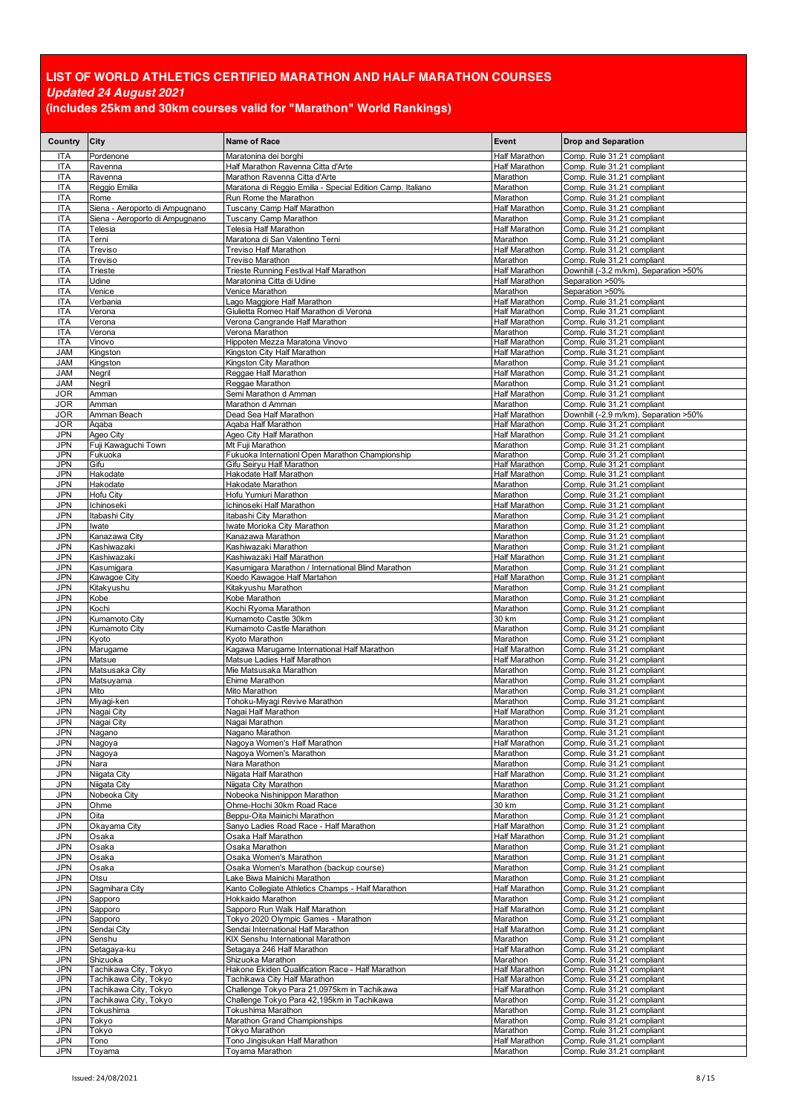| Country                  | <b>City</b>                                    | Name of Race                                                                                | Event                                 | <b>Drop and Separation</b>                               |
|--------------------------|------------------------------------------------|---------------------------------------------------------------------------------------------|---------------------------------------|----------------------------------------------------------|
| ITA                      | Pordenone                                      | Maratonina dei borghi                                                                       | <b>Half Marathon</b>                  | Comp. Rule 31.21 compliant                               |
| <b>ITA</b>               | Ravenna                                        | Half Marathon Ravenna Citta d'Arte                                                          | Half Marathon                         | Comp. Rule 31.21 compliant                               |
| <b>ITA</b><br><b>ITA</b> | Ravenna<br>Reggio Emilia                       | Marathon Ravenna Citta d'Arte<br>Maratona di Reggio Emilia - Special Edition Camp. Italiano | Marathon<br>Marathon                  | Comp. Rule 31.21 compliant<br>Comp. Rule 31.21 compliant |
| <b>ITA</b>               | Rome                                           | Run Rome the Marathon                                                                       | Marathon                              | Comp. Rule 31.21 compliant                               |
| <b>ITA</b>               | Siena - Aeroporto di Ampugnano                 | Tuscany Camp Half Marathon                                                                  | Half Marathon                         | Comp. Rule 31.21 compliant                               |
| <b>ITA</b>               | Siena - Aeroporto di Ampugnano                 | Tuscany Camp Marathon                                                                       | Marathon                              | Comp. Rule 31.21 compliant                               |
| <b>ITA</b><br><b>ITA</b> | Telesia<br>Terni                               | Telesia Half Marathon<br>Maratona di San Valentino Terni                                    | <b>Half Marathon</b><br>Marathon      | Comp. Rule 31.21 compliant<br>Comp. Rule 31.21 compliant |
| <b>ITA</b>               | Treviso                                        | Treviso Half Marathon                                                                       | <b>Half Marathon</b>                  | Comp. Rule 31.21 compliant                               |
| <b>ITA</b>               | Treviso                                        | Treviso Marathon                                                                            | Marathon                              | Comp. Rule 31.21 compliant                               |
| <b>ITA</b>               | Trieste                                        | Trieste Running Festival Half Marathon                                                      | Half Marathon                         | Downhill (-3.2 m/km), Separation >50%                    |
| <b>ITA</b><br><b>ITA</b> | Udine<br>Venice                                | Maratonina Citta di Udine<br>Venice Marathon                                                | <b>Half Marathon</b><br>Marathon      | Separation >50%<br>Separation >50%                       |
| <b>ITA</b>               | Verbania                                       | Lago Maggiore Half Marathon                                                                 | <b>Half Marathon</b>                  | Comp. Rule 31.21 compliant                               |
| <b>ITA</b>               | Verona                                         | Giulietta Romeo Half Marathon di Verona                                                     | Half Marathon                         | Comp. Rule 31.21 compliant                               |
| <b>ITA</b>               | Verona                                         | Verona Cangrande Half Marathon                                                              | Half Marathon                         | Comp. Rule 31.21 compliant                               |
| <b>ITA</b><br><b>ITA</b> | Verona<br>Vinovo                               | Verona Marathon<br>Hippoten Mezza Maratona Vinovo                                           | Marathon<br>Half Marathon             | Comp. Rule 31.21 compliant<br>Comp. Rule 31.21 compliant |
| <b>JAM</b>               | Kingston                                       | Kingston City Half Marathon                                                                 | <b>Half Marathon</b>                  | Comp. Rule 31.21 compliant                               |
| <b>JAM</b>               | Kingston                                       | Kingston City Marathon                                                                      | Marathon                              | Comp. Rule 31.21 compliant                               |
| <b>JAM</b>               | Negril                                         | Reggae Half Marathon                                                                        | Half Marathon                         | Comp. Rule 31.21 compliant                               |
| <b>JAM</b><br>JOR        | Negril<br>Amman                                | Reggae Marathon<br>Semi Marathon d Amman                                                    | Marathon<br><b>Half Marathon</b>      | Comp. Rule 31.21 compliant<br>Comp. Rule 31.21 compliant |
| <b>JOR</b>               | Amman                                          | Marathon d Amman                                                                            | Marathon                              | Comp. Rule 31.21 compliant                               |
| <b>JOR</b>               | Amman Beach                                    | Dead Sea Half Marathon                                                                      | Half Marathon                         | Downhill (-2.9 m/km), Separation >50%                    |
| JOR                      | Aqaba                                          | Agaba Half Marathon                                                                         | <b>Half Marathon</b>                  | Comp. Rule 31.21 compliant                               |
| JPN<br><b>JPN</b>        | Ageo City<br>Fuji Kawaguchi Town               | Ageo City Half Marathon<br>Mt Fuji Marathon                                                 | <b>Half Marathon</b><br>Marathon      | Comp. Rule 31.21 compliant<br>Comp. Rule 31.21 compliant |
| JPN                      | Fukuoka                                        | Fukuoka Internationl Open Marathon Championship                                             | Marathon                              | Comp. Rule 31.21 compliant                               |
| JPN                      | Gifu                                           | Gifu Seiryu Half Marathon                                                                   | <b>Half Marathon</b>                  | Comp. Rule 31.21 compliant                               |
| <b>JPN</b><br>JPN        | Hakodate<br>Hakodate                           | Hakodate Half Marathon<br>Hakodate Marathon                                                 | <b>Half Marathon</b><br>Marathon      | Comp. Rule 31.21 compliant<br>Comp. Rule 31.21 compliant |
| <b>JPN</b>               | Hofu City                                      | Hofu Yumiuri Marathon                                                                       | Marathon                              | Comp. Rule 31.21 compliant                               |
| JPN                      | Ichinoseki                                     | Ichinoseki Half Marathon                                                                    | <b>Half Marathon</b>                  | Comp. Rule 31.21 compliant                               |
| JPN                      | Itabashi City                                  | Itabashi City Marathon                                                                      | Marathon                              | Comp. Rule 31.21 compliant                               |
| <b>JPN</b><br>JPN        | Iwate<br>Kanazawa City                         | Iwate Morioka City Marathon<br>Kanazawa Marathon                                            | Marathon<br>Marathon                  | Comp. Rule 31.21 compliant<br>Comp. Rule 31.21 compliant |
| <b>JPN</b>               | Kashiwazaki                                    | Kashiwazaki Marathon                                                                        | Marathon                              | Comp. Rule 31.21 compliant                               |
| JPN                      | Kashiwazaki                                    | Kashiwazaki Half Marathon                                                                   | <b>Half Marathon</b>                  | Comp. Rule 31.21 compliant                               |
| JPN                      | Kasumigara                                     | Kasumigara Marathon / International Blind Marathon                                          | Marathon                              | Comp. Rule 31.21 compliant                               |
| JPN<br>JPN               | Kawagoe City<br>Kitakyushu                     | Koedo Kawagoe Half Martahon<br>Kitakyushu Marathon                                          | <b>Half Marathon</b><br>Marathon      | Comp. Rule 31.21 compliant<br>Comp. Rule 31.21 compliant |
| JPN                      | Kobe                                           | Kobe Marathon                                                                               | Marathon                              | Comp. Rule 31.21 compliant                               |
| <b>JPN</b>               | Kochi                                          | Kochi Ryoma Marathon                                                                        | Marathon                              | Comp. Rule 31.21 compliant                               |
| <b>JPN</b><br><b>JPN</b> | Kumamoto City                                  | Kumamoto Castle 30km<br>Kumamoto Castle Marathon                                            | 30 km                                 | Comp. Rule 31.21 compliant                               |
| JPN                      | Kumamoto City<br>Kyoto                         | Kyoto Marathon                                                                              | Marathon<br>Marathon                  | Comp. Rule 31.21 compliant<br>Comp. Rule 31.21 compliant |
| <b>JPN</b>               | Marugame                                       | Kagawa Marugame International Half Marathon                                                 | <b>Half Marathon</b>                  | Comp. Rule 31.21 compliant                               |
| <b>JPN</b>               | Matsue                                         | Matsue Ladies Half Marathon                                                                 | <b>Half Marathon</b>                  | Comp. Rule 31.21 compliant                               |
| JPN<br><b>JPN</b>        | Matsusaka City<br>Matsuyama                    | Mie Matsusaka Marathon<br>Ehime Marathon                                                    | Marathon<br>Marathon                  | Comp. Rule 31.21 compliant<br>Comp. Rule 31.21 compliant |
| JPN                      | Mito                                           | Mito Marathon                                                                               | Marathon                              | Comp. Rule 31.21 compliant                               |
| <b>JPN</b>               | Miyagi-ken                                     | Tohoku-Miyagi Revive Marathon                                                               | Marathon                              | Comp. Rule 31.21 compliant                               |
| <b>JPN</b>               | Nagai City                                     | Nagai Half Marathon                                                                         | <b>Half Marathon</b>                  | Comp. Rule 31.21 compliant                               |
| JPN<br>JPN               | Nagai City<br>Nagano                           | Nagai Marathon<br>Nagano Marathon                                                           | Marathon<br>Marathon                  | Comp. Rule 31.21 compliant<br>Comp. Rule 31.21 compliant |
| <b>JPN</b>               | Nagoya                                         | Nagoya Women's Half Marathon                                                                | Half Marathon                         | Comp. Rule 31.21 compliant                               |
| JPN                      | Nagoya                                         | Nagoya Women's Marathon                                                                     | Marathon                              | Comp. Rule 31.21 compliant                               |
| <b>JPN</b>               | Nara                                           | Nara Marathon                                                                               | Marathon                              | Comp. Rule 31.21 compliant                               |
| JPN<br><b>JPN</b>        | Niigata City<br>Niigata City                   | Niigata Half Marathon<br>Niigata City Marathon                                              | Half Marathon<br>Marathon             | Comp. Rule 31.21 compliant<br>Comp. Rule 31.21 compliant |
| JPN                      | Nobeoka City                                   | Nobeoka Nishinippon Marathon                                                                | Marathon                              | Comp. Rule 31.21 compliant                               |
| JPN                      | Ohme                                           | Ohme-Hochi 30km Road Race                                                                   | 30 km                                 | Comp. Rule 31.21 compliant                               |
| JPN                      | Oita                                           | Beppu-Oita Mainichi Marathon                                                                | Marathon                              | Comp. Rule 31.21 compliant                               |
| JPN<br><b>JPN</b>        | Okayama City<br>Osaka                          | Sanyo Ladies Road Race - Half Marathon<br>Osaka Half Marathon                               | Half Marathon<br><b>Half Marathon</b> | Comp. Rule 31.21 compliant<br>Comp. Rule 31.21 compliant |
| JPN                      | Osaka                                          | Osaka Marathon                                                                              | Marathon                              | Comp. Rule 31.21 compliant                               |
| JPN                      | Osaka                                          | Osaka Women's Marathon                                                                      | Marathon                              | Comp. Rule 31.21 compliant                               |
| JPN                      | Osaka                                          | Osaka Women's Marathon (backup course)                                                      | Marathon                              | Comp. Rule 31.21 compliant                               |
| JPN<br>JPN               | Otsu<br>Sagmihara City                         | Lake Biwa Mainichi Marathon<br>Kanto Collegiate Athletics Champs - Half Marathon            | Marathon<br>Half Marathon             | Comp. Rule 31.21 compliant<br>Comp. Rule 31.21 compliant |
| <b>JPN</b>               | Sapporo                                        | Hokkaido Marathon                                                                           | Marathon                              | Comp. Rule 31.21 compliant                               |
| JPN                      | Sapporo                                        | Sapporo Run Walk Half Marathon                                                              | Half Marathon                         | Comp. Rule 31.21 compliant                               |
| JPN<br>JPN               | Sapporo<br>Sendai City                         | Tokyo 2020 Olympic Games - Marathon<br>Sendai International Half Marathon                   | Marathon<br>Half Marathon             | Comp. Rule 31.21 compliant<br>Comp. Rule 31.21 compliant |
| <b>JPN</b>               | Senshu                                         | KIX Senshu International Marathon                                                           | Marathon                              | Comp. Rule 31.21 compliant                               |
| JPN                      | Setagaya-ku                                    | Setagaya 246 Half Marathon                                                                  | <b>Half Marathon</b>                  | Comp. Rule 31.21 compliant                               |
| JPN                      | Shizuoka                                       | Shizuoka Marathon                                                                           | Marathon                              | Comp. Rule 31.21 compliant                               |
| JPN<br>JPN               | Tachikawa City, Tokyo<br>Tachikawa City, Tokyo | Hakone Ekiden Qualification Race - Half Marathon<br>Tachikawa City Half Marathon            | Half Marathon<br>Half Marathon        | Comp. Rule 31.21 compliant<br>Comp. Rule 31.21 compliant |
| JPN                      | Tachikawa City, Tokyo                          | Challenge Tokyo Para 21,0975km in Tachikawa                                                 | <b>Half Marathon</b>                  | Comp. Rule 31.21 compliant                               |
| JPN                      | Tachikawa City, Tokyo                          | Challenge Tokyo Para 42,195km in Tachikawa                                                  | Marathon                              | Comp. Rule 31.21 compliant                               |
| JPN                      | Tokushima                                      | Tokushima Marathon                                                                          | Marathon                              | Comp. Rule 31.21 compliant                               |
| JPN<br>JPN               | Tokyo<br>Tokyo                                 | Marathon Grand Championships<br>Tokyo Marathon                                              | Marathon<br>Marathon                  | Comp. Rule 31.21 compliant<br>Comp. Rule 31.21 compliant |
| JPN                      | Tono                                           | Tono Jingisukan Half Marathon                                                               | <b>Half Marathon</b>                  | Comp. Rule 31.21 compliant                               |
| JPN                      | Toyama                                         | Toyama Marathon                                                                             | Marathon                              | Comp. Rule 31.21 compliant                               |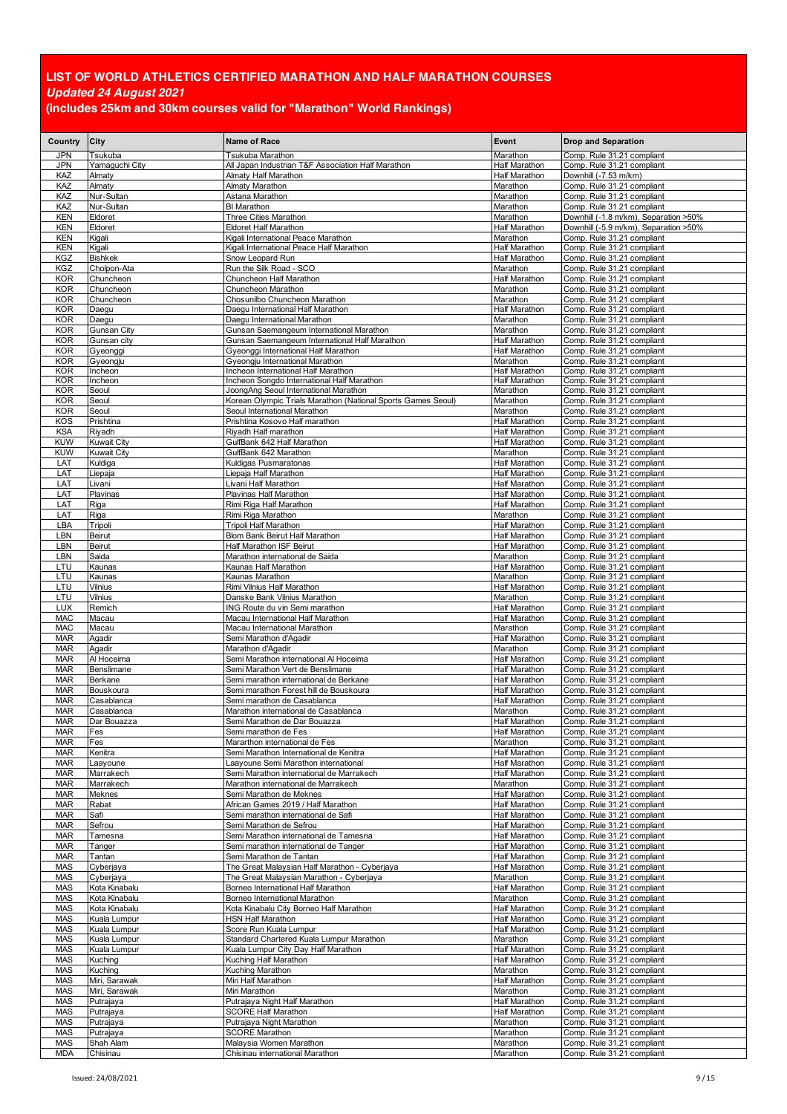| Country                  | City                          | <b>Name of Race</b>                                                                          | Event                                        | <b>Drop and Separation</b>                               |
|--------------------------|-------------------------------|----------------------------------------------------------------------------------------------|----------------------------------------------|----------------------------------------------------------|
| <b>JPN</b>               | Tsukuba                       | Tsukuba Marathon                                                                             | Marathon                                     | Comp. Rule 31.21 compliant                               |
| <b>JPN</b>               | Yamaguchi City                | All Japan Industrian T&F Association Half Marathon                                           | <b>Half Marathon</b>                         | Comp. Rule 31.21 compliant                               |
| KAZ<br>KAZ               | Almaty<br>Almaty              | Almaty Half Marathon<br>Almaty Marathon                                                      | <b>Half Marathon</b><br>Marathon             | Downhill (-7.53 m/km)<br>Comp. Rule 31.21 compliant      |
| KAZ                      | Nur-Sultan                    | Astana Marathon                                                                              | Marathon                                     | Comp. Rule 31.21 compliant                               |
| KAZ                      | Nur-Sultan                    | <b>BI</b> Marathon                                                                           | Marathon                                     | Comp. Rule 31.21 compliant                               |
| <b>KEN</b>               | Eldoret                       | Three Cities Marathon                                                                        | Marathon                                     | Downhill (-1.8 m/km), Separation >50%                    |
| <b>KEN</b>               | Eldoret                       | <b>Eldoret Half Marathon</b>                                                                 | <b>Half Marathon</b>                         | Downhill (-5.9 m/km). Separation >50%                    |
| KEN<br><b>KEN</b>        | Kigali<br>Kigali              | Kigali International Peace Marathon<br>Kigali International Peace Half Marathon              | Marathon<br><b>Half Marathon</b>             | Comp. Rule 31.21 compliant                               |
| <b>KGZ</b>               | <b>Bishkek</b>                | Snow Leopard Run                                                                             | <b>Half Marathon</b>                         | Comp. Rule 31.21 compliant<br>Comp. Rule 31.21 compliant |
| <b>KGZ</b>               | Cholpon-Ata                   | Run the Silk Road - SCO                                                                      | Marathon                                     | Comp. Rule 31.21 compliant                               |
| <b>KOR</b>               | Chuncheon                     | Chuncheon Half Marathon                                                                      | <b>Half Marathon</b>                         | Comp. Rule 31.21 compliant                               |
| KOR                      | Chuncheon                     | Chuncheon Marathon                                                                           | Marathon                                     | Comp. Rule 31.21 compliant                               |
| <b>KOR</b><br>KOR        | Chuncheon<br>Daegu            | Chosunilbo Chuncheon Marathon<br>Daegu International Half Marathon                           | Marathon<br><b>Half Marathon</b>             | Comp. Rule 31.21 compliant<br>Comp. Rule 31.21 compliant |
| <b>KOR</b>               | Daegu                         | Daegu International Marathon                                                                 | Marathon                                     | Comp. Rule 31.21 compliant                               |
| <b>KOR</b>               | Gunsan City                   | Gunsan Saemangeum International Marathon                                                     | Marathon                                     | Comp. Rule 31.21 compliant                               |
| <b>KOR</b>               | Gunsan city                   | Gunsan Saemangeum International Half Marathon                                                | <b>Half Marathon</b>                         | Comp. Rule 31.21 compliant                               |
| <b>KOR</b>               | Gyeonggi                      | Gyeonggi International Half Marathon                                                         | <b>Half Marathon</b>                         | Comp. Rule 31.21 compliant                               |
| <b>KOR</b><br>KOR        | Gyeongju<br>Incheon           | Gyeongju International Marathon<br>Incheon International Half Marathon                       | Marathon<br><b>Half Marathon</b>             | Comp. Rule 31.21 compliant<br>Comp. Rule 31.21 compliant |
| KOR                      | Incheon                       | Incheon Songdo International Half Marathon                                                   | <b>Half Marathon</b>                         | Comp. Rule 31.21 compliant                               |
| <b>KOR</b>               | Seoul                         | JoongAng Seoul International Marathon                                                        | Marathon                                     | Comp. Rule 31.21 compliant                               |
| <b>KOR</b><br><b>KOR</b> | Seoul<br>Seoul                | Korean Olympic Trials Marathon (National Sports Games Seoul)<br>Seoul International Marathon | Marathon<br>Marathon                         | Comp. Rule 31.21 compliant<br>Comp. Rule 31.21 compliant |
| <b>KOS</b>               | Prishtina                     | Prishtina Kosovo Half marathon                                                               | <b>Half Marathon</b>                         | Comp. Rule 31.21 compliant                               |
| <b>KSA</b>               | Riyadh                        | Riyadh Half marathon                                                                         | <b>Half Marathon</b>                         | Comp. Rule 31.21 compliant                               |
| <b>KUW</b>               | <b>Kuwait City</b>            | GulfBank 642 Half Marathon                                                                   | <b>Half Marathon</b>                         | Comp. Rule 31.21 compliant                               |
| <b>KUW</b>               | Kuwait City                   | GulfBank 642 Marathon                                                                        | Marathon                                     | Comp. Rule 31.21 compliant                               |
| LAT<br>LAT               | Kuldiga<br>Liepaja            | Kuldigas Pusmaratonas<br>Liepaja Half Marathon                                               | <b>Half Marathon</b><br><b>Half Marathon</b> | Comp. Rule 31.21 compliant<br>Comp. Rule 31.21 compliant |
| LAT                      | Livani                        | Livani Half Marathon                                                                         | <b>Half Marathon</b>                         | Comp. Rule 31.21 compliant                               |
| LAT                      | Plavinas                      | Plavinas Half Marathon                                                                       | <b>Half Marathon</b>                         | Comp. Rule 31.21 compliant                               |
| LAT                      | Riga                          | Rimi Riga Half Marathon                                                                      | <b>Half Marathon</b>                         | Comp. Rule 31.21 compliant                               |
| LAT                      | Riga                          | Rimi Riga Marathon                                                                           | Marathon                                     | Comp. Rule 31.21 compliant                               |
| LBA<br>LBN               | Tripoli<br>Beirut             | Tripoli Half Marathon<br>Blom Bank Beirut Half Marathon                                      | <b>Half Marathon</b><br><b>Half Marathon</b> | Comp. Rule 31.21 compliant<br>Comp. Rule 31.21 compliant |
| LBN                      | Beirut                        | Half Marathon ISF Beirut                                                                     | <b>Half Marathon</b>                         | Comp. Rule 31.21 compliant                               |
| LBN                      | Saida                         | Marathon international de Saida                                                              | Marathon                                     | Comp. Rule 31.21 compliant                               |
| LTU                      | Kaunas                        | Kaunas Half Marathon                                                                         | Half Marathon                                | Comp. Rule 31.21 compliant                               |
| LTU<br>LTU               | Kaunas<br>Vilnius             | Kaunas Marathon<br>Rimi Vilnius Half Marathon                                                | Marathon<br><b>Half Marathon</b>             | Comp. Rule 31.21 compliant<br>Comp. Rule 31.21 compliant |
| LTU                      | Vilnius                       | Danske Bank Vilnius Marathon                                                                 | Marathon                                     | Comp. Rule 31.21 compliant                               |
| <b>LUX</b>               | Remich                        | ING Route du vin Semi marathon                                                               | <b>Half Marathon</b>                         | Comp. Rule 31.21 compliant                               |
| <b>MAC</b>               | Macau                         | Macau International Half Marathon                                                            | <b>Half Marathon</b>                         | Comp. Rule 31.21 compliant                               |
| <b>MAC</b><br><b>MAR</b> | Macau<br>Agadir               | Macau International Marathon<br>Semi Marathon d'Agadir                                       | Marathon<br><b>Half Marathon</b>             | Comp. Rule 31.21 compliant<br>Comp. Rule 31.21 compliant |
| <b>MAR</b>               | Agadir                        | Marathon d'Agadir                                                                            | Marathon                                     | Comp. Rule 31.21 compliant                               |
| <b>MAR</b>               | Al Hoceima                    | Semi Marathon international Al Hoceima                                                       | <b>Half Marathon</b>                         | Comp. Rule 31.21 compliant                               |
| <b>MAR</b>               | Benslimane                    | Semi Marathon Vert de Benslimane                                                             | <b>Half Marathon</b>                         | Comp. Rule 31.21 compliant                               |
| <b>MAR</b><br><b>MAR</b> | Berkane<br>Bouskoura          | Semi marathon international de Berkane<br>Semi marathon Forest hill de Bouskoura             | <b>Half Marathon</b><br><b>Half Marathon</b> | Comp. Rule 31.21 compliant<br>Comp. Rule 31.21 compliant |
| <b>MAR</b>               | Casablanca                    | Semi marathon de Casablanca                                                                  | <b>Half Marathon</b>                         | Comp. Rule 31.21 compliant                               |
| <b>MAR</b>               | Casablanca                    | Marathon international de Casablanca                                                         | Marathon                                     | Comp. Rule 31.21 compliant                               |
| <b>MAR</b>               | Dar Bouazza                   | Semi Marathon de Dar Bouazza                                                                 | <b>Half Marathon</b>                         | Comp. Rule 31.21 compliant                               |
| <b>MAR</b>               | Fes                           | Semi marathon de Fes                                                                         | <b>Half Marathon</b>                         | Comp. Rule 31.21 compliant                               |
| <b>MAR</b><br><b>MAR</b> | Fes<br>Kenitra                | Mararthon international de Fes<br>Semi Marathon International de Kenitra                     | Marathon<br><b>Half Marathon</b>             | Comp. Rule 31.21 compliant<br>Comp. Rule 31.21 compliant |
| <b>MAR</b>               | Laayoune                      | Laayoune Semi Marathon international                                                         | <b>Half Marathon</b>                         | Comp. Rule 31.21 compliant                               |
| <b>MAR</b>               | Marrakech                     | Semi Marathon international de Marrakech                                                     | <b>Half Marathon</b>                         | Comp. Rule 31.21 compliant                               |
| <b>MAR</b>               | Marrakech                     | Marathon international de Marrakech                                                          | Marathon                                     | Comp. Rule 31.21 compliant                               |
| <b>MAR</b><br><b>MAR</b> | Meknes<br>Rabat               | Semi Marathon de Meknes<br>African Games 2019 / Half Marathon                                | <b>Half Marathon</b><br><b>Half Marathon</b> | Comp. Rule 31.21 compliant<br>Comp. Rule 31.21 compliant |
| <b>MAR</b>               | Safi                          | Semi marathon international de Safi                                                          | <b>Half Marathon</b>                         | Comp. Rule 31.21 compliant                               |
| <b>MAR</b>               | Sefrou                        | Semi Marathon de Sefrou                                                                      | <b>Half Marathon</b>                         | Comp. Rule 31.21 compliant                               |
| <b>MAR</b>               | Tamesna                       | Semi Marathon international de Tamesna                                                       | <b>Half Marathon</b>                         | Comp. Rule 31.21 compliant                               |
| <b>MAR</b>               | Tanger                        | Semi marathon international de Tanger                                                        | <b>Half Marathon</b>                         | Comp. Rule 31.21 compliant                               |
| <b>MAR</b><br><b>MAS</b> | Tantan<br>Cyberjaya           | Semi Marathon de Tantan<br>The Great Malaysian Half Marathon - Cyberjaya                     | <b>Half Marathon</b><br><b>Half Marathon</b> | Comp. Rule 31.21 compliant<br>Comp. Rule 31.21 compliant |
| MAS                      | Cyberjaya                     | The Great Malaysian Marathon - Cyberjaya                                                     | Marathon                                     | Comp. Rule 31.21 compliant                               |
| MAS                      | Kota Kinabalu                 | Borneo International Half Marathon                                                           | <b>Half Marathon</b>                         | Comp. Rule 31.21 compliant                               |
| <b>MAS</b>               | Kota Kinabalu                 | Borneo International Marathon                                                                | Marathon                                     | Comp. Rule 31.21 compliant                               |
| <b>MAS</b><br><b>MAS</b> | Kota Kinabalu<br>Kuala Lumpur | Kota Kinabalu City Borneo Half Marathon<br>HSN Half Marathon                                 | <b>Half Marathon</b><br><b>Half Marathon</b> | Comp. Rule 31.21 compliant<br>Comp. Rule 31.21 compliant |
| <b>MAS</b>               | Kuala Lumpur                  | Score Run Kuala Lumpur                                                                       | <b>Half Marathon</b>                         | Comp. Rule 31.21 compliant                               |
| MAS                      | Kuala Lumpur                  | Standard Chartered Kuala Lumpur Marathon                                                     | Marathon                                     | Comp. Rule 31.21 compliant                               |
| <b>MAS</b>               | Kuala Lumpur                  | Kuala Lumpur City Day Half Marathon                                                          | <b>Half Marathon</b>                         | Comp. Rule 31.21 compliant                               |
| <b>MAS</b>               | Kuching<br>Kuching            | Kuching Half Marathon<br>Kuching Marathon                                                    | Half Marathon                                | Comp. Rule 31.21 compliant                               |
| MAS<br><b>MAS</b>        | Miri, Sarawak                 | Miri Half Marathon                                                                           | Marathon<br><b>Half Marathon</b>             | Comp. Rule 31.21 compliant<br>Comp. Rule 31.21 compliant |
| MAS                      | Miri, Sarawak                 | Miri Marathon                                                                                | Marathon                                     | Comp. Rule 31.21 compliant                               |
| <b>MAS</b>               | Putrajaya                     | Putrajaya Night Half Marathon                                                                | <b>Half Marathon</b>                         | Comp. Rule 31.21 compliant                               |
| <b>MAS</b>               | Putrajaya                     | <b>SCORE Half Marathon</b>                                                                   | <b>Half Marathon</b>                         | Comp. Rule 31.21 compliant                               |
| <b>MAS</b><br>MAS        | Putrajaya<br>Putrajaya        | Putrajaya Night Marathon<br><b>SCORE Marathon</b>                                            | Marathon<br>Marathon                         | Comp. Rule 31.21 compliant<br>Comp. Rule 31.21 compliant |
| <b>MAS</b>               | Shah Alam                     | Malaysia Women Marathon                                                                      | Marathon                                     | Comp. Rule 31.21 compliant                               |
| <b>MDA</b>               | Chisinau                      | Chisinau international Marathon                                                              | Marathon                                     | Comp. Rule 31.21 compliant                               |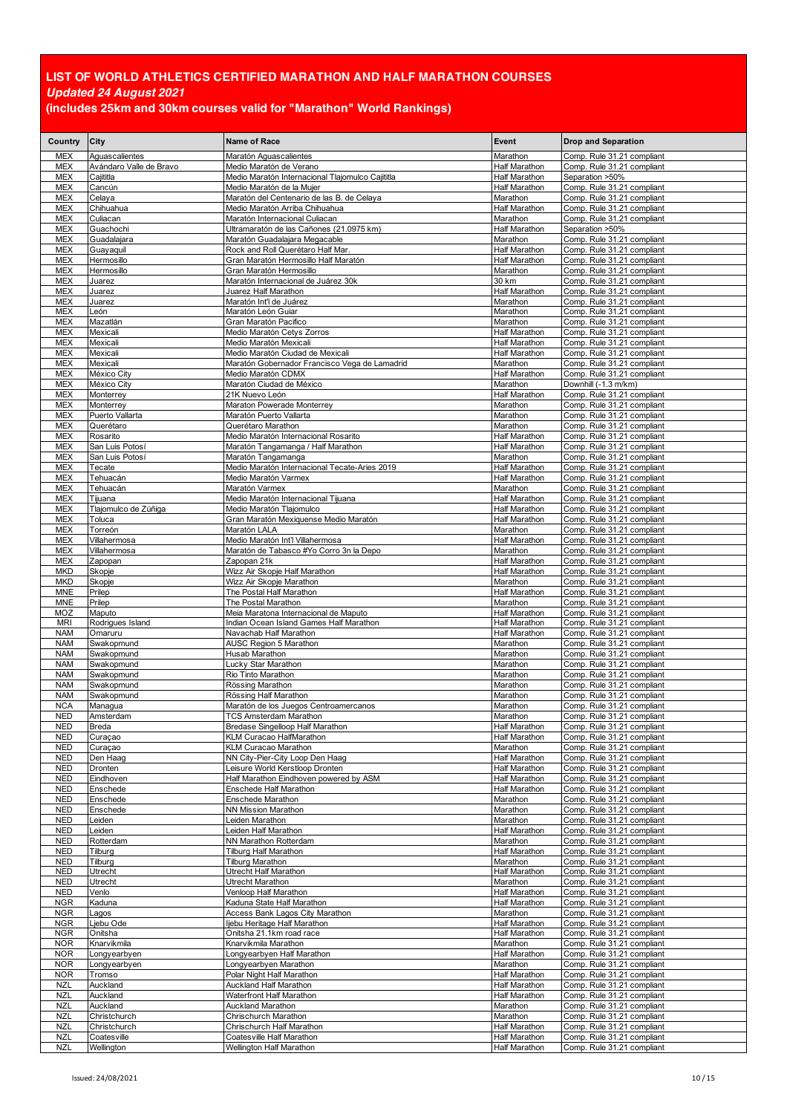| Country                  | City                         | Name of Race                                                              | Event                            | <b>Drop and Separation</b>                               |
|--------------------------|------------------------------|---------------------------------------------------------------------------|----------------------------------|----------------------------------------------------------|
| <b>MEX</b>               | Aguascalientes               | Maratón Aguascalientes                                                    | Marathon                         | Comp. Rule 31.21 compliant                               |
| <b>MEX</b>               | Avándaro Valle de Bravo      | Medio Maratón de Verano                                                   | Half Marathon                    | Comp. Rule 31.21 compliant                               |
| <b>MEX</b>               | Cajititla                    | Medio Maratón Internacional Tlajomulco Cajititla                          | <b>Half Marathon</b>             | Separation >50%                                          |
| <b>MEX</b>               | Cancún                       | Medio Maratón de la Mujer                                                 | Half Marathon                    | Comp. Rule 31.21 compliant                               |
| <b>MEX</b>               | Celaya                       | Maratón del Centenario de las B. de Celaya                                | Marathon                         | Comp. Rule 31.21 compliant                               |
| <b>MEX</b>               | Chihuahua                    | Medio Maratón Arriba Chihuahua                                            | Half Marathon                    | Comp. Rule 31.21 compliant                               |
| <b>MEX</b>               | Culiacan                     | Maratón Internacional Culiacan                                            | Marathon                         | Comp. Rule 31.21 compliant                               |
| <b>MEX</b>               | Guachochi                    | Ultramaratón de las Cañones (21.0975 km)<br>Maratón Guadalajara Megacable | <b>Half Marathon</b><br>Marathon | Separation >50%<br>Comp. Rule 31.21 compliant            |
| <b>MEX</b><br><b>MEX</b> | Guadalajara<br>Guayaquil     | Rock and Roll Querétaro Half Mar.                                         | Half Marathon                    | Comp. Rule 31.21 compliant                               |
| <b>MEX</b>               | Hermosillo                   | Gran Maratón Hermosillo Half Maratón                                      | Half Marathon                    | Comp. Rule 31.21 compliant                               |
| <b>MEX</b>               | Hermosillo                   | Gran Maratón Hermosillo                                                   | Marathon                         | Comp. Rule 31.21 compliant                               |
| <b>MEX</b>               | Juarez                       | Maratón Internacional de Juárez 30k                                       | 30 km                            | Comp. Rule 31.21 compliant                               |
| MEX                      | Juarez                       | Juarez Half Marathon                                                      | Half Marathon                    | Comp. Rule 31.21 compliant                               |
| <b>MEX</b>               | Juarez                       | Maratón Int'l de Juárez                                                   | Marathon                         | Comp. Rule 31.21 compliant                               |
| <b>MEX</b>               | León                         | Maratón León Guiar                                                        | Marathon                         | Comp. Rule 31.21 compliant                               |
| <b>MEX</b>               | Mazatlán                     | Gran Maratón Pacifico                                                     | Marathon                         | Comp. Rule 31.21 compliant                               |
| <b>MEX</b>               | Mexicali                     | Medio Maratón Cetys Zorros                                                | <b>Half Marathon</b>             | Comp. Rule 31.21 compliant                               |
| <b>MEX</b><br><b>MEX</b> | Mexicali<br>Mexicali         | Medio Maratón Mexicali<br>Medio Maratón Ciudad de Mexicali                | Half Marathon<br>Half Marathon   | Comp. Rule 31.21 compliant<br>Comp. Rule 31.21 compliant |
| MEX                      | Mexicali                     | Maratón Gobernador Francisco Vega de Lamadrid                             | Marathon                         | Comp. Rule 31.21 compliant                               |
| <b>MEX</b>               | México City                  | Medio Maratón CDMX                                                        | Half Marathon                    | Comp. Rule 31.21 compliant                               |
| <b>MEX</b>               | México City                  | Maratón Ciudad de México                                                  | Marathon                         | Downhill (-1.3 m/km)                                     |
| <b>MEX</b>               | Monterrey                    | 21K Nuevo León                                                            | Half Marathon                    | Comp. Rule 31.21 compliant                               |
| MEX                      | Monterrey                    | Maraton Powerade Monterrey                                                | Marathon                         | Comp. Rule 31.21 compliant                               |
| <b>MEX</b>               | Puerto Vallarta              | Maratón Puerto Vallarta                                                   | Marathon                         | Comp. Rule 31.21 compliant                               |
| <b>MEX</b>               | Querétaro                    | Querétaro Marathon                                                        | Marathon                         | Comp. Rule 31.21 compliant                               |
| <b>MEX</b>               | Rosarito                     | Medio Maratón Internacional Rosarito                                      | Half Marathon                    | Comp. Rule 31.21 compliant                               |
| <b>MEX</b>               | San Luis Potosí              | Maratón Tangamanga / Half Marathon                                        | <b>Half Marathon</b>             | Comp. Rule 31.21 compliant                               |
| <b>MEX</b>               | San Luis Potosí              | Maratón Tangamanga                                                        | Marathon                         | Comp. Rule 31.21 compliant                               |
| <b>MEX</b><br><b>MEX</b> | Tecate<br>Tehuacán           | Medio Maratón Internacional Tecate-Aries 2019<br>Medio Maratón Varmex     | Half Marathon<br>Half Marathon   | Comp. Rule 31.21 compliant<br>Comp. Rule 31.21 compliant |
| <b>MEX</b>               | Tehuacán                     | Maratón Varmex                                                            | Marathon                         | Comp. Rule 31.21 compliant                               |
| <b>MEX</b>               | Tijuana                      | Medio Maratón Internacional Tijuana                                       | Half Marathon                    | Comp. Rule 31.21 compliant                               |
| <b>MEX</b>               | Tlajomulco de Zúñiga         | Medio Maratón Tlajomulco                                                  | Half Marathon                    | Comp. Rule 31.21 compliant                               |
| <b>MEX</b>               | Toluca                       | Gran Maratón Mexiquense Medio Maratón                                     | Half Marathon                    | Comp. Rule 31.21 compliant                               |
| <b>MEX</b>               | Torreón                      | Maratón LALA                                                              | Marathon                         | Comp. Rule 31.21 compliant                               |
| <b>MEX</b>               | Villahermosa                 | Medio Maratón Int'l Villahermosa                                          | Half Marathon                    | Comp. Rule 31.21 compliant                               |
| <b>MEX</b>               | Villahermosa                 | Maratón de Tabasco #Yo Corro 3n la Depo                                   | Marathon                         | Comp. Rule 31.21 compliant                               |
| <b>MEX</b>               | Zapopan                      | Zapopan 21k                                                               | Half Marathon                    | Comp. Rule 31.21 compliant                               |
| <b>MKD</b>               | Skopje                       | Wizz Air Skopje Half Marathon                                             | <b>Half Marathon</b>             | Comp. Rule 31.21 compliant                               |
| <b>MKD</b>               | Skopje                       | Wizz Air Skopje Marathon                                                  | Marathon                         | Comp. Rule 31.21 compliant                               |
| <b>MNE</b><br><b>MNE</b> | Prilep<br>Prilep             | The Postal Half Marathon<br>The Postal Marathon                           | <b>Half Marathon</b><br>Marathon | Comp. Rule 31.21 compliant<br>Comp. Rule 31.21 compliant |
| MOZ                      | Maputo                       | Meia Maratona Internacional de Maputo                                     | Half Marathon                    | Comp. Rule 31.21 compliant                               |
| <b>MRI</b>               | Rodrigues Island             | Indian Ocean Island Games Half Marathon                                   | Half Marathon                    | Comp. Rule 31.21 compliant                               |
| <b>NAM</b>               | Omaruru                      | Navachab Half Marathon                                                    | <b>Half Marathon</b>             | Comp. Rule 31.21 compliant                               |
| <b>NAM</b>               | Swakopmund                   | <b>AUSC Region 5 Marathon</b>                                             | Marathon                         | Comp. Rule 31.21 compliant                               |
| <b>NAM</b>               | Swakopmund                   | Husab Marathon                                                            | Marathon                         | Comp. Rule 31.21 compliant                               |
| <b>NAM</b>               | Swakopmund                   | Lucky Star Marathon                                                       | Marathon                         | Comp. Rule 31.21 compliant                               |
| <b>NAM</b>               | Swakopmund                   | Rio Tinto Marathon                                                        | Marathon                         | Comp. Rule 31.21 compliant                               |
| <b>NAM</b>               | Swakopmund                   | Rössing Marathon                                                          | Marathon                         | Comp. Rule 31.21 compliant                               |
| <b>NAM</b><br><b>NCA</b> | Swakopmund                   | Rössing Half Marathon<br>Maratón de los Juegos Centroamercanos            | Marathon<br>Marathon             | Comp. Rule 31.21 compliant<br>Comp. Rule 31.21 compliant |
| <b>NED</b>               | Managua<br>Amsterdam         | <b>TCS Amsterdam Marathon</b>                                             | Marathon                         | Comp. Rule 31.21 compliant                               |
| <b>NED</b>               | Breda                        | Bredase Singelloop Half Marathon                                          | <b>Half Marathon</b>             | Comp. Rule 31.21 compliant                               |
| <b>NED</b>               | Curaçao                      | KLM Curacao HalfMarathon                                                  | <b>Half Marathon</b>             | Comp. Rule 31.21 compliant                               |
| <b>NED</b>               | Curaçao                      | KLM Curacao Marathon                                                      | Marathon                         | Comp. Rule 31.21 compliant                               |
| <b>NED</b>               | Den Haag                     | NN City-Pier-City Loop Den Haag                                           | <b>Half Marathon</b>             | Comp. Rule 31.21 compliant                               |
| <b>NED</b>               | Dronten                      | Leisure World Kerstloop Dronten                                           | <b>Half Marathon</b>             | Comp. Rule 31.21 compliant                               |
| <b>NED</b>               | Eindhoven                    | Half Marathon Eindhoven powered by ASM                                    | Half Marathon                    | Comp. Rule 31.21 compliant                               |
| <b>NED</b>               | Enschede                     | Enschede Half Marathon                                                    | Half Marathon                    | Comp. Rule 31.21 compliant                               |
| <b>NED</b><br><b>NED</b> | Enschede<br>Enschede         | Enschede Marathon<br>NN Mission Marathon                                  | Marathon<br>Marathon             | Comp. Rule 31.21 compliant<br>Comp. Rule 31.21 compliant |
| <b>NED</b>               | eiden.                       | Leiden Marathon                                                           | Marathon                         | Comp. Rule 31.21 compliant                               |
| <b>NED</b>               | eiden.                       | Leiden Half Marathon                                                      | Half Marathon                    | Comp. Rule 31.21 compliant                               |
| <b>NED</b>               | Rotterdam                    | NN Marathon Rotterdam                                                     | Marathon                         | Comp. Rule 31.21 compliant                               |
| <b>NED</b>               | Tilburg                      | Tilburg Half Marathon                                                     | Half Marathon                    | Comp. Rule 31.21 compliant                               |
| <b>NED</b>               | Tilburg                      | Tilburg Marathon                                                          | Marathon                         | Comp. Rule 31.21 compliant                               |
| <b>NED</b>               | Utrecht                      | Utrecht Half Marathon                                                     | Half Marathon                    | Comp. Rule 31.21 compliant                               |
| <b>NED</b>               | Utrecht                      | Utrecht Marathon                                                          | Marathon                         | Comp. Rule 31.21 compliant                               |
| <b>NED</b>               | Venlo                        | Venloop Half Marathon                                                     | Half Marathon                    | Comp. Rule 31.21 compliant                               |
| <b>NGR</b><br><b>NGR</b> | Kaduna<br>agos               | Kaduna State Half Marathon<br>Access Bank Lagos City Marathon             | Half Marathon<br>Marathon        | Comp. Rule 31.21 compliant<br>Comp. Rule 31.21 compliant |
| <b>NGR</b>               | jebu Ode                     | ljebu Heritage Half Marathon                                              | Half Marathon                    | Comp. Rule 31.21 compliant                               |
| <b>NGR</b>               | Onitsha                      | Onitsha 21.1km road race                                                  | Half Marathon                    | Comp. Rule 31.21 compliant                               |
| <b>NOR</b>               | Knarvikmila                  | Knarvikmila Marathon                                                      | Marathon                         | Comp. Rule 31.21 compliant                               |
| <b>NOR</b>               | Longyearbyen                 | Longyearbyen Half Marathon                                                | Half Marathon                    | Comp. Rule 31.21 compliant                               |
| <b>NOR</b>               | Longyearbyen                 | Longyearbyen Marathon                                                     | Marathon                         | Comp. Rule 31.21 compliant                               |
| <b>NOR</b>               | Tromso                       | Polar Night Half Marathon                                                 | Half Marathon                    | Comp. Rule 31.21 compliant                               |
| <b>NZL</b>               | Auckland                     | Auckland Half Marathon                                                    | Half Marathon                    | Comp. Rule 31.21 compliant                               |
| <b>NZL</b>               | Auckland                     | Waterfront Half Marathon                                                  | Half Marathon                    | Comp. Rule 31.21 compliant                               |
| <b>NZL</b>               | Auckland                     | Auckland Marathon                                                         | Marathon                         | Comp. Rule 31.21 compliant                               |
| <b>NZL</b><br><b>NZL</b> | Christchurch<br>Christchurch | Chrischurch Marathon                                                      | Marathon<br>Half Marathon        | Comp. Rule 31.21 compliant                               |
| <b>NZL</b>               | Coatesville                  | Chrischurch Half Marathon<br>Coatesville Half Marathon                    | Half Marathon                    | Comp. Rule 31.21 compliant<br>Comp. Rule 31.21 compliant |
| <b>NZL</b>               | Wellington                   | Wellington Half Marathon                                                  | Half Marathon                    | Comp. Rule 31.21 compliant                               |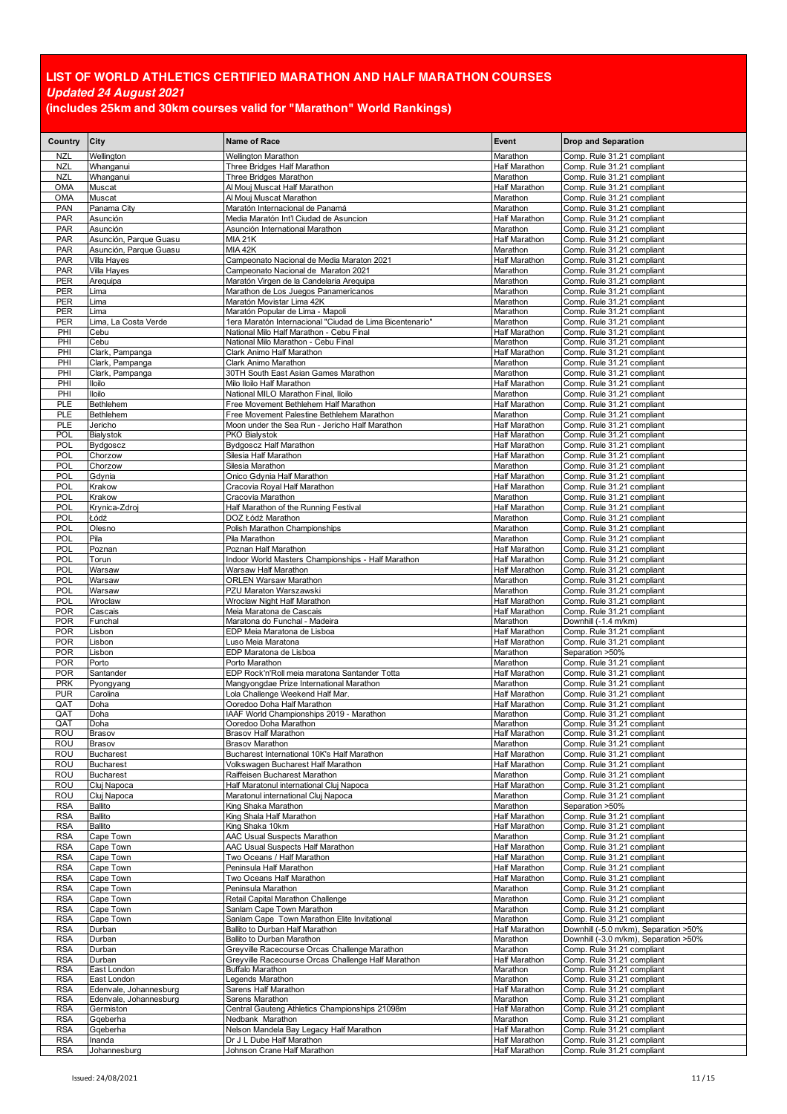| Country                  | City                                             | <b>Name of Race</b>                                                                                  | Event                                        | <b>Drop and Separation</b>                                          |
|--------------------------|--------------------------------------------------|------------------------------------------------------------------------------------------------------|----------------------------------------------|---------------------------------------------------------------------|
| <b>NZL</b>               | Wellington                                       | <b>Wellington Marathon</b>                                                                           | Marathon                                     | Comp. Rule 31.21 compliant                                          |
| <b>NZL</b>               | Whanganui                                        | Three Bridges Half Marathon                                                                          | <b>Half Marathon</b>                         | Comp. Rule 31.21 compliant                                          |
| <b>NZL</b>               | Whanganui                                        | Three Bridges Marathon                                                                               | Marathon                                     | Comp. Rule 31.21 compliant                                          |
| OMA<br>OMA               | Muscat<br>Muscat                                 | Al Mouj Muscat Half Marathon<br>Al Mouj Muscat Marathon                                              | Half Marathon<br>Marathon                    | Comp. Rule 31.21 compliant<br>Comp. Rule 31.21 compliant            |
| <b>PAN</b>               | Panama City                                      | Maratón Internacional de Panamá                                                                      | Marathon                                     | Comp. Rule 31.21 compliant                                          |
| PAR                      | Asunción                                         | Media Maratón Int'l Ciudad de Asuncion                                                               | <b>Half Marathon</b>                         | Comp. Rule 31.21 compliant                                          |
| <b>PAR</b>               | Asunción                                         | Asunción International Marathon                                                                      | Marathon                                     | Comp. Rule 31.21 compliant                                          |
| PAR                      | Asunción, Parque Guasu                           | MIA 21K                                                                                              | Half Marathon                                | Comp. Rule 31.21 compliant                                          |
| <b>PAR</b>               | Asunción, Parque Guasu                           | <b>MIA 42K</b>                                                                                       | Marathon<br><b>Half Marathon</b>             | Comp. Rule 31.21 compliant                                          |
| <b>PAR</b><br>PAR        | Villa Hayes<br>Villa Hayes                       | Campeonato Nacional de Media Maraton 2021<br>Campeonato Nacional de Maraton 2021                     | Marathon                                     | Comp. Rule 31.21 compliant<br>Comp. Rule 31.21 compliant            |
| PER                      | Arequipa                                         | Maratón Virgen de la Candelaria Areguipa                                                             | Marathon                                     | Comp. Rule 31.21 compliant                                          |
| PER                      | _ima                                             | Marathon de Los Juegos Panamericanos                                                                 | Marathon                                     | Comp. Rule 31.21 compliant                                          |
| PER                      | Lima                                             | Maratón Movistar Lima 42K                                                                            | Marathon                                     | Comp. Rule 31.21 compliant                                          |
| PER                      | Lima                                             | Maratón Popular de Lima - Mapoli                                                                     | Marathon                                     | Comp. Rule 31.21 compliant                                          |
| PER<br>PHI               | Lima, La Costa Verde<br>Cebu                     | 1era Maratón Internacional "Ciudad de Lima Bicentenario"<br>National Milo Half Marathon - Cebu Final | Marathon<br><b>Half Marathon</b>             | Comp. Rule 31.21 compliant<br>Comp. Rule 31.21 compliant            |
| PHI                      | Cebu                                             | National Milo Marathon - Cebu Final                                                                  | Marathon                                     | Comp. Rule 31.21 compliant                                          |
| PHI                      | Clark, Pampanga                                  | Clark Animo Half Marathon                                                                            | Half Marathon                                | Comp. Rule 31.21 compliant                                          |
| PHI                      | Clark, Pampanga                                  | Clark Animo Marathon                                                                                 | Marathon                                     | Comp. Rule 31.21 compliant                                          |
| PHI                      | Clark, Pampanga                                  | 30TH South East Asian Games Marathon                                                                 | Marathon                                     | Comp. Rule 31.21 compliant                                          |
| PHI<br>PHI               | <b>Iloilo</b><br><b>Iloilo</b>                   | Milo Iloilo Half Marathon<br>National MILO Marathon Final, Iloilo                                    | <b>Half Marathon</b><br>Marathon             | Comp. Rule 31.21 compliant<br>Comp. Rule 31.21 compliant            |
| <b>PLE</b>               | Bethlehem                                        | Free Movement Bethlehem Half Marathon                                                                | <b>Half Marathon</b>                         | Comp. Rule 31.21 compliant                                          |
| PLE                      | Bethlehem                                        | Free Movement Palestine Bethlehem Marathon                                                           | Marathon                                     | Comp. Rule 31.21 compliant                                          |
| <b>PLE</b>               | Jericho                                          | Moon under the Sea Run - Jericho Half Marathon                                                       | <b>Half Marathon</b>                         | Comp. Rule 31.21 compliant                                          |
| <b>POL</b>               | <b>Bialystok</b>                                 | PKO Bialystok                                                                                        | Half Marathon                                | Comp. Rule 31.21 compliant                                          |
| POL<br>POL               | Bydgoscz<br>Chorzow                              | <b>Bydgoscz Half Marathon</b><br>Silesia Half Marathon                                               | Half Marathon<br><b>Half Marathon</b>        | Comp. Rule 31.21 compliant<br>Comp. Rule 31.21 compliant            |
| POL                      | Chorzow                                          | Silesia Marathon                                                                                     | Marathon                                     | Comp. Rule 31.21 compliant                                          |
| POL                      | Gdynia                                           | Onico Gdynia Half Marathon                                                                           | <b>Half Marathon</b>                         | Comp. Rule 31.21 compliant                                          |
| POL                      | Krakow                                           | Cracovia Royal Half Marathon                                                                         | <b>Half Marathon</b>                         | Comp. Rule 31.21 compliant                                          |
| POL                      | Krakow                                           | Cracovia Marathon                                                                                    | Marathon                                     | Comp. Rule 31.21 compliant                                          |
| POL                      | Krynica-Zdroj                                    | Half Marathon of the Running Festival                                                                | Half Marathon                                | Comp. Rule 31.21 compliant                                          |
| POL<br>POL               | Łódź<br>Olesno                                   | DOZ Łódź Marathon<br>Polish Marathon Championships                                                   | Marathon<br>Marathon                         | Comp. Rule 31.21 compliant<br>Comp. Rule 31.21 compliant            |
| POL                      | Pila                                             | Pila Marathon                                                                                        | Marathon                                     | Comp. Rule 31.21 compliant                                          |
| POL                      | Poznan                                           | Poznan Half Marathon                                                                                 | Half Marathon                                | Comp. Rule 31.21 compliant                                          |
| POL                      | Torun                                            | Indoor World Masters Championships - Half Marathon                                                   | Half Marathon                                | Comp. Rule 31.21 compliant                                          |
| POL                      | Warsaw                                           | Warsaw Half Marathon                                                                                 | <b>Half Marathon</b>                         | Comp. Rule 31.21 compliant                                          |
| POL<br><b>POL</b>        | Warsaw<br>Warsaw                                 | <b>ORLEN Warsaw Marathon</b><br>PZU Maraton Warszawski                                               | Marathon<br>Marathon                         | Comp. Rule 31.21 compliant<br>Comp. Rule 31.21 compliant            |
| POL                      | Wroclaw                                          | Wroclaw Night Half Marathon                                                                          | Half Marathon                                | Comp. Rule 31.21 compliant                                          |
| <b>POR</b>               | Cascais                                          | Meia Maratona de Cascais                                                                             | Half Marathon                                | Comp. Rule 31.21 compliant                                          |
| <b>POR</b>               | Funchal                                          | Maratona do Funchal - Madeira                                                                        | Marathon                                     | Downhill (-1.4 m/km)                                                |
| <b>POR</b>               | Lisbon                                           | EDP Meia Maratona de Lisboa                                                                          | Half Marathon                                | Comp. Rule 31.21 compliant                                          |
| <b>POR</b><br><b>POR</b> | Lisbon<br>Lisbon                                 | Luso Meia Maratona<br>EDP Maratona de Lisboa                                                         | Half Marathon<br>Marathon                    | Comp. Rule 31.21 compliant<br>Separation >50%                       |
| <b>POR</b>               | Porto                                            | Porto Marathon                                                                                       | Marathon                                     | Comp. Rule 31.21 compliant                                          |
| <b>POR</b>               | Santander                                        | EDP Rock'n'Roll meia maratona Santander Totta                                                        | Half Marathon                                | Comp. Rule 31.21 compliant                                          |
| <b>PRK</b>               | Pyongyang                                        | Mangyongdae Prize International Marathon                                                             | Marathon                                     | Comp. Rule 31.21 compliant                                          |
| <b>PUR</b>               | Carolina                                         | Lola Challenge Weekend Half Mar.                                                                     | <b>Half Marathon</b>                         | Comp. Rule 31.21 compliant                                          |
| QAT<br>QAT               | Doha<br>Doha                                     | Ooredoo Doha Half Marathon<br>IAAF World Championships 2019 - Marathon                               | Half Marathon<br>Marathon                    | Comp. Rule 31.21 compliant<br>Comp. Rule 31.21 compliant            |
| QAI                      | Doha                                             | Ooredoo Doha Marathon                                                                                | Marathon                                     | Comp. Rule 31.21 compliant                                          |
| ROU                      | <b>Brasov</b>                                    | Brasov Half Marathon                                                                                 | <b>Half Marathon</b>                         | Comp. Rule 31.21 compliant                                          |
| ROU                      | Brasov                                           | <b>Brasov Marathon</b>                                                                               | Marathon                                     | Comp. Rule 31.21 compliant                                          |
| ROU<br>ROU               | Bucharest<br><b>Bucharest</b>                    | Bucharest International 10K's Half Marathon<br>Volkswagen Bucharest Half Marathon                    | <b>Half Marathon</b><br><b>Half Marathon</b> | Comp. Rule 31.21 compliant<br>Comp. Rule 31.21 compliant            |
| ROU                      | Bucharest                                        | Raiffeisen Bucharest Marathon                                                                        | Marathon                                     | Comp. Rule 31.21 compliant                                          |
| ROU                      | Cluj Napoca                                      | Half Maratonul international Cluj Napoca                                                             | Half Marathon                                | Comp. Rule 31.21 compliant                                          |
| ROU                      | Cluj Napoca                                      | Maratonul international Cluj Napoca                                                                  | Marathon                                     | Comp. Rule 31.21 compliant                                          |
| <b>RSA</b>               | Ballito                                          | King Shaka Marathon                                                                                  | Marathon                                     | Separation >50%                                                     |
| <b>RSA</b><br><b>RSA</b> | Ballito<br>Ballito                               | King Shala Half Marathon<br>King Shaka 10km                                                          | Half Marathon<br>Half Marathon               | Comp. Rule 31.21 compliant<br>Comp. Rule 31.21 compliant            |
| <b>RSA</b>               | Cape Town                                        | AAC Usual Suspects Marathon                                                                          | Marathon                                     | Comp. Rule 31.21 compliant                                          |
| <b>RSA</b>               | Cape Town                                        | AAC Usual Suspects Half Marathon                                                                     | Half Marathon                                | Comp. Rule 31.21 compliant                                          |
| <b>RSA</b>               | Cape Town                                        | Two Oceans / Half Marathon                                                                           | <b>Half Marathon</b>                         | Comp. Rule 31.21 compliant                                          |
| <b>RSA</b>               | Cape Town                                        | Peninsula Half Marathon                                                                              | Half Marathon                                | Comp. Rule 31.21 compliant                                          |
| <b>RSA</b><br><b>RSA</b> | Cape Town<br>Cape Town                           | Two Oceans Half Marathon<br>Peninsula Marathon                                                       | Half Marathon<br>Marathon                    | Comp. Rule 31.21 compliant<br>Comp. Rule 31.21 compliant            |
| <b>RSA</b>               | Cape Town                                        | Retail Capital Marathon Challenge                                                                    | Marathon                                     | Comp. Rule 31.21 compliant                                          |
| <b>RSA</b>               | Cape Town                                        | Sanlam Cape Town Marathon                                                                            | Marathon                                     | Comp. Rule 31.21 compliant                                          |
| <b>RSA</b>               | Cape Town                                        | Sanlam Cape Town Marathon Elite Invitational                                                         | Marathon                                     | Comp. Rule 31.21 compliant                                          |
| <b>RSA</b>               | Durban                                           | Ballito to Durban Half Marathon                                                                      | Half Marathon                                | Downhill (-5.0 m/km), Separation >50%                               |
| <b>RSA</b><br><b>RSA</b> | Durban<br>Durban                                 | Ballito to Durban Marathon<br>Greyville Racecourse Orcas Challenge Marathon                          | Marathon<br>Marathon                         | Downhill (-3.0 m/km), Separation >50%<br>Comp. Rule 31.21 compliant |
| <b>RSA</b>               | Durban                                           | Greyville Racecourse Orcas Challenge Half Marathon                                                   | <b>Half Marathon</b>                         | Comp. Rule 31.21 compliant                                          |
| <b>RSA</b>               | East London                                      | Buffalo Marathon                                                                                     | Marathon                                     | Comp. Rule 31.21 compliant                                          |
| <b>RSA</b>               | East London                                      | Legends Marathon                                                                                     | Marathon                                     | Comp. Rule 31.21 compliant                                          |
| <b>RSA</b><br><b>RSA</b> | Edenvale, Johannesburg<br>Edenvale, Johannesburg | Sarens Half Marathon<br>Sarens Marathon                                                              | Half Marathon<br>Marathon                    | Comp. Rule 31.21 compliant<br>Comp. Rule 31.21 compliant            |
| RSA                      | Germiston                                        | Central Gauteng Athletics Championships 21098m                                                       | Half Marathon                                | Comp. Rule 31.21 compliant                                          |
| <b>RSA</b>               | Gqeberha                                         | Nedbank Marathon                                                                                     | Marathon                                     | Comp. Rule 31.21 compliant                                          |
| <b>RSA</b>               | Gqeberha                                         | Nelson Mandela Bay Legacy Half Marathon                                                              | <b>Half Marathon</b>                         | Comp. Rule 31.21 compliant                                          |
| <b>RSA</b>               | Inanda                                           | Dr J L Dube Half Marathon                                                                            | Half Marathon                                | Comp. Rule 31.21 compliant                                          |
| <b>RSA</b>               | Johannesburg                                     | Johnson Crane Half Marathon                                                                          | Half Marathon                                | Comp. Rule 31.21 compliant                                          |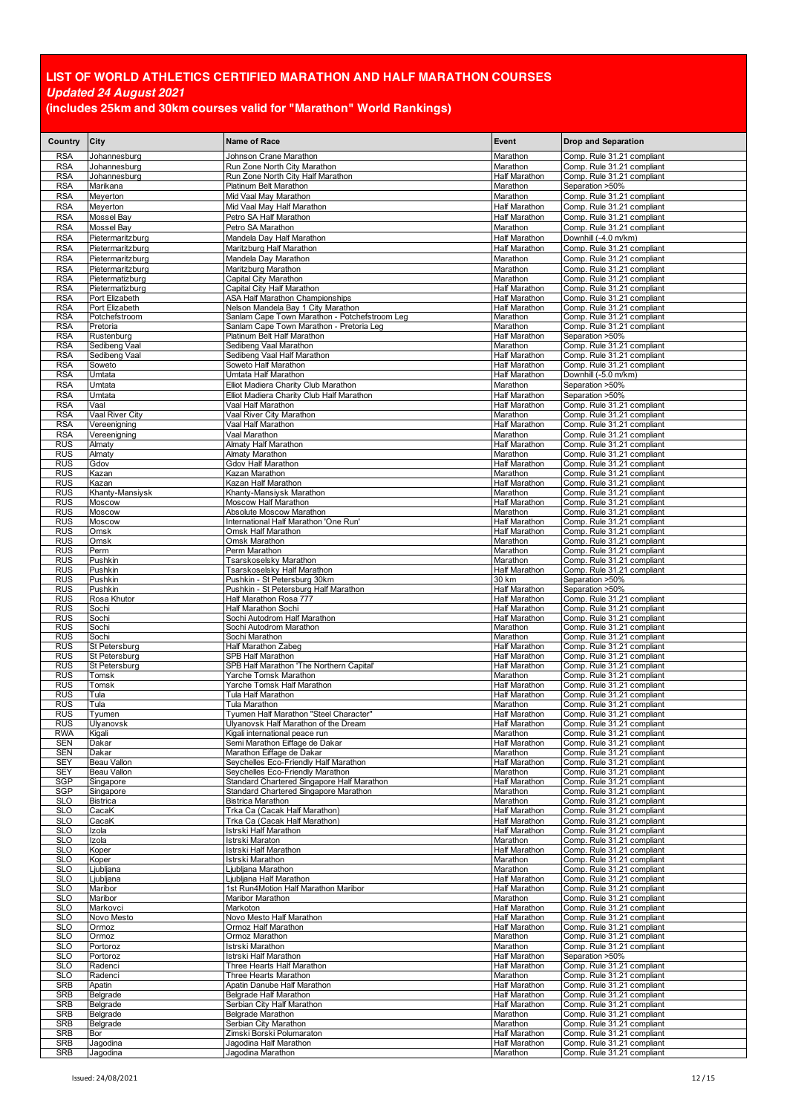| Country                  | City                              | <b>Name of Race</b>                                                                 | Event                                        | <b>Drop and Separation</b>                               |
|--------------------------|-----------------------------------|-------------------------------------------------------------------------------------|----------------------------------------------|----------------------------------------------------------|
| <b>RSA</b>               | Johannesburg                      | Johnson Crane Marathon                                                              | Marathon                                     | Comp. Rule 31.21 compliant                               |
| <b>RSA</b>               | Johannesburg                      | Run Zone North City Marathon                                                        | Marathon                                     | Comp. Rule 31.21 compliant                               |
| <b>RSA</b>               | Johannesburg                      | Run Zone North City Half Marathon                                                   | Half Marathon                                | Comp. Rule 31.21 compliant                               |
| <b>RSA</b>               | Marikana                          | Platinum Belt Marathon                                                              | Marathon                                     | Separation >50%                                          |
| <b>RSA</b>               | Meyerton                          | Mid Vaal Mav Marathon                                                               | Marathon                                     | Comp. Rule 31.21 compliant                               |
| <b>RSA</b>               | Meyerton                          | Mid Vaal May Half Marathon                                                          | <b>Half Marathon</b>                         | Comp. Rule 31.21 compliant                               |
| <b>RSA</b>               | Mossel Bav<br>Mossel Bay          | Petro SA Half Marathon<br>Petro SA Marathon                                         | <b>Half Marathon</b><br>Marathon             | Comp. Rule 31.21 compliant                               |
| <b>RSA</b><br><b>RSA</b> | Pietermaritzburg                  | Mandela Day Half Marathon                                                           | Half Marathon                                | Comp. Rule 31.21 compliant<br>Downhill (-4.0 m/km)       |
| <b>RSA</b>               | Pietermaritzburg                  | Maritzburg Half Marathon                                                            | <b>Half Marathon</b>                         | Comp. Rule 31.21 compliant                               |
| <b>RSA</b>               | Pietermaritzburg                  | Mandela Day Marathon                                                                | Marathon                                     | Comp. Rule 31.21 compliant                               |
| <b>RSA</b>               | Pietermaritzburg                  | Maritzburg Marathon                                                                 | Marathon                                     | Comp. Rule 31.21 compliant                               |
| <b>RSA</b>               | Pietermatizburg                   | Capital City Marathon                                                               | Marathon                                     | Comp. Rule 31.21 compliant                               |
| <b>RSA</b>               | Pietermatizburg                   | Capital City Half Marathon                                                          | Half Marathon                                | Comp. Rule 31.21 compliant                               |
| <b>RSA</b>               | Port Elizabeth<br>Port Elizabeth  | <b>ASA Half Marathon Championships</b>                                              | <b>Half Marathon</b><br><b>Half Marathon</b> | Comp. Rule 31.21 compliant<br>Comp. Rule 31.21 compliant |
| <b>RSA</b><br><b>RSA</b> | Potchefstroom                     | Nelson Mandela Bay 1 City Marathon<br>Sanlam Cape Town Marathon - Potchefstroom Leg | Marathon                                     | Comp. Rule 31.21 compliant                               |
| <b>RSA</b>               | Pretoria                          | Sanlam Cape Town Marathon - Pretoria Leg                                            | Marathon                                     | Comp. Rule 31.21 compliant                               |
| <b>RSA</b>               | Rustenburg                        | Platinum Belt Half Marathon                                                         | Half Marathon                                | Separation >50%                                          |
| <b>RSA</b>               | Sedibeng Vaal                     | Sedibeng Vaal Marathon                                                              | Marathon                                     | Comp. Rule 31.21 compliant                               |
| <b>RSA</b><br><b>RSA</b> | Sedibeng Vaal<br>Soweto           | Sedibeng Vaal Half Marathon<br>Soweto Half Marathon                                 | Half Marathon<br><b>Half Marathon</b>        | Comp. Rule 31.21 compliant<br>Comp. Rule 31.21 compliant |
| <b>RSA</b>               | Umtata                            | Umtata Half Marathon                                                                | Half Marathon                                | Downhill (-5.0 m/km)                                     |
| <b>RSA</b>               | Umtata                            | Elliot Madiera Charity Club Marathon                                                | Marathon                                     | Separation >50%                                          |
| <b>RSA</b>               | Umtata                            | Elliot Madiera Charity Club Half Marathon                                           | Half Marathon                                | Separation >50%                                          |
| <b>RSA</b>               | Vaal                              | Vaal Half Marathon                                                                  | <b>Half Marathon</b>                         | Comp. Rule 31.21 compliant                               |
| <b>RSA</b>               | Vaal River City                   | Vaal River City Marathon                                                            | Marathon                                     | Comp. Rule 31.21 compliant                               |
| <b>RSA</b>               | Vereenigning                      | Vaal Half Marathon                                                                  | <b>Half Marathon</b>                         | Comp. Rule 31.21 compliant                               |
| <b>RSA</b><br><b>RUS</b> | Vereenigning<br>Almaty            | Vaal Marathon<br>Almaty Half Marathon                                               | Marathon<br><b>Half Marathon</b>             | Comp. Rule 31.21 compliant<br>Comp. Rule 31.21 compliant |
| <b>RUS</b>               | Almaty                            | Almaty Marathon                                                                     | Marathon                                     | Comp. Rule 31.21 compliant                               |
| <b>RUS</b>               | Gdov                              | Gdov Half Marathon                                                                  | Half Marathon                                | Comp. Rule 31.21 compliant                               |
| <b>RUS</b>               | Kazan                             | Kazan Marathon                                                                      | Marathon                                     | Comp. Rule 31.21 compliant                               |
| <b>RUS</b>               | Kazan                             | Kazan Half Marathon                                                                 | Half Marathon<br>Marathon                    | Comp. Rule 31.21 compliant                               |
| <b>RUS</b><br><b>RUS</b> | Khanty-Mansiysk<br>Moscow         | Khanty-Mansiysk Marathon<br>Moscow Half Marathon                                    | Half Marathon                                | Comp. Rule 31.21 compliant<br>Comp. Rule 31.21 compliant |
| <b>RUS</b>               | Moscow                            | Absolute Moscow Marathon                                                            | Marathon                                     | Comp. Rule 31.21 compliant                               |
| <b>RUS</b>               | Moscow                            | International Half Marathon 'One Run'                                               | Half Marathon                                | Comp. Rule 31.21 compliant                               |
| <b>RUS</b>               | Omsk                              | Omsk Half Marathon                                                                  | Half Marathon                                | Comp. Rule 31.21 compliant                               |
| <b>RUS</b>               | Omsk                              | Omsk Marathon                                                                       | Marathon                                     | Comp. Rule 31.21 compliant                               |
| <b>RUS</b><br><b>RUS</b> | Perm<br>Pushkin                   | Perm Marathon<br>Tsarskoselsky Marathon                                             | Marathon<br>Marathon                         | Comp. Rule 31.21 compliant<br>Comp. Rule 31.21 compliant |
| <b>RUS</b>               | Pushkin                           | Tsarskoselsky Half Marathon                                                         | <b>Half Marathon</b>                         | Comp. Rule 31.21 compliant                               |
| <b>RUS</b>               | Pushkin                           | Pushkin - St Petersburg 30km                                                        | 30 km                                        | Separation >50%                                          |
| <b>RUS</b>               | Pushkin                           | Pushkin - St Petersburg Half Marathon                                               | Half Marathon                                | Separation >50%                                          |
| <b>RUS</b>               | Rosa Khutor                       | Half Marathon Rosa 777                                                              | Half Marathon                                | Comp. Rule 31.21 compliant                               |
| <b>RUS</b><br><b>RUS</b> | Sochi<br>Sochi                    | Half Marathon Sochi<br>Sochi Autodrom Half Marathon                                 | Half Marathon<br>Half Marathon               | Comp. Rule 31.21 compliant<br>Comp. Rule 31.21 compliant |
| <b>RUS</b>               | Sochi                             | Sochi Autodrom Marathon                                                             | Marathon                                     | Comp. Rule 31.21 compliant                               |
| <b>RUS</b>               | Sochi                             | Sochi Marathon                                                                      | Marathon                                     | Comp. Rule 31.21 compliant                               |
| <b>RUS</b>               | St Petersburg                     | Half Marathon Zabeg                                                                 | Half Marathon                                | Comp. Rule 31.21 compliant                               |
| <b>RUS</b><br><b>RUS</b> | St Petersburg<br>St Petersburg    | SPB Half Marathon<br>SPB Half Marathon 'The Northern Capital'                       | Half Marathon<br>Half Marathon               | Comp. Rule 31.21 compliant<br>Comp. Rule 31.21 compliant |
| <b>RUS</b>               | Tomsk                             | Yarche Tomsk Marathon                                                               | Marathon                                     | Comp. Rule 31.21 compliant                               |
| <b>RUS</b>               | Tomsk                             | Yarche Tomsk Half Marathon                                                          | Half Marathon                                | Comp. Rule 31.21 compliant                               |
| <b>RUS</b>               | Tula                              | Tula Half Marathon                                                                  | Half Marathon                                | Comp. Rule 31.21 compliant                               |
| <b>RUS</b><br><b>RUS</b> | Tula<br>Tyumen                    | Tula Marathon<br>Tyumen Half Marathon "Steel Character"                             | Marathon<br><b>Half Marathon</b>             | Comp. Rule 31.21 compliant<br>Comp. Rule 31.21 compliant |
| RUS                      | Ulyanovsk                         | Ulyanovsk Half Marathon of the Dream                                                | Half Marathon                                | Comp. Rule 31.21 compliant                               |
| <b>RWA</b>               | Kigali                            | Kigali international peace run                                                      | Marathon                                     | Comp. Rule 31.21 compliant                               |
| <b>SEN</b>               | Dakar                             | Semi Marathon Eiffage de Dakar                                                      | Half Marathon                                | Comp. Rule 31.21 compliant                               |
| <b>SEN</b>               | Dakar                             | Marathon Eiffage de Dakar                                                           | Marathon                                     | Comp. Rule 31.21 compliant                               |
| <b>SEY</b><br><b>SEY</b> | Beau Vallon<br><b>Beau Vallon</b> | Seychelles Eco-Friendly Half Marathon<br>Seychelles Eco-Friendly Marathon           | Half Marathon<br>Marathon                    | Comp. Rule 31.21 compliant<br>Comp. Rule 31.21 compliant |
| <b>SGP</b>               | Singapore                         | Standard Chartered Singapore Half Marathon                                          | Half Marathon                                | Comp. Rule 31.21 compliant                               |
| SGP                      | Singapore                         | Standard Chartered Singapore Marathon                                               | Marathon                                     | Comp. Rule 31.21 compliant                               |
| <b>SLO</b>               | <b>Bistrica</b>                   | Bistrica Marathon                                                                   | Marathon                                     | Comp. Rule 31.21 compliant                               |
| <b>SLO</b><br><b>SLO</b> | CacaK<br>CacaK                    | Trka Ca (Cacak Half Marathon)<br>Trka Ca (Cacak Half Marathon)                      | Half Marathon<br>Half Marathon               | Comp. Rule 31.21 compliant<br>Comp. Rule 31.21 compliant |
| <b>SLO</b>               | Izola                             | Istrski Half Marathon                                                               | Half Marathon                                | Comp. Rule 31.21 compliant                               |
| <b>SLO</b>               | Izola                             | Istrski Maraton                                                                     | Marathon                                     | Comp. Rule 31.21 compliant                               |
| <b>SLO</b>               | Koper                             | Istrski Half Marathon                                                               | <b>Half Marathon</b>                         | Comp. Rule 31.21 compliant                               |
| <b>SLO</b>               | Koper                             | Istrski Marathon                                                                    | Marathon                                     | Comp. Rule 31.21 compliant                               |
| <b>SLO</b><br><b>SLO</b> | Ljubljana<br>Ljubljana            | Ljubljana Marathon<br>Ljubljana Half Marathon                                       | Marathon<br><b>Half Marathon</b>             | Comp. Rule 31.21 compliant<br>Comp. Rule 31.21 compliant |
| <b>SLO</b>               | Maribor                           | 1st Run4Motion Half Marathon Maribor                                                | Half Marathon                                | Comp. Rule 31.21 compliant                               |
| <b>SLO</b>               | Maribor                           | Maribor Marathon                                                                    | Marathon                                     | Comp. Rule 31.21 compliant                               |
| <b>SLO</b>               | Markovci                          | Markoton                                                                            | Half Marathon                                | Comp. Rule 31.21 compliant                               |
| <b>SLO</b>               | Novo Mesto                        | Novo Mesto Half Marathon                                                            | Half Marathon                                | Comp. Rule 31.21 compliant                               |
| <b>SLO</b><br><b>SLO</b> | Ormoz<br>Ormoz                    | Ormoz Half Marathon<br>Ormoz Marathon                                               | Half Marathon<br>Marathon                    | Comp. Rule 31.21 compliant<br>Comp. Rule 31.21 compliant |
| <b>SLO</b>               | Portoroz                          | Istrski Marathon                                                                    | Marathon                                     | Comp. Rule 31.21 compliant                               |
| <b>SLO</b>               | Portoroz                          | Istrski Half Marathon                                                               | <b>Half Marathon</b>                         | Separation >50%                                          |
| <b>SLO</b>               | Radenci                           | Three Hearts Half Marathon                                                          | Half Marathon                                | Comp. Rule 31.21 compliant                               |
| <b>SLO</b>               | Radenci                           | Three Hearts Marathon                                                               | Marathon                                     | Comp. Rule 31.21 compliant                               |
| SRB<br><b>SRB</b>        | Apatin<br>Belgrade                | Apatin Danube Half Marathon<br>Belgrade Half Marathon                               | Half Marathon<br>Half Marathon               | Comp. Rule 31.21 compliant<br>Comp. Rule 31.21 compliant |
| <b>SRB</b>               | Belgrade                          | Serbian City Half Marathon                                                          | Half Marathon                                | Comp. Rule 31.21 compliant                               |
| SRB                      | Belgrade                          | Belgrade Marathon                                                                   | Marathon                                     | Comp. Rule 31.21 compliant                               |
| <b>SRB</b>               | Belgrade                          | Serbian City Marathon                                                               | Marathon                                     | Comp. Rule 31.21 compliant                               |
| <b>SRB</b>               | Bor                               | Zimski Borski Polumaraton                                                           | Half Marathon                                | Comp. Rule 31.21 compliant                               |
| <b>SRB</b><br><b>SRB</b> | Jagodina<br>Jagodina              | Jagodina Half Marathon<br>Jagodina Marathon                                         | Half Marathon<br>Marathon                    | Comp. Rule 31.21 compliant<br>Comp. Rule 31.21 compliant |
|                          |                                   |                                                                                     |                                              |                                                          |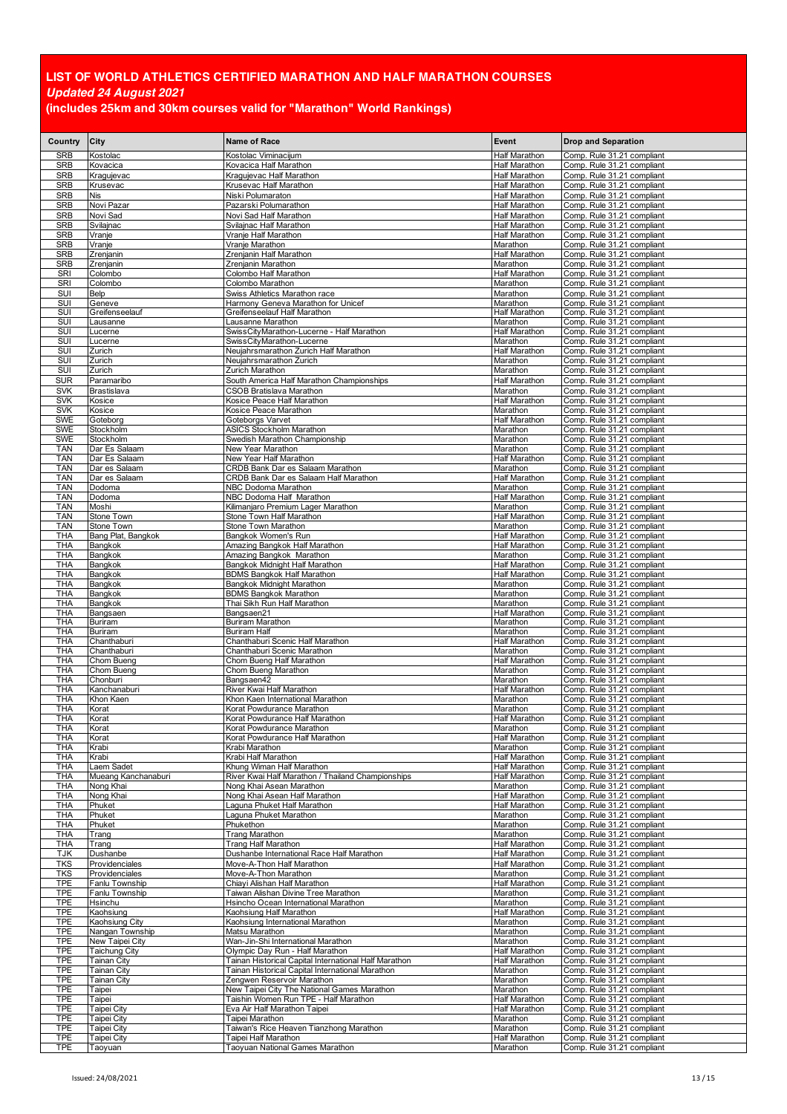| Country                  | City                                     | <b>Name of Race</b>                                                                                       | Event                                 | <b>Drop and Separation</b>                               |
|--------------------------|------------------------------------------|-----------------------------------------------------------------------------------------------------------|---------------------------------------|----------------------------------------------------------|
| <b>SRB</b>               | Kostolac                                 | Kostolac Viminacijum                                                                                      | Half Marathon                         | Comp. Rule 31.21 compliant                               |
| SRB                      | Kovacica                                 | Kovacica Half Marathon                                                                                    | Half Marathon                         | Comp. Rule 31.21 compliant                               |
| SRB<br><b>SRB</b>        | Kragujevac<br>Krusevac                   | Kragujevac Half Marathon<br>Krusevac Half Marathon                                                        | Half Marathon<br>Half Marathon        | Comp. Rule 31.21 compliant<br>Comp. Rule 31.21 compliant |
| SRB                      | Nis                                      | Niski Polumaraton                                                                                         | Half Marathon                         | Comp. Rule 31.21 compliant                               |
| <b>SRB</b>               | Novi Pazar                               | Pazarski Polumarathon<br>Novi Sad Half Marathon                                                           | Half Marathon<br>Half Marathon        | Comp. Rule 31.21 compliant<br>Comp. Rule 31.21 compliant |
| <b>SRB</b><br><b>SRB</b> | Novi Sad<br>Svilajnac                    | Svilajnac Half Marathon                                                                                   | Half Marathon                         | Comp. Rule 31.21 compliant                               |
| SRB                      | Vranje                                   | Vranje Half Marathon                                                                                      | Half Marathon                         | Comp. Rule 31.21 compliant                               |
| SRB<br>SRB               | Vranje<br>Zrenjanin                      | Vranje Marathon<br>Zrenjanin Half Marathon                                                                | Marathon<br>Half Marathon             | Comp. Rule 31.21 compliant<br>Comp. Rule 31.21 compliant |
| <b>SRB</b>               | Zrenjanin                                | Zrenjanin Marathon                                                                                        | Marathon                              | Comp. Rule 31.21 compliant                               |
| SRI                      | Colombo                                  | Colombo Half Marathon                                                                                     | Half Marathon<br>Marathon             | Comp. Rule 31.21 compliant<br>Comp. Rule 31.21 compliant |
| SRI<br><b>SUI</b>        | Colombo<br>Belp                          | Colombo Marathon<br>Swiss Athletics Marathon race                                                         | Marathon                              | Comp. Rule 31.21 compliant                               |
| SUI                      | Geneve                                   | Harmony Geneva Marathon for Unicef                                                                        | Marathon                              | Comp. Rule 31.21 compliant                               |
| SUI<br>SUI               | Greifenseelauf<br>Lausanne               | Greifenseelauf Half Marathon<br>Lausanne Marathon                                                         | Half Marathon<br>Marathon             | Comp. Rule 31.21 compliant<br>Comp. Rule 31.21 compliant |
| <b>SUI</b>               | Lucerne                                  | SwissCityMarathon-Lucerne - Half Marathon                                                                 | <b>Half Marathon</b>                  | Comp. Rule 31.21 compliant                               |
| SUI<br><b>SUI</b>        | Lucerne                                  | SwissCityMarathon-Lucerne<br>Neujahrsmarathon Zurich Half Marathon                                        | Marathon<br>Half Marathon             | Comp. Rule 31.21 compliant                               |
| SUI                      | Zurich<br>Zurich                         | Neujahrsmarathon Zurich                                                                                   | Marathon                              | Comp. Rule 31.21 compliant<br>Comp. Rule 31.21 compliant |
| <b>SUI</b>               | Zurich                                   | Zurich Marathon                                                                                           | Marathon                              | Comp. Rule 31.21 compliant                               |
| <b>SUR</b>               | Paramaribo                               | South America Half Marathon Championships                                                                 | <b>Half Marathon</b>                  | Comp. Rule 31.21 compliant                               |
| <b>SVK</b><br><b>SVK</b> | Brastislava<br>Kosice                    | <b>CSOB Bratislava Marathon</b><br>Kosice Peace Half Marathon                                             | Marathon<br>Half Marathon             | Comp. Rule 31.21 compliant<br>Comp. Rule 31.21 compliant |
| <b>SVK</b>               | Kosice                                   | Kosice Peace Marathon                                                                                     | Marathon                              | Comp. Rule 31.21 compliant                               |
| <b>SWE</b>               | Goteborg                                 | Goteborgs Varvet                                                                                          | Half Marathon                         | Comp. Rule 31.21 compliant                               |
| <b>SWE</b><br><b>SWE</b> | Stockholm<br>Stockholm                   | ASICS Stockholm Marathon<br>Swedish Marathon Championship                                                 | Marathon<br>Marathon                  | Comp. Rule 31.21 compliant<br>Comp. Rule 31.21 compliant |
| TAN                      | Dar Es Salaam                            | New Year Marathon                                                                                         | Marathon                              | Comp. Rule 31.21 compliant                               |
| <b>TAN</b><br>TAN        | Dar Es Salaam<br>Dar es Salaam           | New Year Half Marathon<br>CRDB Bank Dar es Salaam Marathon                                                | Half Marathon<br>Marathon             | Comp. Rule 31.21 compliant<br>Comp. Rule 31.21 compliant |
| <b>TAN</b>               | Dar es Salaam                            | CRDB Bank Dar es Salaam Half Marathon                                                                     | <b>Half Marathon</b>                  | Comp. Rule 31.21 compliant                               |
| <b>TAN</b>               | Dodoma                                   | NBC Dodoma Marathon                                                                                       | Marathon                              | Comp. Rule 31.21 compliant                               |
| TAN<br><b>TAN</b>        | Dodoma<br>Moshi                          | NBC Dodoma Half Marathon<br>Kilimaniaro Premium Lager Marathon                                            | <b>Half Marathon</b><br>Marathon      | Comp. Rule 31.21 compliant<br>Comp. Rule 31.21 compliant |
| <b>TAN</b>               | Stone Town                               | Stone Town Half Marathon                                                                                  | Half Marathon                         | Comp. Rule 31.21 compliant                               |
| <b>TAN</b>               | Stone Town                               | Stone Town Marathon                                                                                       | Marathon                              | Comp. Rule 31.21 compliant                               |
| THA<br>THA               | Bang Plat, Bangkok<br>Bangkok            | Bangkok Women's Run<br>Amazing Bangkok Half Marathon                                                      | <b>Half Marathon</b><br>Half Marathon | Comp. Rule 31.21 compliant<br>Comp. Rule 31.21 compliant |
| THA                      | Bangkok                                  | Amazing Bangkok Marathon                                                                                  | Marathon                              | Comp. Rule 31.21 compliant                               |
| THA                      | Bangkok                                  | Bangkok Midnight Half Marathon                                                                            | Half Marathon                         | Comp. Rule 31.21 compliant                               |
| THA<br>THA               | Bangkok<br>Bangkok                       | <b>BDMS Bangkok Half Marathon</b><br>Bangkok Midnight Marathon                                            | Half Marathon<br>Marathon             | Comp. Rule 31.21 compliant<br>Comp. Rule 31.21 compliant |
| THA                      | Bangkok                                  | <b>BDMS Bangkok Marathon</b>                                                                              | Marathon                              | Comp. Rule 31.21 compliant                               |
| THA<br>THA               | Bangkok<br>Bangsaen                      | Thai Sikh Run Half Marathon<br>Bangsaen21                                                                 | Marathon<br>Half Marathon             | Comp. Rule 31.21 compliant<br>Comp. Rule 31.21 compliant |
| THA                      | Buriram                                  | Buriram Marathon                                                                                          | Marathon                              | Comp. Rule 31.21 compliant                               |
| THA                      | Buriram                                  | <b>Buriram Half</b>                                                                                       | Marathon                              | Comp. Rule 31.21 compliant                               |
| <b>THA</b><br>THA        | Chanthaburi<br>Chanthaburi               | Chanthaburi Scenic Half Marathon<br>Chanthaburi Scenic Marathon                                           | Half Marathon<br>Marathon             | Comp. Rule 31.21 compliant<br>Comp. Rule 31.21 compliant |
| THA                      | Chom Bueng                               | Chom Bueng Half Marathon                                                                                  | Half Marathon                         | Comp. Rule 31.21 compliant                               |
| THA<br>THA               | Chom Bueng                               | Chom Bueng Marathon                                                                                       | Marathon                              | Comp. Rule 31.21 compliant                               |
| THA                      | Chonburi<br>Kanchanaburi                 | Bangsaen42<br>River Kwai Half Marathon                                                                    | Marathon<br>Half Marathon             | Comp. Rule 31.21 compliant<br>Comp. Rule 31.21 compliant |
| THA                      | Khon Kaen                                | Khon Kaen International Marathon                                                                          | Marathon                              | Comp. Rule 31.21 compliant                               |
| THA<br>THA               | Korat<br>Korat                           | Korat Powdurance Marathon<br>Korat Powdurance Half Marathon                                               | Marathon<br><b>Half Marathon</b>      | Comp. Rule 31.21 compliant<br>Comp. Rule 31.21 compliant |
| THA                      | Korat                                    | Korat Powdurance Marathon                                                                                 | Marathon                              | Comp. Rule 31.21 compliant                               |
| THA                      | Korat                                    | Korat Powdurance Half Marathon                                                                            | Half Marathon                         | Comp. Rule 31.21 compliant                               |
| THA<br><b>THA</b>        | Krabi<br>Krabi                           | Krabi Marathon<br>Krabi Half Marathon                                                                     | Marathon<br>Half Marathon             | Comp. Rule 31.21 compliant<br>Comp. Rule 31.21 compliant |
| THA                      | Laem Sadet                               | Khung Wiman Half Marathon                                                                                 | Half Marathon                         | Comp. Rule 31.21 compliant                               |
| THA                      | Mueang Kanchanaburi                      | River Kwai Half Marathon / Thailand Championships                                                         | Half Marathon<br>Marathon             | Comp. Rule 31.21 compliant                               |
| THA<br>THA               | Nong Khai<br>Nong Khai                   | Nong Khai Asean Marathon<br>Nong Khai Asean Half Marathon                                                 | Half Marathon                         | Comp. Rule 31.21 compliant<br>Comp. Rule 31.21 compliant |
| THA                      | Phuket                                   | Laguna Phuket Half Marathon                                                                               | Half Marathon                         | Comp. Rule 31.21 compliant                               |
| THA<br>THA               | Phuket<br>Phuket                         | Laguna Phuket Marathon<br>Phukethon                                                                       | Marathon<br>Marathon                  | Comp. Rule 31.21 compliant<br>Comp. Rule 31.21 compliant |
| THA                      | Trang                                    | Trang Marathon                                                                                            | Marathon                              | Comp. Rule 31.21 compliant                               |
| THA                      | Trang                                    | Trang Half Marathon                                                                                       | <b>Half Marathon</b>                  | Comp. Rule 31.21 compliant                               |
| TJK<br><b>TKS</b>        | Dushanbe<br>Providenciales               | Dushanbe International Race Half Marathon<br>Move-A-Thon Half Marathon                                    | Half Marathon<br><b>Half Marathon</b> | Comp. Rule 31.21 compliant<br>Comp. Rule 31.21 compliant |
| TKS                      | Providenciales                           | Move-A-Thon Marathon                                                                                      | Marathon                              | Comp. Rule 31.21 compliant                               |
| <b>TPE</b><br>TPE        | Fanlu Township                           | Chiavi Alishan Half Marathon<br>Taiwan Alishan Divine Tree Marathon                                       | Half Marathon<br>Marathon             | Comp. Rule 31.21 compliant<br>Comp. Rule 31.21 compliant |
| TPE                      | Fanlu Township<br>Hsinchu                | Hsincho Ocean International Marathon                                                                      | Marathon                              | Comp. Rule 31.21 compliant                               |
| <b>TPE</b>               | Kaohsiung                                | Kaohsiung Half Marathon                                                                                   | <b>Half Marathon</b>                  | Comp. Rule 31.21 compliant                               |
| TPE<br><b>TPE</b>        | Kaohsiung City<br>Nangan Township        | Kaohsiung International Marathon<br>Matsu Marathon                                                        | Marathon<br>Marathon                  | Comp. Rule 31.21 compliant<br>Comp. Rule 31.21 compliant |
| <b>TPE</b>               | New Taipei City                          | Wan-Jin-Shi International Marathon                                                                        | Marathon                              | Comp. Rule 31.21 compliant                               |
| <b>TPE</b>               | <b>Taichung City</b>                     | Olympic Day Run - Half Marathon                                                                           | <b>Half Marathon</b>                  | Comp. Rule 31.21 compliant                               |
| TPE<br><b>TPE</b>        | <b>Tainan City</b><br><b>Tainan City</b> | Tainan Historical Capital International Half Marathon<br>Tainan Historical Capital International Marathon | Half Marathon<br>Marathon             | Comp. Rule 31.21 compliant<br>Comp. Rule 31.21 compliant |
| TPE                      | <b>Tainan City</b>                       | Zengwen Reservoir Marathon                                                                                | Marathon                              | Comp. Rule 31.21 compliant                               |
| <b>TPE</b>               | Taipei                                   | New Taipei City The National Games Marathon                                                               | Marathon                              | Comp. Rule 31.21 compliant                               |
| TPE<br>TPE               | Taipei<br>Taipei City                    | Taishin Women Run TPE - Half Marathon<br>Eva Air Half Marathon Taipei                                     | Half Marathon<br>Half Marathon        | Comp. Rule 31.21 compliant<br>Comp. Rule 31.21 compliant |
| <b>TPE</b>               | Taipei City                              | Taipei Marathon                                                                                           | Marathon                              | Comp. Rule 31.21 compliant                               |
| TPE                      | Taipei City                              | Taiwan's Rice Heaven Tianzhong Marathon                                                                   | Marathon                              | Comp. Rule 31.21 compliant                               |
| <b>TPE</b><br>TPE        | <b>Taipei City</b><br>Taoyuan            | Taipei Half Marathon<br>Taoyuan National Games Marathon                                                   | Half Marathon<br>Marathon             | Comp. Rule 31.21 compliant<br>Comp. Rule 31.21 compliant |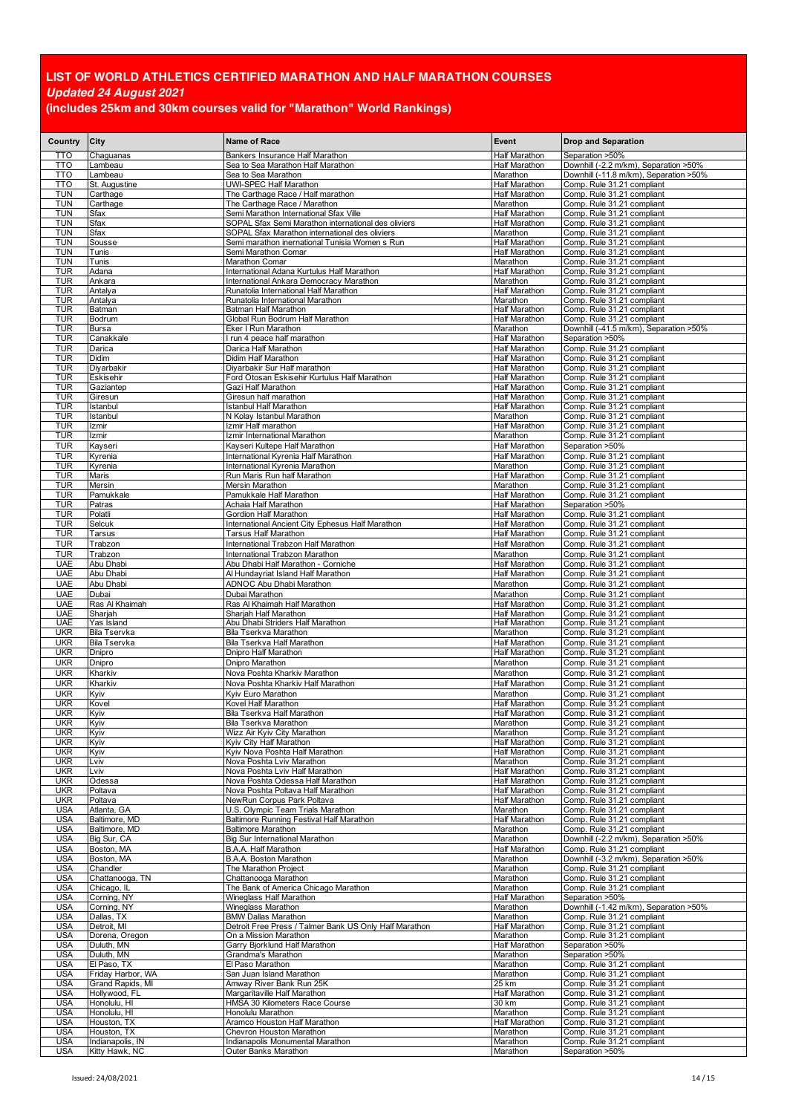| Country                  | City                               | Name of Race                                                                                  | Event                                 | <b>Drop and Separation</b>                                           |
|--------------------------|------------------------------------|-----------------------------------------------------------------------------------------------|---------------------------------------|----------------------------------------------------------------------|
| <b>TTO</b>               | Chaguanas                          | Bankers Insurance Half Marathon                                                               | Half Marathon                         | Separation >50%                                                      |
| TTO                      | Lambeau                            | Sea to Sea Marathon Half Marathon                                                             | Half Marathon                         | Downhill (-2.2 m/km), Separation >50%                                |
| <b>TTO</b><br>TTO        | Lambeau<br>St. Augustine           | Sea to Sea Marathon<br>UWI-SPEC Half Marathon                                                 | Marathon<br>Half Marathon             | Downhill (-11.8 m/km), Separation >50%<br>Comp. Rule 31.21 compliant |
| <b>TUN</b>               | Carthage                           | The Carthage Race / Half marathon                                                             | Half Marathon                         | Comp. Rule 31.21 compliant                                           |
| <b>TUN</b>               | Carthage                           | The Carthage Race / Marathon                                                                  | Marathon                              | Comp. Rule 31.21 compliant                                           |
| TUN<br><b>TUN</b>        | Sfax<br>Sfax                       | Semi Marathon International Sfax Ville<br>SOPAL Sfax Semi Marathon international des oliviers | Half Marathon<br>Half Marathon        | Comp. Rule 31.21 compliant<br>Comp. Rule 31.21 compliant             |
| TUN                      | Sfax                               | SOPAL Sfax Marathon international des oliviers                                                | Marathon                              | Comp. Rule 31.21 compliant                                           |
| TUN                      | Sousse                             | Semi marathon inernational Tunisia Women s Run                                                | Half Marathon                         | Comp. Rule 31.21 compliant                                           |
| TUN                      | Tunis                              | Semi Marathon Comar                                                                           | Half Marathon                         | Comp. Rule 31.21 compliant                                           |
| <b>TUN</b><br><b>TUR</b> | Tunis<br>Adana                     | Marathon Comar<br>International Adana Kurtulus Half Marathon                                  | Marathon<br>Half Marathon             | Comp. Rule 31.21 compliant<br>Comp. Rule 31.21 compliant             |
| TUR                      | Ankara                             | International Ankara Democracy Marathon                                                       | Marathon                              | Comp. Rule 31.21 compliant                                           |
| <b>TUR</b>               | Antalya                            | Runatolia International Half Marathon                                                         | <b>Half Marathon</b>                  | Comp. Rule 31.21 compliant                                           |
| TUR<br>TUR               | Antalya                            | Runatolia International Marathon                                                              | Marathon                              | Comp. Rule 31.21 compliant                                           |
| TUR                      | Batman<br>Bodrum                   | Batman Half Marathon<br>Global Run Bodrum Half Marathon                                       | Half Marathon<br>Half Marathon        | Comp. Rule 31.21 compliant<br>Comp. Rule 31.21 compliant             |
| TUR                      | <b>Bursa</b>                       | Eker I Run Marathon                                                                           | Marathon                              | Downhill (-41.5 m/km), Separation >50%                               |
| <b>TUR</b>               | Canakkale                          | I run 4 peace half marathon                                                                   | Half Marathon                         | Separation >50%                                                      |
| <b>TUR</b><br><b>TUR</b> | Darica<br>Didim                    | Darica Half Marathon<br>Didim Half Marathon                                                   | Half Marathon<br>Half Marathon        | Comp. Rule 31.21 compliant<br>Comp. Rule 31.21 compliant             |
| TUR                      | Diyarbakir                         | Diyarbakir Sur Half marathon                                                                  | Half Marathon                         | Comp. Rule 31.21 compliant                                           |
| <b>TUR</b>               | Eskisehir                          | Ford Otosan Eskisehir Kurtulus Half Marathon                                                  | <b>Half Marathon</b>                  | Comp. Rule 31.21 compliant                                           |
| TUR                      | Gaziantep                          | Gazi Half Marathon                                                                            | Half Marathon                         | Comp. Rule 31.21 compliant                                           |
| <b>TUR</b><br>TUR        | Giresun<br>Istanbul                | Giresun half marathon<br>Istanbul Half Marathon                                               | Half Marathon<br>Half Marathon        | Comp. Rule 31.21 compliant<br>Comp. Rule 31.21 compliant             |
| <b>TUR</b>               | Istanbul                           | N Kolay Istanbul Marathon                                                                     | Marathon                              | Comp. Rule 31.21 compliant                                           |
| <b>TUR</b>               | Izmir                              | Izmir Half marathon                                                                           | Half Marathon                         | Comp. Rule 31.21 compliant                                           |
| TUR                      | Izmir                              | Izmir International Marathon                                                                  | Marathon                              | Comp. Rule 31.21 compliant                                           |
| <b>TUR</b><br><b>TUR</b> | Kayseri<br>Kyrenia                 | Kayseri Kultepe Half Marathon<br>International Kyrenia Half Marathon                          | Half Marathon<br><b>Half Marathon</b> | Separation >50%<br>Comp. Rule 31.21 compliant                        |
| <b>TUR</b>               | Kyrenia                            | International Kyrenia Marathon                                                                | Marathon                              | Comp. Rule 31.21 compliant                                           |
| <b>TUR</b>               | Maris                              | Run Maris Run half Marathon                                                                   | Half Marathon                         | Comp. Rule 31.21 compliant                                           |
| <b>TUR</b>               | Mersin                             | Mersin Marathon                                                                               | Marathon                              | Comp. Rule 31.21 compliant                                           |
| TUR<br>TUR               | Pamukkale<br>Patras                | Pamukkale Half Marathon<br>Achaia Half Marathon                                               | Half Marathon<br>Half Marathon        | Comp. Rule 31.21 compliant<br>Separation >50%                        |
| TUR                      | Polatli                            | Gordion Half Marathon                                                                         | Half Marathon                         | Comp. Rule 31.21 compliant                                           |
| <b>TUR</b>               | Selcuk                             | International Ancient City Ephesus Half Marathon                                              | Half Marathon                         | Comp. Rule 31.21 compliant                                           |
| TUR                      | Tarsus                             | Tarsus Half Marathon                                                                          | Half Marathon                         | Comp. Rule 31.21 compliant                                           |
| <b>TUR</b><br><b>TUR</b> | Trabzon<br>Trabzon                 | International Trabzon Half Marathon<br>International Trabzon Marathon                         | Half Marathon<br>Marathon             | Comp. Rule 31.21 compliant<br>Comp. Rule 31.21 compliant             |
| <b>UAE</b>               | Abu Dhabi                          | Abu Dhabi Half Marathon - Corniche                                                            | Half Marathon                         | Comp. Rule 31.21 compliant                                           |
| <b>UAE</b>               | Abu Dhabi                          | Al Hundayriat Island Half Marathon                                                            | Half Marathon                         | Comp. Rule 31.21 compliant                                           |
| <b>UAE</b>               | Abu Dhabi                          | ADNOC Abu Dhabi Marathon                                                                      | Marathon                              | Comp. Rule 31.21 compliant                                           |
| <b>UAE</b><br><b>UAE</b> | Dubai<br>Ras Al Khaimah            | Dubai Marathon<br>Ras Al Khaimah Half Marathon                                                | Marathon<br>Half Marathon             | Comp. Rule 31.21 compliant<br>Comp. Rule 31.21 compliant             |
| <b>UAE</b>               | Sharjah                            | Sharjah Half Marathon                                                                         | Half Marathon                         | Comp. Rule 31.21 compliant                                           |
| <b>UAE</b>               | Yas Island                         | Abu Dhabi Striders Half Marathon                                                              | Half Marathon                         | Comp. Rule 31.21 compliant                                           |
| <b>UKR</b>               | Bila Tservka                       | Bila Tserkva Marathon                                                                         | Marathon                              | Comp. Rule 31.21 compliant                                           |
| <b>UKR</b><br><b>UKR</b> | Bila Tservka<br>Dnipro             | Bila Tserkva Half Marathon<br>Dnipro Half Marathon                                            | <b>Half Marathon</b><br>Half Marathon | Comp. Rule 31.21 compliant<br>Comp. Rule 31.21 compliant             |
| <b>UKR</b>               | Dnipro                             | Dnipro Marathon                                                                               | Marathon                              | Comp. Rule 31.21 compliant                                           |
| <b>UKR</b>               | Kharkiv                            | Nova Poshta Kharkiv Marathon                                                                  | Marathon                              | Comp. Rule 31.21 compliant                                           |
| <b>UKR</b>               | Kharkiv                            | Nova Poshta Kharkiv Half Marathon                                                             | Half Marathon                         | Comp. Rule 31.21 compliant                                           |
| <b>UKR</b><br><b>UKR</b> | Kyiv<br>Kovel                      | Kyiv Euro Marathon<br>Kovel Half Marathon                                                     | Marathon<br>Half Marathon             | Comp. Rule 31.21 compliant<br>Comp. Rule 31.21 compliant             |
| <b>UKR</b>               | Kyiv                               | Bila Tserkva Half Marathon                                                                    | <b>Half Marathon</b>                  | Comp. Rule 31.21 compliant                                           |
| <b>UKR</b>               | Kyiv                               | Bila Tserkva Marathon                                                                         | Marathon                              | Comp. Rule 31.21 compliant                                           |
| UKR<br><b>UKR</b>        | Kyiv                               | Wizz Air Kyiv City Marathon                                                                   | Marathon                              | Comp. Rule 31.21 compliant<br>Comp. Rule 31.21 compliant             |
| <b>UKR</b>               | Kyiv<br>Kyiv                       | Kyiv City Half Marathon<br>Kyiv Nova Poshta Half Marathon                                     | Half Marathon<br>Half Marathon        | Comp. Rule 31.21 compliant                                           |
| <b>UKR</b>               | Lviv                               | Nova Poshta Lviv Marathon                                                                     | Marathon                              | Comp. Rule 31.21 compliant                                           |
| <b>UKR</b>               | Lviv                               | Nova Poshta Lviv Half Marathon                                                                | Half Marathon                         | Comp. Rule 31.21 compliant                                           |
| <b>UKR</b><br><b>UKR</b> | Odessa<br>Poltava                  | Nova Poshta Odessa Half Marathon<br>Nova Poshta Poltava Half Marathon                         | Half Marathon<br><b>Half Marathon</b> | Comp. Rule 31.21 compliant<br>Comp. Rule 31.21 compliant             |
| <b>UKR</b>               | Poltava                            | NewRun Corpus Park Poltava                                                                    | <b>Half Marathon</b>                  | Comp. Rule 31.21 compliant                                           |
| <b>USA</b>               | Atlanta, GA                        | U.S. Olympic Team Trials Marathon                                                             | Marathon                              | Comp. Rule 31.21 compliant                                           |
| <b>USA</b>               | Baltimore, MD                      | Baltimore Running Festival Half Marathon                                                      | Half Marathon                         | Comp. Rule 31.21 compliant                                           |
| <b>USA</b><br><b>USA</b> | Baltimore, MD<br>Big Sur, CA       | <b>Baltimore Marathon</b><br><b>Big Sur International Marathon</b>                            | Marathon<br>Marathon                  | Comp. Rule 31.21 compliant<br>Downhill (-2.2 m/km), Separation >50%  |
| <b>USA</b>               | Boston, MA                         | B.A.A. Half Marathon                                                                          | Half Marathon                         | Comp. Rule 31.21 compliant                                           |
| <b>USA</b>               | Boston, MA                         | B.A.A. Boston Marathon                                                                        | Marathon                              | Downhill (-3.2 m/km), Separation >50%                                |
| <b>USA</b><br><b>USA</b> | Chandler<br>Chattanooga, TN        | The Marathon Project<br>Chattanooga Marathon                                                  | Marathon<br>Marathon                  | Comp. Rule 31.21 compliant<br>Comp. Rule 31.21 compliant             |
| <b>USA</b>               | Chicago, IL                        | The Bank of America Chicago Marathon                                                          | Marathon                              | Comp. Rule 31.21 compliant                                           |
| <b>USA</b>               | Corning, NY                        | Wineglass Half Marathon                                                                       | Half Marathon                         | Separation >50%                                                      |
| <b>USA</b>               | Corning, NY                        | Wineglass Marathon                                                                            | Marathon                              | Downhill (-1.42 m/km), Separation >50%                               |
| <b>USA</b><br><b>USA</b> | Dallas, TX<br>Detroit, MI          | <b>BMW Dallas Marathon</b><br>Detroit Free Press / Talmer Bank US Only Half Marathon          | Marathon<br><b>Half Marathon</b>      | Comp. Rule 31.21 compliant<br>Comp. Rule 31.21 compliant             |
| <b>USA</b>               | Dorena, Oregon                     | On a Mission Marathon                                                                         | Marathon                              | Comp. Rule 31.21 compliant                                           |
| <b>USA</b>               | Duluth, MN                         | Garry Bjorklund Half Marathon                                                                 | Half Marathon                         | Separation >50%                                                      |
| <b>USA</b><br><b>USA</b> | Duluth, MN<br>El Paso, TX          | Grandma's Marathon<br>El Paso Marathon                                                        | Marathon<br>Marathon                  | Separation >50%<br>Comp. Rule 31.21 compliant                        |
| <b>USA</b>               | Friday Harbor, WA                  | San Juan Island Marathon                                                                      | Marathon                              | Comp. Rule 31.21 compliant                                           |
| <b>USA</b>               | Grand Rapids, MI                   | Amway River Bank Run 25K                                                                      | 25 km                                 | Comp. Rule 31.21 compliant                                           |
| <b>USA</b>               | Hollywood, FL                      | Margaritaville Half Marathon                                                                  | Half Marathon                         | Comp. Rule 31.21 compliant                                           |
| <b>USA</b><br><b>USA</b> | Honolulu, HI<br>Honolulu, HI       | HMSA 30 Kilometers Race Course<br>Honolulu Marathon                                           | 30 km<br>Marathon                     | Comp. Rule 31.21 compliant<br>Comp. Rule 31.21 compliant             |
| <b>USA</b>               | Houston, TX                        | Aramco Houston Half Marathon                                                                  | Half Marathon                         | Comp. Rule 31.21 compliant                                           |
| <b>USA</b>               | Houston, TX                        | Chevron Houston Marathon                                                                      | Marathon                              | Comp. Rule 31.21 compliant                                           |
| <b>USA</b><br><b>USA</b> | Indianapolis, IN<br>Kitty Hawk, NC | Indianapolis Monumental Marathon<br>Outer Banks Marathon                                      | Marathon<br>Marathon                  | Comp. Rule 31.21 compliant<br>Separation >50%                        |